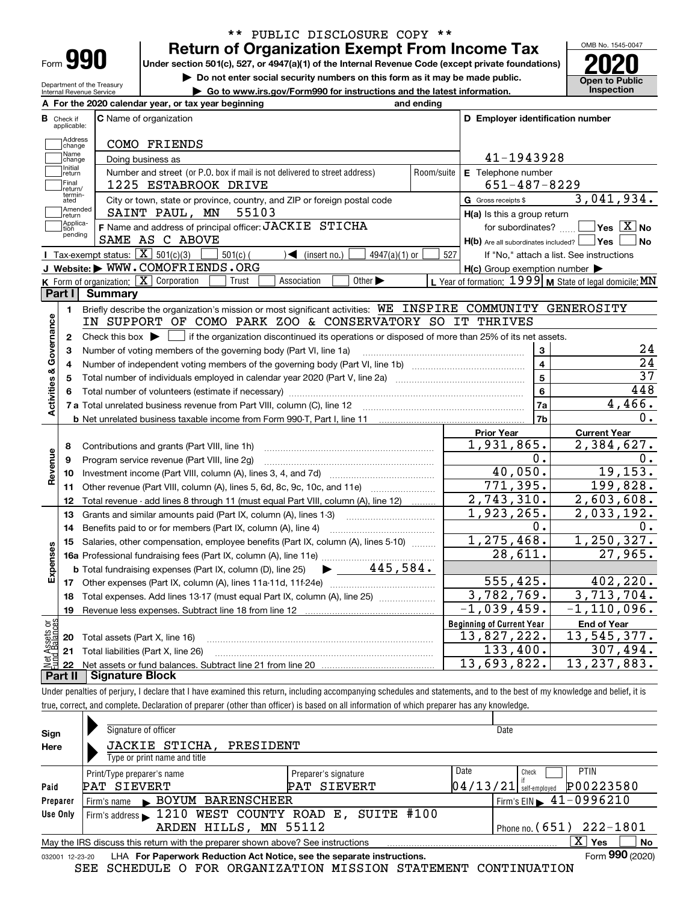| Form |  |
|------|--|

Department of the Treasury

### **Return of Organization Exempt From Income Tax** \*\* PUBLIC DISCLOSURE COPY \*\*

**Under section 501(c), 527, or 4947(a)(1) of the Internal Revenue Code (except private foundations) 2020**

**| Do not enter social security numbers on this form as it may be made public.**

**| Go to www.irs.gov/Form990 for instructions and the latest information. Inspection**

OMB No. 1545-0047 **Open to Public** 

| А              |                         | For the 2020 calendar year, or tax year beginning<br>and ending                                                                                     |            |                                                     |                                                                                                                                                  |
|----------------|-------------------------|-----------------------------------------------------------------------------------------------------------------------------------------------------|------------|-----------------------------------------------------|--------------------------------------------------------------------------------------------------------------------------------------------------|
|                | Check if<br>applicable: | <b>C</b> Name of organization                                                                                                                       |            | D Employer identification number                    |                                                                                                                                                  |
|                | Address                 |                                                                                                                                                     |            |                                                     |                                                                                                                                                  |
|                | change<br>Name          | COMO FRIENDS                                                                                                                                        |            |                                                     |                                                                                                                                                  |
|                | change<br>Initial       | Doing business as                                                                                                                                   |            | 41-1943928                                          |                                                                                                                                                  |
|                | return<br>Final         | Number and street (or P.O. box if mail is not delivered to street address)                                                                          | Room/suite | E Telephone number                                  |                                                                                                                                                  |
|                | return/<br>termin-      | 1225 ESTABROOK DRIVE                                                                                                                                |            | 651-487-8229                                        |                                                                                                                                                  |
|                | ated<br>Amended         | City or town, state or province, country, and ZIP or foreign postal code                                                                            |            | G Gross receipts \$                                 | 3,041,934.                                                                                                                                       |
|                | return<br>Applica-      | SAINT PAUL, MN<br>55103                                                                                                                             |            | H(a) Is this a group return                         |                                                                                                                                                  |
|                | tion<br>pending         | F Name and address of principal officer: JACKIE STICHA                                                                                              |            |                                                     | for subordinates? $\Box$ Yes $\boxed{X}$ No                                                                                                      |
|                |                         | SAME AS C ABOVE                                                                                                                                     |            | $H(b)$ Are all subordinates included? $\Box$ Yes    | No                                                                                                                                               |
|                |                         | Tax-exempt status: $\boxed{\mathbf{X}}$ 501(c)(3)<br>$501(c)$ (<br>$\sqrt{\frac{1}{1}}$ (insert no.)<br>$4947(a)(1)$ or                             | 527        |                                                     | If "No," attach a list. See instructions                                                                                                         |
|                |                         | J Website: WWW.COMOFRIENDS.ORG                                                                                                                      |            | $H(c)$ Group exemption number $\blacktriangleright$ |                                                                                                                                                  |
|                |                         | K Form of organization: $\boxed{\mathbf{X}}$ Corporation<br>Association<br>Other $\blacktriangleright$<br>Trust                                     |            |                                                     | L Year of formation: 1999 M State of legal domicile: MN                                                                                          |
|                | Part I                  | Summary                                                                                                                                             |            |                                                     |                                                                                                                                                  |
|                | 1.                      | Briefly describe the organization's mission or most significant activities: WE INSPIRE COMMUNITY GENEROSITY                                         |            |                                                     |                                                                                                                                                  |
|                |                         | IN SUPPORT OF COMO PARK ZOO & CONSERVATORY SO IT THRIVES                                                                                            |            |                                                     |                                                                                                                                                  |
|                | 2                       | Check this box $\blacktriangleright$ $\blacksquare$ if the organization discontinued its operations or disposed of more than 25% of its net assets. |            |                                                     |                                                                                                                                                  |
|                | 3                       | Number of voting members of the governing body (Part VI, line 1a)                                                                                   |            | 3                                                   | 24                                                                                                                                               |
|                | 4                       |                                                                                                                                                     |            | $\overline{\mathbf{4}}$                             | $\overline{24}$                                                                                                                                  |
|                | 5                       |                                                                                                                                                     |            | 5                                                   | $\overline{37}$                                                                                                                                  |
|                | 6                       |                                                                                                                                                     |            | 6                                                   | 448                                                                                                                                              |
|                |                         |                                                                                                                                                     |            | 7a                                                  | 4,466.                                                                                                                                           |
|                |                         |                                                                                                                                                     |            | 7b                                                  | 0.                                                                                                                                               |
|                |                         |                                                                                                                                                     |            | <b>Prior Year</b>                                   | <b>Current Year</b>                                                                                                                              |
|                | 8                       | Contributions and grants (Part VIII, line 1h)                                                                                                       |            | 1,931,865.                                          | 2,384,627.                                                                                                                                       |
|                | 9                       | Program service revenue (Part VIII, line 2g)                                                                                                        |            |                                                     |                                                                                                                                                  |
|                | 10                      |                                                                                                                                                     |            | ο.                                                  |                                                                                                                                                  |
|                |                         |                                                                                                                                                     |            | 40,050.                                             |                                                                                                                                                  |
|                |                         | Other revenue (Part VIII, column (A), lines 5, 6d, 8c, 9c, 10c, and 11e)                                                                            |            | 771,395.                                            |                                                                                                                                                  |
|                | 11<br>12                | Total revenue - add lines 8 through 11 (must equal Part VIII, column (A), line 12)                                                                  |            | 2,743,310.                                          |                                                                                                                                                  |
|                | 13                      | Grants and similar amounts paid (Part IX, column (A), lines 1-3)                                                                                    |            | 1,923,265.                                          |                                                                                                                                                  |
|                | 14                      | Benefits paid to or for members (Part IX, column (A), line 4)                                                                                       |            | 0.                                                  |                                                                                                                                                  |
|                |                         | Salaries, other compensation, employee benefits (Part IX, column (A), lines 5-10)                                                                   |            | 1,275,468.                                          |                                                                                                                                                  |
|                |                         |                                                                                                                                                     |            | 28,611.                                             |                                                                                                                                                  |
|                | 15                      | 445,584.<br><b>b</b> Total fundraising expenses (Part IX, column (D), line 25)<br>$\blacktriangleright$ and $\blacktriangleright$                   |            |                                                     |                                                                                                                                                  |
|                | 17                      |                                                                                                                                                     |            | 555, 425.                                           |                                                                                                                                                  |
|                | 18                      | Total expenses. Add lines 13-17 (must equal Part IX, column (A), line 25)                                                                           |            | 3,782,769.                                          |                                                                                                                                                  |
|                | 19                      |                                                                                                                                                     |            | $-1,039,459.$                                       |                                                                                                                                                  |
|                |                         |                                                                                                                                                     |            | <b>Beginning of Current Year</b>                    | 0.<br><b>End of Year</b>                                                                                                                         |
| Expenses<br>ξğ | 20                      | Total assets (Part X, line 16)                                                                                                                      |            | 13,827,222.                                         | 0.<br>19, 153.<br>199,828.<br>2,603,608.<br>2,033,192.<br>1, 250, 327.<br>27,965.<br>402, 220.<br>3,713,704.<br>$-1, 110, 096.$<br>13, 545, 377. |
|                | 21                      | Total liabilities (Part X, line 26)                                                                                                                 |            | 133,400.<br>13,693,822.                             | 307,494.<br>13,<br>237,883.                                                                                                                      |

Under penalties of perjury, I declare that I have examined this return, including accompanying schedules and statements, and to the best of my knowledge and belief, it is true, correct, and complete. Declaration of preparer (other than officer) is based on all information of which preparer has any knowledge.

| Sign     | Signature of officer                                                                                         |                      | Date                                        |  |  |  |  |  |  |
|----------|--------------------------------------------------------------------------------------------------------------|----------------------|---------------------------------------------|--|--|--|--|--|--|
| Here     | JACKIE STICHA,<br>PRESIDENT                                                                                  |                      |                                             |  |  |  |  |  |  |
|          | Type or print name and title                                                                                 |                      |                                             |  |  |  |  |  |  |
|          | Print/Type preparer's name                                                                                   | Preparer's signature | Date<br><b>PTIN</b><br>Check                |  |  |  |  |  |  |
| Paid     | PAT SIEVERT                                                                                                  | PAT SIEVERT          | P00223580<br>04/13/21<br>self-emploved      |  |  |  |  |  |  |
| Preparer | BOYUM BARENSCHEER<br>Firm's name                                                                             |                      | Firm's EIN $\blacktriangleright$ 41-0996210 |  |  |  |  |  |  |
| Use Only | Firm's address 1210 WEST COUNTY ROAD E, SUITE #100                                                           |                      |                                             |  |  |  |  |  |  |
|          | ARDEN HILLS, MN 55112                                                                                        |                      | Phone no. $(651)$ $222 - 1801$              |  |  |  |  |  |  |
|          | x<br>No<br>May the IRS discuss this return with the preparer shown above? See instructions<br>Yes            |                      |                                             |  |  |  |  |  |  |
|          | Form 990 (2020)<br>LHA For Paperwork Reduction Act Notice, see the separate instructions.<br>032001 12-23-20 |                      |                                             |  |  |  |  |  |  |

SEE SCHEDULE O FOR ORGANIZATION MISSION STATEMENT CONTINUATION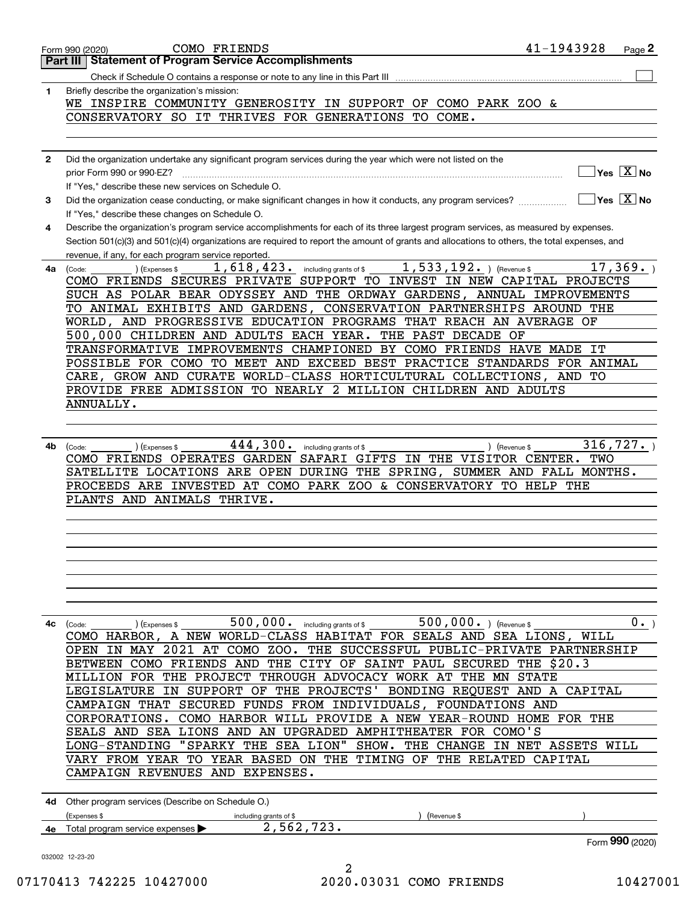| $\mathbf{1}$ | Briefly describe the organization's mission:                                                                                                 |                                                        |                                                                 |
|--------------|----------------------------------------------------------------------------------------------------------------------------------------------|--------------------------------------------------------|-----------------------------------------------------------------|
|              | WE INSPIRE COMMUNITY GENEROSITY IN SUPPORT OF COMO PARK ZOO &                                                                                |                                                        |                                                                 |
|              | CONSERVATORY SO IT THRIVES FOR GENERATIONS TO COME.                                                                                          |                                                        |                                                                 |
|              |                                                                                                                                              |                                                        |                                                                 |
|              |                                                                                                                                              |                                                        |                                                                 |
| $\mathbf{2}$ | Did the organization undertake any significant program services during the year which were not listed on the                                 |                                                        |                                                                 |
|              |                                                                                                                                              |                                                        | $\sqrt{}$ Yes $\sqrt{}$ $\overline{\text{X}}$ No                |
|              | If "Yes," describe these new services on Schedule O.                                                                                         |                                                        |                                                                 |
| 3            | Did the organization cease conducting, or make significant changes in how it conducts, any program services?                                 |                                                        | $\overline{\mathsf{Yes} \mathrel{\hspace{0.5pt}\mathsf{X}}}$ No |
|              | If "Yes," describe these changes on Schedule O.                                                                                              |                                                        |                                                                 |
| 4            | Describe the organization's program service accomplishments for each of its three largest program services, as measured by expenses.         |                                                        |                                                                 |
|              | Section 501(c)(3) and 501(c)(4) organizations are required to report the amount of grants and allocations to others, the total expenses, and |                                                        |                                                                 |
|              | revenue, if any, for each program service reported.                                                                                          |                                                        |                                                                 |
| 4a           | 1,618,423.<br>including grants of \$<br>(Expenses \$<br>(Code:                                                                               | $1,533,192.$ (Revenue \$                               | 17,369.                                                         |
|              | COMO FRIENDS SECURES PRIVATE SUPPORT TO INVEST IN NEW CAPITAL PROJECTS                                                                       |                                                        |                                                                 |
|              | SUCH AS POLAR BEAR ODYSSEY AND THE ORDWAY GARDENS, ANNUAL IMPROVEMENTS                                                                       |                                                        |                                                                 |
|              | TO ANIMAL EXHIBITS AND GARDENS, CONSERVATION PARTNERSHIPS AROUND THE                                                                         |                                                        |                                                                 |
|              | WORLD, AND PROGRESSIVE EDUCATION PROGRAMS THAT REACH AN AVERAGE OF                                                                           |                                                        |                                                                 |
|              | 500,000 CHILDREN AND ADULTS EACH YEAR. THE PAST DECADE OF                                                                                    |                                                        |                                                                 |
|              | TRANSFORMATIVE IMPROVEMENTS CHAMPIONED BY COMO FRIENDS HAVE MADE IT                                                                          |                                                        |                                                                 |
|              | POSSIBLE FOR COMO TO MEET AND EXCEED BEST PRACTICE STANDARDS FOR ANIMAL                                                                      |                                                        |                                                                 |
|              | CARE, GROW AND CURATE WORLD-CLASS HORTICULTURAL COLLECTIONS, AND TO                                                                          |                                                        |                                                                 |
|              | PROVIDE FREE ADMISSION TO NEARLY 2 MILLION CHILDREN AND ADULTS                                                                               |                                                        |                                                                 |
|              | ANNUALLY.                                                                                                                                    |                                                        |                                                                 |
|              |                                                                                                                                              |                                                        |                                                                 |
|              |                                                                                                                                              |                                                        |                                                                 |
|              |                                                                                                                                              |                                                        |                                                                 |
|              |                                                                                                                                              |                                                        |                                                                 |
|              | 444,300.<br>including grants of \$<br>(Expenses \$<br>(Code:                                                                                 | ) (Revenue \$                                          | 316,727.                                                        |
|              | COMO FRIENDS OPERATES GARDEN SAFARI GIFTS IN THE VISITOR CENTER.                                                                             |                                                        | TWO                                                             |
|              | SATELLITE LOCATIONS ARE OPEN DURING THE SPRING, SUMMER AND FALL MONTHS.                                                                      |                                                        |                                                                 |
|              | PROCEEDS ARE INVESTED AT COMO PARK ZOO & CONSERVATORY TO HELP THE                                                                            |                                                        |                                                                 |
|              | PLANTS AND ANIMALS THRIVE.                                                                                                                   |                                                        |                                                                 |
| 4b           |                                                                                                                                              |                                                        |                                                                 |
|              |                                                                                                                                              |                                                        |                                                                 |
|              |                                                                                                                                              |                                                        |                                                                 |
|              |                                                                                                                                              |                                                        |                                                                 |
|              |                                                                                                                                              |                                                        |                                                                 |
|              |                                                                                                                                              |                                                        |                                                                 |
|              |                                                                                                                                              |                                                        |                                                                 |
|              |                                                                                                                                              |                                                        |                                                                 |
| 4с           | 500,000. including grants of \$<br>(Expenses \$<br>(Code:                                                                                    | 500,000. ) (Revenue \$                                 | $\overline{0}$ .                                                |
|              | COMO HARBOR, A NEW WORLD-CLASS HABITAT FOR SEALS AND SEA LIONS, WILL                                                                         |                                                        |                                                                 |
|              | IN MAY 2021 AT COMO ZOO. THE SUCCESSFUL PUBLIC-PRIVATE PARTNERSHIP<br>OPEN                                                                   |                                                        |                                                                 |
|              | COMO FRIENDS AND<br><b>BETWEEN</b>                                                                                                           | THE \$20.3<br>THE CITY OF SAINT PAUL SECURED           |                                                                 |
|              | PROJECT THROUGH ADVOCACY WORK AT THE MN<br>MILLION FOR THE                                                                                   | <b>STATE</b>                                           |                                                                 |
|              | IN SUPPORT OF THE PROJECTS'<br>LEGISLATURE                                                                                                   | BONDING REQUEST AND A CAPITAL                          |                                                                 |
|              | CAMPAIGN THAT SECURED FUNDS FROM INDIVIDUALS, FOUNDATIONS AND                                                                                |                                                        |                                                                 |
|              | CORPORATIONS.                                                                                                                                | COMO HARBOR WILL PROVIDE A NEW YEAR-ROUND HOME FOR THE |                                                                 |
|              | SEALS AND SEA LIONS AND AN UPGRADED                                                                                                          | AMPHITHEATER FOR COMO'S                                |                                                                 |
|              | "SPARKY THE SEA LION"<br>LONG-STANDING                                                                                                       | SHOW.<br>IN NET ASSETS WILL<br>THE<br>CHANGE           |                                                                 |
|              |                                                                                                                                              |                                                        |                                                                 |
|              | VARY FROM YEAR TO YEAR BASED ON THE TIMING OF                                                                                                | THE RELATED CAPITAL                                    |                                                                 |
|              | CAMPAIGN REVENUES AND EXPENSES.                                                                                                              |                                                        |                                                                 |
|              |                                                                                                                                              |                                                        |                                                                 |
|              | 4d Other program services (Describe on Schedule O.)                                                                                          |                                                        |                                                                 |
|              | (Expenses \$<br>including grants of \$                                                                                                       | (Revenue \$                                            |                                                                 |
| 4е           | 2,562,723.<br>Total program service expenses                                                                                                 |                                                        | Form 990 (2020)                                                 |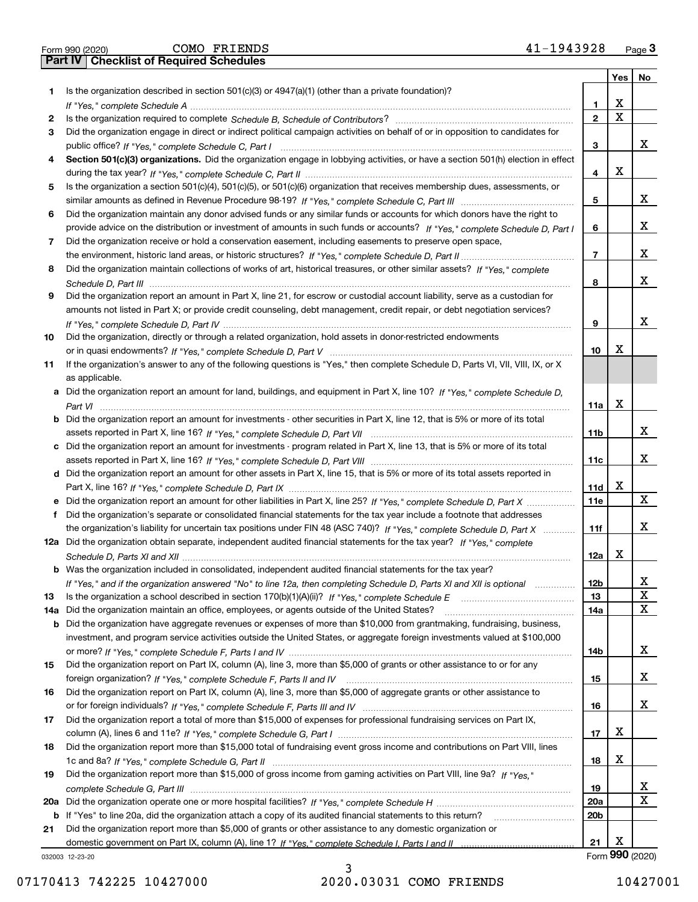|  | Form 990 (2020) |
|--|-----------------|

Form 990 (2020) Page **3Part IV Checklist of Required Schedules** COMO FRIENDS 41-1943928

|     |                                                                                                                                                 |                 | Yes | No              |
|-----|-------------------------------------------------------------------------------------------------------------------------------------------------|-----------------|-----|-----------------|
| 1   | Is the organization described in section $501(c)(3)$ or $4947(a)(1)$ (other than a private foundation)?                                         |                 |     |                 |
|     |                                                                                                                                                 | 1               | X   |                 |
| 2   |                                                                                                                                                 | $\mathbf{2}$    | x   |                 |
| 3   | Did the organization engage in direct or indirect political campaign activities on behalf of or in opposition to candidates for                 |                 |     |                 |
|     |                                                                                                                                                 | 3               |     | x               |
| 4   | Section 501(c)(3) organizations. Did the organization engage in lobbying activities, or have a section 501(h) election in effect                |                 |     |                 |
|     |                                                                                                                                                 | 4               | х   |                 |
| 5   | Is the organization a section 501(c)(4), 501(c)(5), or 501(c)(6) organization that receives membership dues, assessments, or                    |                 |     |                 |
|     |                                                                                                                                                 | 5               |     | x               |
| 6   | Did the organization maintain any donor advised funds or any similar funds or accounts for which donors have the right to                       |                 |     |                 |
|     | provide advice on the distribution or investment of amounts in such funds or accounts? If "Yes," complete Schedule D, Part I                    | 6               |     | x               |
| 7   | Did the organization receive or hold a conservation easement, including easements to preserve open space,                                       |                 |     |                 |
|     |                                                                                                                                                 | $\overline{7}$  |     | x               |
| 8   | Did the organization maintain collections of works of art, historical treasures, or other similar assets? If "Yes," complete                    |                 |     |                 |
|     |                                                                                                                                                 | 8               |     | x               |
| 9   | Did the organization report an amount in Part X, line 21, for escrow or custodial account liability, serve as a custodian for                   |                 |     |                 |
|     | amounts not listed in Part X; or provide credit counseling, debt management, credit repair, or debt negotiation services?                       |                 |     | x               |
|     |                                                                                                                                                 | 9               |     |                 |
| 10  | Did the organization, directly or through a related organization, hold assets in donor-restricted endowments                                    |                 | х   |                 |
|     |                                                                                                                                                 | 10              |     |                 |
| 11  | If the organization's answer to any of the following questions is "Yes," then complete Schedule D, Parts VI, VII, VIII, IX, or X                |                 |     |                 |
|     | as applicable.<br>a Did the organization report an amount for land, buildings, and equipment in Part X, line 10? If "Yes," complete Schedule D, |                 |     |                 |
|     |                                                                                                                                                 | 11a             | X   |                 |
|     | <b>b</b> Did the organization report an amount for investments - other securities in Part X, line 12, that is 5% or more of its total           |                 |     |                 |
|     |                                                                                                                                                 | 11 <sub>b</sub> |     | x               |
|     | c Did the organization report an amount for investments - program related in Part X, line 13, that is 5% or more of its total                   |                 |     |                 |
|     |                                                                                                                                                 | 11c             |     | x               |
|     | d Did the organization report an amount for other assets in Part X, line 15, that is 5% or more of its total assets reported in                 |                 |     |                 |
|     |                                                                                                                                                 | 11d             | х   |                 |
| е   | Did the organization report an amount for other liabilities in Part X, line 25? If "Yes," complete Schedule D, Part X                           | 11e             |     | x               |
| f   | Did the organization's separate or consolidated financial statements for the tax year include a footnote that addresses                         |                 |     |                 |
|     | the organization's liability for uncertain tax positions under FIN 48 (ASC 740)? If "Yes," complete Schedule D, Part X                          | 11f             |     | x.              |
|     | 12a Did the organization obtain separate, independent audited financial statements for the tax year? If "Yes," complete                         |                 |     |                 |
|     |                                                                                                                                                 | 12a             | х   |                 |
|     | <b>b</b> Was the organization included in consolidated, independent audited financial statements for the tax year?                              |                 |     |                 |
|     | If "Yes," and if the organization answered "No" to line 12a, then completing Schedule D, Parts XI and XII is optional                           | 12 <sub>b</sub> |     | X               |
| 13  | Is the organization a school described in section 170(b)(1)(A)(ii)? If "Yes," complete Schedule E                                               | 13              |     | X               |
| 14a | Did the organization maintain an office, employees, or agents outside of the United States?                                                     | 14a             |     | X.              |
|     | <b>b</b> Did the organization have aggregate revenues or expenses of more than \$10,000 from grantmaking, fundraising, business,                |                 |     |                 |
|     | investment, and program service activities outside the United States, or aggregate foreign investments valued at \$100,000                      |                 |     |                 |
|     |                                                                                                                                                 | 14b             |     | X.              |
| 15  | Did the organization report on Part IX, column (A), line 3, more than \$5,000 of grants or other assistance to or for any                       |                 |     |                 |
|     |                                                                                                                                                 | 15              |     | X.              |
| 16  | Did the organization report on Part IX, column (A), line 3, more than \$5,000 of aggregate grants or other assistance to                        |                 |     |                 |
|     |                                                                                                                                                 | 16              |     | X.              |
| 17  | Did the organization report a total of more than \$15,000 of expenses for professional fundraising services on Part IX,                         |                 |     |                 |
|     |                                                                                                                                                 | 17              | x   |                 |
| 18  | Did the organization report more than \$15,000 total of fundraising event gross income and contributions on Part VIII, lines                    |                 |     |                 |
|     |                                                                                                                                                 | 18              | x   |                 |
| 19  | Did the organization report more than \$15,000 of gross income from gaming activities on Part VIII, line 9a? If "Yes."                          |                 |     |                 |
|     |                                                                                                                                                 | 19              |     | x               |
|     |                                                                                                                                                 | 20a             |     | X.              |
|     | b If "Yes" to line 20a, did the organization attach a copy of its audited financial statements to this return?                                  | 20 <sub>b</sub> |     |                 |
| 21  | Did the organization report more than \$5,000 of grants or other assistance to any domestic organization or                                     |                 |     |                 |
|     |                                                                                                                                                 | 21              | х   |                 |
|     | 032003 12-23-20                                                                                                                                 |                 |     | Form 990 (2020) |

032003 12-23-20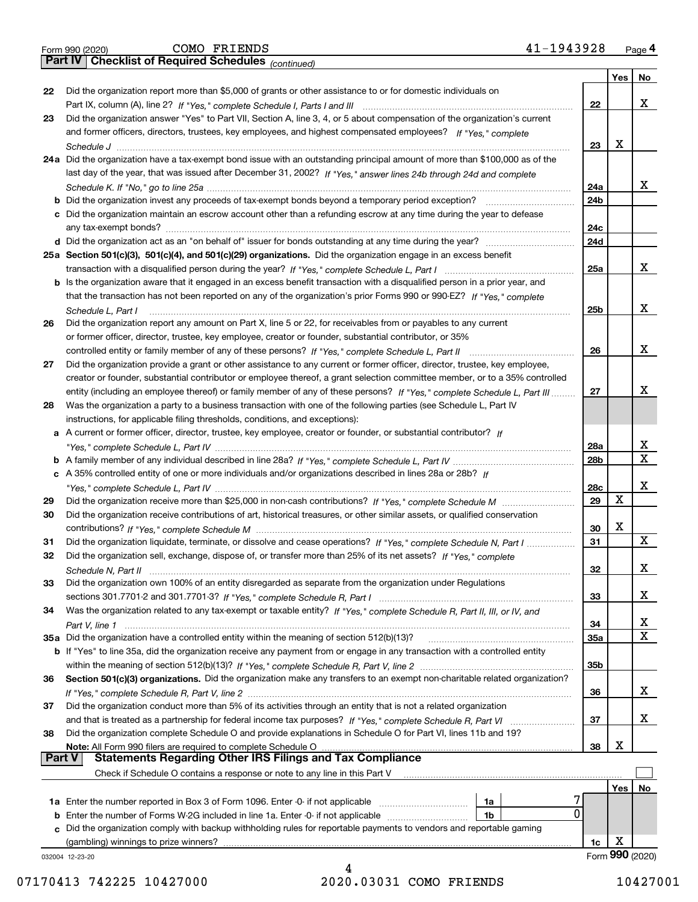|  | Form 990 (2020) |
|--|-----------------|
|  |                 |

*(continued)*

|               |                                                                                                                                    |                 | Yes        | No              |
|---------------|------------------------------------------------------------------------------------------------------------------------------------|-----------------|------------|-----------------|
| 22            | Did the organization report more than \$5,000 of grants or other assistance to or for domestic individuals on                      |                 |            |                 |
|               |                                                                                                                                    | 22              |            | х               |
| 23            | Did the organization answer "Yes" to Part VII, Section A, line 3, 4, or 5 about compensation of the organization's current         |                 |            |                 |
|               | and former officers, directors, trustees, key employees, and highest compensated employees? If "Yes," complete                     |                 |            |                 |
|               |                                                                                                                                    | 23              | X          |                 |
|               | 24a Did the organization have a tax-exempt bond issue with an outstanding principal amount of more than \$100,000 as of the        |                 |            |                 |
|               | last day of the year, that was issued after December 31, 2002? If "Yes," answer lines 24b through 24d and complete                 |                 |            |                 |
|               |                                                                                                                                    | 24a             |            | x               |
|               | <b>b</b> Did the organization invest any proceeds of tax-exempt bonds beyond a temporary period exception?                         | 24 <sub>b</sub> |            |                 |
|               | c Did the organization maintain an escrow account other than a refunding escrow at any time during the year to defease             |                 |            |                 |
|               |                                                                                                                                    | 24c             |            |                 |
|               |                                                                                                                                    | 24d             |            |                 |
|               | 25a Section 501(c)(3), 501(c)(4), and 501(c)(29) organizations. Did the organization engage in an excess benefit                   |                 |            |                 |
|               |                                                                                                                                    | 25a             |            | x               |
|               | b Is the organization aware that it engaged in an excess benefit transaction with a disqualified person in a prior year, and       |                 |            |                 |
|               | that the transaction has not been reported on any of the organization's prior Forms 990 or 990-EZ? If "Yes," complete              |                 |            |                 |
|               | Schedule L, Part I                                                                                                                 | 25b             |            | x               |
| 26            | Did the organization report any amount on Part X, line 5 or 22, for receivables from or payables to any current                    |                 |            |                 |
|               | or former officer, director, trustee, key employee, creator or founder, substantial contributor, or 35%                            |                 |            |                 |
|               |                                                                                                                                    | 26              |            | х               |
| 27            | Did the organization provide a grant or other assistance to any current or former officer, director, trustee, key employee,        |                 |            |                 |
|               | creator or founder, substantial contributor or employee thereof, a grant selection committee member, or to a 35% controlled        |                 |            |                 |
|               | entity (including an employee thereof) or family member of any of these persons? If "Yes," complete Schedule L, Part III           | 27              |            | x               |
| 28            | Was the organization a party to a business transaction with one of the following parties (see Schedule L, Part IV                  |                 |            |                 |
|               | instructions, for applicable filing thresholds, conditions, and exceptions):                                                       |                 |            |                 |
|               | a A current or former officer, director, trustee, key employee, creator or founder, or substantial contributor? If                 |                 |            |                 |
|               |                                                                                                                                    | 28a             |            | х               |
|               |                                                                                                                                    | 28 <sub>b</sub> |            | х               |
|               | c A 35% controlled entity of one or more individuals and/or organizations described in lines 28a or 28b? If                        |                 |            |                 |
|               |                                                                                                                                    | 28c             |            | х               |
| 29            |                                                                                                                                    | 29              | Χ          |                 |
| 30            | Did the organization receive contributions of art, historical treasures, or other similar assets, or qualified conservation        |                 |            |                 |
|               |                                                                                                                                    | 30              | X          |                 |
| 31            | Did the organization liquidate, terminate, or dissolve and cease operations? If "Yes," complete Schedule N, Part I                 | 31              |            | х               |
| 32            | Did the organization sell, exchange, dispose of, or transfer more than 25% of its net assets? If "Yes," complete                   |                 |            |                 |
|               |                                                                                                                                    | 32              |            | х               |
| 33            | Did the organization own 100% of an entity disregarded as separate from the organization under Regulations                         |                 |            |                 |
|               |                                                                                                                                    | 33              |            | х               |
| 34            |                                                                                                                                    |                 |            |                 |
|               | Was the organization related to any tax-exempt or taxable entity? If "Yes," complete Schedule R, Part II, III, or IV, and          | 34              |            | х               |
|               | 35a Did the organization have a controlled entity within the meaning of section 512(b)(13)?                                        | 35a             |            | X               |
|               | <b>b</b> If "Yes" to line 35a, did the organization receive any payment from or engage in any transaction with a controlled entity |                 |            |                 |
|               |                                                                                                                                    |                 |            |                 |
| 36            | Section 501(c)(3) organizations. Did the organization make any transfers to an exempt non-charitable related organization?         | 35b             |            |                 |
|               |                                                                                                                                    |                 |            | x               |
|               | Did the organization conduct more than 5% of its activities through an entity that is not a related organization                   | 36              |            |                 |
| 37            |                                                                                                                                    |                 |            | х               |
|               |                                                                                                                                    | 37              |            |                 |
| 38            | Did the organization complete Schedule O and provide explanations in Schedule O for Part VI, lines 11b and 19?                     |                 | X          |                 |
| <b>Part V</b> | Note: All Form 990 filers are required to complete Schedule O<br><b>Statements Regarding Other IRS Filings and Tax Compliance</b>  | 38              |            |                 |
|               |                                                                                                                                    |                 |            |                 |
|               | Check if Schedule O contains a response or note to any line in this Part V                                                         |                 |            |                 |
|               |                                                                                                                                    |                 | <b>Yes</b> | No              |
|               | 1a<br>0                                                                                                                            |                 |            |                 |
|               | <b>b</b> Enter the number of Forms W-2G included in line 1a. Enter -0- if not applicable<br>1b                                     |                 |            |                 |
| c             | Did the organization comply with backup withholding rules for reportable payments to vendors and reportable gaming                 |                 | X          |                 |
|               | (gambling) winnings to prize winners?                                                                                              | 1c              |            |                 |
|               | 032004 12-23-20                                                                                                                    |                 |            | Form 990 (2020) |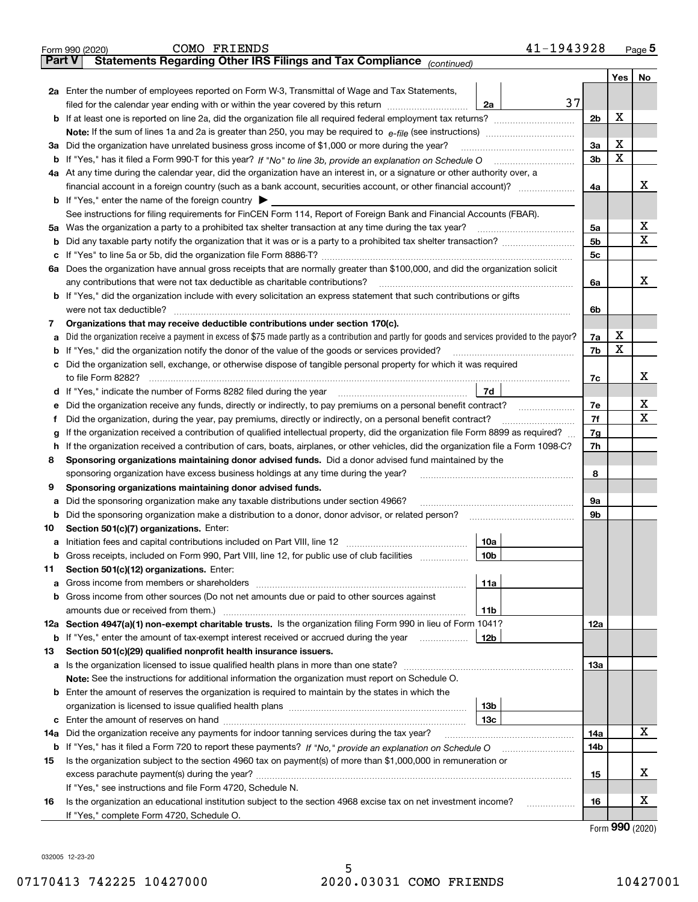| Part V | 41-1943928<br>COMO FRIENDS<br>Form 990 (2020)<br>Statements Regarding Other IRS Filings and Tax Compliance (continued)                                                                                                                                                                      |                |     | Page 5 |
|--------|---------------------------------------------------------------------------------------------------------------------------------------------------------------------------------------------------------------------------------------------------------------------------------------------|----------------|-----|--------|
|        |                                                                                                                                                                                                                                                                                             |                | Yes | No     |
|        | 2a Enter the number of employees reported on Form W-3, Transmittal of Wage and Tax Statements,<br>37<br>filed for the calendar year ending with or within the year covered by this return [11] [11] filed for the calendar year ending with or within the year covered by this return<br>2a |                |     |        |
|        | <b>b</b> If at least one is reported on line 2a, did the organization file all required federal employment tax returns?                                                                                                                                                                     | 2 <sub>b</sub> | х   |        |
|        |                                                                                                                                                                                                                                                                                             |                |     |        |
|        | 3a Did the organization have unrelated business gross income of \$1,000 or more during the year?                                                                                                                                                                                            | 3a             | х   |        |
|        |                                                                                                                                                                                                                                                                                             | 3 <sub>b</sub> | X   |        |
|        | 4a At any time during the calendar year, did the organization have an interest in, or a signature or other authority over, a                                                                                                                                                                |                |     |        |
|        |                                                                                                                                                                                                                                                                                             | 4a             |     | х      |
|        | <b>b</b> If "Yes," enter the name of the foreign country $\blacktriangleright$                                                                                                                                                                                                              |                |     |        |
|        | See instructions for filing requirements for FinCEN Form 114, Report of Foreign Bank and Financial Accounts (FBAR).                                                                                                                                                                         |                |     |        |
|        | 5a Was the organization a party to a prohibited tax shelter transaction at any time during the tax year?                                                                                                                                                                                    | 5a             |     | X      |
|        |                                                                                                                                                                                                                                                                                             | 5 <sub>b</sub> |     | Χ      |
|        |                                                                                                                                                                                                                                                                                             | 5c             |     |        |
|        | 6a Does the organization have annual gross receipts that are normally greater than \$100,000, and did the organization solicit                                                                                                                                                              |                |     |        |
|        | any contributions that were not tax deductible as charitable contributions?                                                                                                                                                                                                                 | 6a             |     | х      |
|        | b If "Yes," did the organization include with every solicitation an express statement that such contributions or gifts                                                                                                                                                                      |                |     |        |
|        | were not tax deductible?                                                                                                                                                                                                                                                                    | 6b             |     |        |
| 7      | Organizations that may receive deductible contributions under section 170(c).                                                                                                                                                                                                               |                |     |        |
| a      | Did the organization receive a payment in excess of \$75 made partly as a contribution and partly for goods and services provided to the payor?                                                                                                                                             | 7a             | х   |        |
|        | <b>b</b> If "Yes," did the organization notify the donor of the value of the goods or services provided?                                                                                                                                                                                    | 7b             | X   |        |
|        | c Did the organization sell, exchange, or otherwise dispose of tangible personal property for which it was required                                                                                                                                                                         |                |     |        |
|        | to file Form 8282?                                                                                                                                                                                                                                                                          | 7c             |     | х      |
|        | 7d<br>d If "Yes," indicate the number of Forms 8282 filed during the year                                                                                                                                                                                                                   |                |     |        |
| е      | Did the organization receive any funds, directly or indirectly, to pay premiums on a personal benefit contract?                                                                                                                                                                             | 7е             |     | х      |
| f      | Did the organization, during the year, pay premiums, directly or indirectly, on a personal benefit contract?                                                                                                                                                                                | 7f             |     | X      |
| g      | If the organization received a contribution of qualified intellectual property, did the organization file Form 8899 as required?                                                                                                                                                            | 7g             |     |        |
|        | h If the organization received a contribution of cars, boats, airplanes, or other vehicles, did the organization file a Form 1098-C?                                                                                                                                                        | 7h             |     |        |
| 8      | Sponsoring organizations maintaining donor advised funds. Did a donor advised fund maintained by the                                                                                                                                                                                        |                |     |        |
|        | sponsoring organization have excess business holdings at any time during the year?                                                                                                                                                                                                          | 8              |     |        |
| 9      | Sponsoring organizations maintaining donor advised funds.                                                                                                                                                                                                                                   |                |     |        |
| a      | Did the sponsoring organization make any taxable distributions under section 4966?                                                                                                                                                                                                          | 9а             |     |        |
|        | <b>b</b> Did the sponsoring organization make a distribution to a donor, donor advisor, or related person?                                                                                                                                                                                  | 9b             |     |        |
| 10     | Section 501(c)(7) organizations. Enter:                                                                                                                                                                                                                                                     |                |     |        |
|        | 10a                                                                                                                                                                                                                                                                                         |                |     |        |
|        | <b>b</b> Gross receipts, included on Form 990, Part VIII, line 12, for public use of club facilities<br>10b                                                                                                                                                                                 |                |     |        |
| 11     | Section 501(c)(12) organizations. Enter:                                                                                                                                                                                                                                                    |                |     |        |
| а      | 11a                                                                                                                                                                                                                                                                                         |                |     |        |
|        | <b>b</b> Gross income from other sources (Do not net amounts due or paid to other sources against                                                                                                                                                                                           |                |     |        |
|        | 11 <sub>b</sub>                                                                                                                                                                                                                                                                             |                |     |        |
|        | 12a Section 4947(a)(1) non-exempt charitable trusts. Is the organization filing Form 990 in lieu of Form 1041?                                                                                                                                                                              | 12a            |     |        |
|        | <b>b</b> If "Yes," enter the amount of tax-exempt interest received or accrued during the year<br>12b                                                                                                                                                                                       |                |     |        |
| 13     | Section 501(c)(29) qualified nonprofit health insurance issuers.                                                                                                                                                                                                                            |                |     |        |
|        |                                                                                                                                                                                                                                                                                             | 13a            |     |        |
|        | Note: See the instructions for additional information the organization must report on Schedule O.                                                                                                                                                                                           |                |     |        |
|        | <b>b</b> Enter the amount of reserves the organization is required to maintain by the states in which the                                                                                                                                                                                   |                |     |        |
|        | 13 <sub>b</sub>                                                                                                                                                                                                                                                                             |                |     |        |
|        | 13с                                                                                                                                                                                                                                                                                         |                |     | х      |
| 14a    | Did the organization receive any payments for indoor tanning services during the tax year?                                                                                                                                                                                                  | 14a            |     |        |
|        |                                                                                                                                                                                                                                                                                             | 14b            |     |        |
| 15     | Is the organization subject to the section 4960 tax on payment(s) of more than \$1,000,000 in remuneration or                                                                                                                                                                               |                |     | х      |
|        |                                                                                                                                                                                                                                                                                             | 15             |     |        |
|        | If "Yes," see instructions and file Form 4720, Schedule N.                                                                                                                                                                                                                                  |                |     | х      |
| 16     | Is the organization an educational institution subject to the section 4968 excise tax on net investment income?<br>.                                                                                                                                                                        | 16             |     |        |
|        | If "Yes," complete Form 4720, Schedule O.                                                                                                                                                                                                                                                   |                |     |        |

032005 12-23-20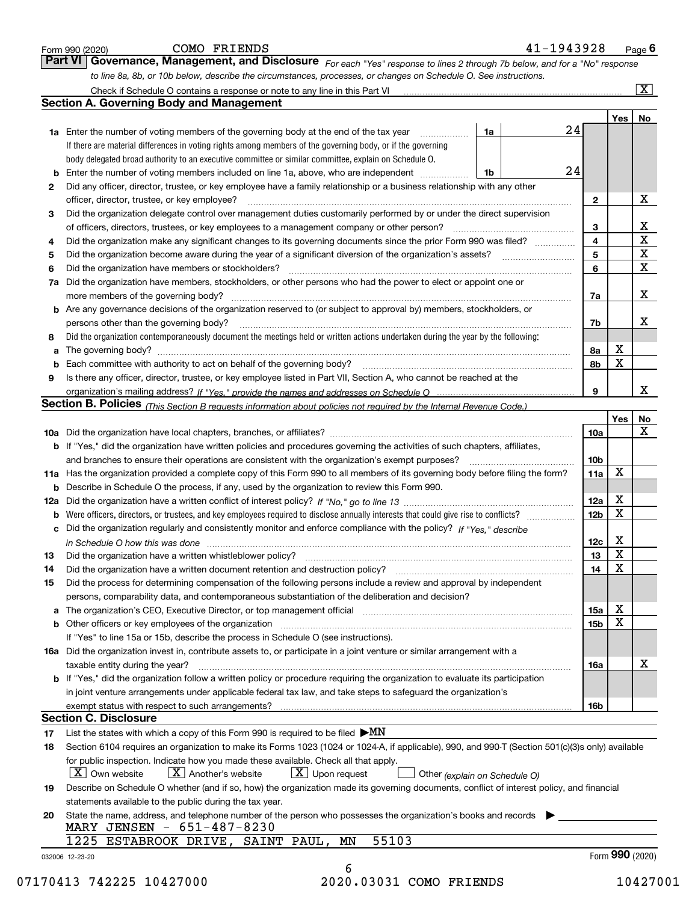|    | to line 8a, 8b, or 10b below, describe the circumstances, processes, or changes on Schedule O. See instructions.                                                                                                               |    |                 |             | $\overline{\mathbf{x}}$      |
|----|--------------------------------------------------------------------------------------------------------------------------------------------------------------------------------------------------------------------------------|----|-----------------|-------------|------------------------------|
|    | <b>Section A. Governing Body and Management</b>                                                                                                                                                                                |    |                 |             |                              |
|    |                                                                                                                                                                                                                                |    |                 |             |                              |
|    | 1a Enter the number of voting members of the governing body at the end of the tax year<br>1a                                                                                                                                   | 24 |                 | Yes         | No                           |
|    | If there are material differences in voting rights among members of the governing body, or if the governing                                                                                                                    |    |                 |             |                              |
|    |                                                                                                                                                                                                                                |    |                 |             |                              |
|    | body delegated broad authority to an executive committee or similar committee, explain on Schedule O.                                                                                                                          | 24 |                 |             |                              |
|    | 1b                                                                                                                                                                                                                             |    |                 |             |                              |
| 2  | Did any officer, director, trustee, or key employee have a family relationship or a business relationship with any other                                                                                                       |    |                 |             |                              |
|    | officer, director, trustee, or key employee?                                                                                                                                                                                   |    | $\mathbf{2}$    |             | х                            |
| 3  | Did the organization delegate control over management duties customarily performed by or under the direct supervision                                                                                                          |    |                 |             |                              |
|    | of officers, directors, trustees, or key employees to a management company or other person?                                                                                                                                    |    | 3               |             | X<br>$\overline{\mathbf{x}}$ |
| 4  | Did the organization make any significant changes to its governing documents since the prior Form 990 was filed?                                                                                                               |    | 4               |             |                              |
| 5  |                                                                                                                                                                                                                                |    | 5               |             | $\mathbf X$                  |
| 6  | Did the organization have members or stockholders?                                                                                                                                                                             |    | 6               |             | X                            |
|    | 7a Did the organization have members, stockholders, or other persons who had the power to elect or appoint one or                                                                                                              |    |                 |             |                              |
|    | more members of the governing body?                                                                                                                                                                                            |    | 7a              |             | X                            |
|    | <b>b</b> Are any governance decisions of the organization reserved to (or subject to approval by) members, stockholders, or                                                                                                    |    |                 |             |                              |
|    | persons other than the governing body?                                                                                                                                                                                         |    | 7b              |             | X                            |
| 8  | Did the organization contemporaneously document the meetings held or written actions undertaken during the year by the following:                                                                                              |    |                 |             |                              |
| a  |                                                                                                                                                                                                                                |    | 8а              | X           |                              |
|    |                                                                                                                                                                                                                                |    | 8b              | $\mathbf X$ |                              |
| 9  | Is there any officer, director, trustee, or key employee listed in Part VII, Section A, who cannot be reached at the                                                                                                           |    |                 |             |                              |
|    |                                                                                                                                                                                                                                |    | 9               |             | X                            |
|    | Section B. Policies (This Section B requests information about policies not required by the Internal Revenue Code.)                                                                                                            |    |                 |             |                              |
|    |                                                                                                                                                                                                                                |    |                 | Yes         | No                           |
|    |                                                                                                                                                                                                                                |    | 10a             |             | X                            |
|    | <b>b</b> If "Yes," did the organization have written policies and procedures governing the activities of such chapters, affiliates,                                                                                            |    |                 |             |                              |
|    | and branches to ensure their operations are consistent with the organization's exempt purposes?                                                                                                                                |    | 10 <sub>b</sub> |             |                              |
|    | 11a Has the organization provided a complete copy of this Form 990 to all members of its governing body before filing the form?                                                                                                |    | 11a             | X           |                              |
|    | <b>b</b> Describe in Schedule O the process, if any, used by the organization to review this Form 990.                                                                                                                         |    |                 |             |                              |
|    |                                                                                                                                                                                                                                |    | 12a             | X           |                              |
|    | <b>b</b> Were officers, directors, or trustees, and key employees required to disclose annually interests that could give rise to conflicts?                                                                                   |    | 12 <sub>b</sub> | $\mathbf X$ |                              |
|    | c Did the organization regularly and consistently monitor and enforce compliance with the policy? If "Yes," describe                                                                                                           |    |                 |             |                              |
|    | in Schedule O how this was done manufactured and continuum control of the state of the state of the state of t                                                                                                                 |    | 12c             | X           |                              |
| 13 | Did the organization have a written whistleblower policy?                                                                                                                                                                      |    | 13              | X           |                              |
| 14 | Did the organization have a written document retention and destruction policy? [11] manufaction policy? [11] manufaction policy? [11] manufaction policy? [11] manufaction policy? [11] manufaction policy? [11] manufaction p |    | 14              | X           |                              |
| 15 | Did the process for determining compensation of the following persons include a review and approval by independent                                                                                                             |    |                 |             |                              |
|    | persons, comparability data, and contemporaneous substantiation of the deliberation and decision?                                                                                                                              |    |                 |             |                              |
|    | a The organization's CEO, Executive Director, or top management official [111] [11] manument material manument                                                                                                                 |    | 15a             | X           |                              |
|    |                                                                                                                                                                                                                                |    | 15 <sub>b</sub> | X           |                              |
|    | If "Yes" to line 15a or 15b, describe the process in Schedule O (see instructions).                                                                                                                                            |    |                 |             |                              |
|    |                                                                                                                                                                                                                                |    |                 |             |                              |
|    | 16a Did the organization invest in, contribute assets to, or participate in a joint venture or similar arrangement with a                                                                                                      |    |                 |             | X                            |
|    | taxable entity during the year?                                                                                                                                                                                                |    | 16a             |             |                              |
|    | b If "Yes," did the organization follow a written policy or procedure requiring the organization to evaluate its participation                                                                                                 |    |                 |             |                              |
|    | in joint venture arrangements under applicable federal tax law, and take steps to safeguard the organization's                                                                                                                 |    |                 |             |                              |
|    |                                                                                                                                                                                                                                |    | 16b             |             |                              |
|    | <b>Section C. Disclosure</b>                                                                                                                                                                                                   |    |                 |             |                              |
| 17 | List the states with which a copy of this Form 990 is required to be filed $\blacktriangleright MN$                                                                                                                            |    |                 |             |                              |
| 18 | Section 6104 requires an organization to make its Forms 1023 (1024 or 1024-A, if applicable), 990, and 990-T (Section 501(c)(3)s only) available                                                                               |    |                 |             |                              |
|    | for public inspection. Indicate how you made these available. Check all that apply.                                                                                                                                            |    |                 |             |                              |
|    | $\lfloor x \rfloor$ Upon request<br>$\mid$ $\rm X\mid$ Own website<br>$X$ Another's website<br>Other (explain on Schedule O)                                                                                                   |    |                 |             |                              |
| 19 | Describe on Schedule O whether (and if so, how) the organization made its governing documents, conflict of interest policy, and financial                                                                                      |    |                 |             |                              |
|    | statements available to the public during the tax year.                                                                                                                                                                        |    |                 |             |                              |
| 20 | State the name, address, and telephone number of the person who possesses the organization's books and records                                                                                                                 |    |                 |             |                              |
|    | MARY JENSEN - 651-487-8230                                                                                                                                                                                                     |    |                 |             |                              |
|    |                                                                                                                                                                                                                                |    |                 |             |                              |
|    | 55103<br>1225 ESTABROOK DRIVE, SAINT PAUL, MN                                                                                                                                                                                  |    |                 |             |                              |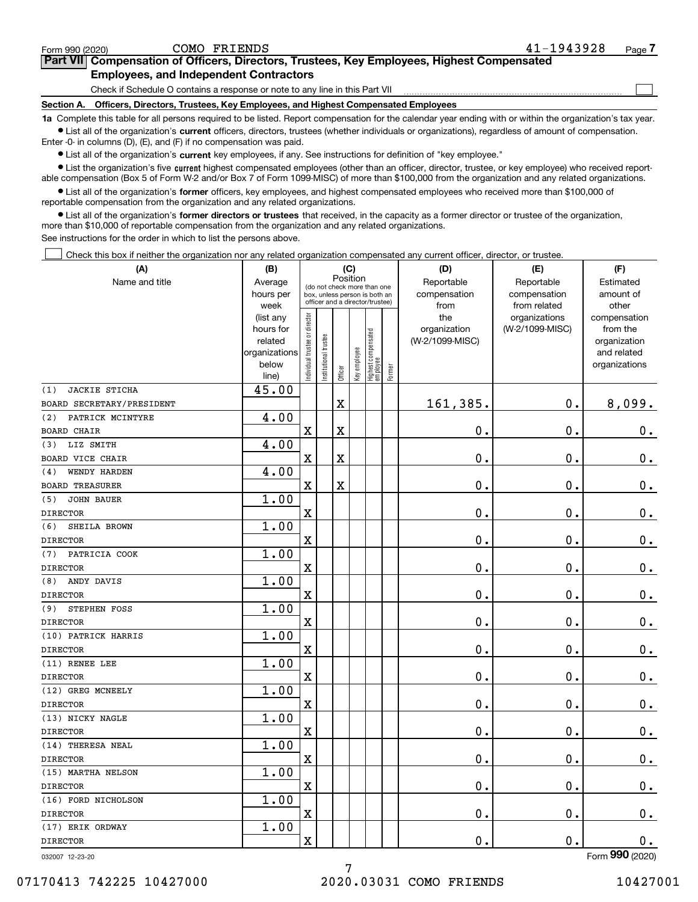### 07170413 742225 10427000 2020.03031 COMO FRIENDS 10427001

7

### Form (2020) **990**

| Form 990 (2020) |                                               | COMO FRIENDS | 41-1943928                                                                                 | Page 7 |
|-----------------|-----------------------------------------------|--------------|--------------------------------------------------------------------------------------------|--------|
|                 |                                               |              | Part VII Compensation of Officers, Directors, Trustees, Key Employees, Highest Compensated |        |
|                 | <b>Employees, and Independent Contractors</b> |              |                                                                                            |        |

Check if Schedule O contains a response or note to any line in this Part VII

**Section A. Officers, Directors, Trustees, Key Employees, and Highest Compensated Employees**

**1a**  Complete this table for all persons required to be listed. Report compensation for the calendar year ending with or within the organization's tax year. **•** List all of the organization's current officers, directors, trustees (whether individuals or organizations), regardless of amount of compensation.

Enter -0- in columns (D), (E), and (F) if no compensation was paid.

 $\bullet$  List all of the organization's  $\,$ current key employees, if any. See instructions for definition of "key employee."

**•** List the organization's five current highest compensated employees (other than an officer, director, trustee, or key employee) who received reportable compensation (Box 5 of Form W-2 and/or Box 7 of Form 1099-MISC) of more than \$100,000 from the organization and any related organizations.

**•** List all of the organization's former officers, key employees, and highest compensated employees who received more than \$100,000 of reportable compensation from the organization and any related organizations.

**former directors or trustees**  ¥ List all of the organization's that received, in the capacity as a former director or trustee of the organization, more than \$10,000 of reportable compensation from the organization and any related organizations.

See instructions for the order in which to list the persons above.

Check this box if neither the organization nor any related organization compensated any current officer, director, or trustee.

| (A)                         | (B)                  |                               |                                 |             | (C)          |                                  |        | (D)             | (E)             | (F)                         |
|-----------------------------|----------------------|-------------------------------|---------------------------------|-------------|--------------|----------------------------------|--------|-----------------|-----------------|-----------------------------|
| Name and title              | Average              |                               | (do not check more than one     | Position    |              |                                  |        | Reportable      | Reportable      | Estimated                   |
|                             | hours per            |                               | box, unless person is both an   |             |              |                                  |        | compensation    | compensation    | amount of                   |
|                             | week                 |                               | officer and a director/trustee) |             |              |                                  |        | from            | from related    | other                       |
|                             | (list any            | ndividual trustee or director |                                 |             |              |                                  |        | the             | organizations   | compensation                |
|                             | hours for<br>related |                               |                                 |             |              |                                  |        | organization    | (W-2/1099-MISC) | from the                    |
|                             | organizations        |                               |                                 |             |              |                                  |        | (W-2/1099-MISC) |                 | organization<br>and related |
|                             | below                |                               |                                 |             |              |                                  |        |                 |                 | organizations               |
|                             | line)                |                               | nstitutional trustee            | Officer     | Key employee | Highest compensated<br> employee | Former |                 |                 |                             |
| <b>JACKIE STICHA</b><br>(1) | 45.00                |                               |                                 |             |              |                                  |        |                 |                 |                             |
| BOARD SECRETARY/PRESIDENT   |                      |                               |                                 | $\rm X$     |              |                                  |        | 161,385.        | 0.              | 8,099.                      |
| PATRICK MCINTYRE<br>(2)     | 4.00                 |                               |                                 |             |              |                                  |        |                 |                 |                             |
| <b>BOARD CHAIR</b>          |                      | $\overline{\textbf{X}}$       |                                 | $\rm X$     |              |                                  |        | 0.              | 0.              | $0_{.}$                     |
| LIZ SMITH<br>(3)            | 4.00                 |                               |                                 |             |              |                                  |        |                 |                 |                             |
| <b>BOARD VICE CHAIR</b>     |                      | $\overline{\textbf{X}}$       |                                 | $\mathbf X$ |              |                                  |        | $\mathbf 0$ .   | $\mathbf 0$ .   | $0$ .                       |
| WENDY HARDEN<br>(4)         | 4.00                 |                               |                                 |             |              |                                  |        |                 |                 |                             |
| <b>BOARD TREASURER</b>      |                      | $\mathbf X$                   |                                 | $\mathbf X$ |              |                                  |        | 0.              | 0.              | $\mathbf 0$ .               |
| (5)<br><b>JOHN BAUER</b>    | 1.00                 |                               |                                 |             |              |                                  |        |                 |                 |                             |
| <b>DIRECTOR</b>             |                      | $\mathbf X$                   |                                 |             |              |                                  |        | 0.              | 0.              | $0_{.}$                     |
| (6)<br>SHEILA BROWN         | 1.00                 |                               |                                 |             |              |                                  |        |                 |                 |                             |
| <b>DIRECTOR</b>             |                      | $\overline{\textbf{X}}$       |                                 |             |              |                                  |        | 0.              | 0.              | 0.                          |
| PATRICIA COOK<br>(7)        | 1.00                 |                               |                                 |             |              |                                  |        |                 |                 |                             |
| <b>DIRECTOR</b>             |                      | $\mathbf X$                   |                                 |             |              |                                  |        | 0.              | $\mathbf 0$ .   | $0_{.}$                     |
| (8)<br>ANDY DAVIS           | 1.00                 |                               |                                 |             |              |                                  |        |                 |                 |                             |
| <b>DIRECTOR</b>             |                      | $\mathbf X$                   |                                 |             |              |                                  |        | 0.              | 0.              | $0_{\cdot}$                 |
| STEPHEN FOSS<br>(9)         | 1.00                 |                               |                                 |             |              |                                  |        |                 |                 |                             |
| <b>DIRECTOR</b>             |                      | $\mathbf X$                   |                                 |             |              |                                  |        | 0.              | $\mathbf 0$ .   | $\mathbf 0$ .               |
| (10) PATRICK HARRIS         | 1.00                 |                               |                                 |             |              |                                  |        |                 |                 |                             |
| <b>DIRECTOR</b>             |                      | $\overline{\textbf{X}}$       |                                 |             |              |                                  |        | 0.              | 0.              | $0$ .                       |
| (11) RENEE LEE              | 1.00                 |                               |                                 |             |              |                                  |        |                 |                 |                             |
| <b>DIRECTOR</b>             |                      | $\overline{\textbf{X}}$       |                                 |             |              |                                  |        | 0.              | $\mathbf 0$ .   | $\mathbf 0$ .               |
| (12) GREG MCNEELY           | 1.00                 |                               |                                 |             |              |                                  |        |                 |                 |                             |
| <b>DIRECTOR</b>             |                      | $\overline{\textbf{X}}$       |                                 |             |              |                                  |        | 0.              | $\mathbf 0$ .   | 0.                          |
| (13) NICKY NAGLE            | 1.00                 |                               |                                 |             |              |                                  |        |                 |                 |                             |
| <b>DIRECTOR</b>             |                      | $\mathbf X$                   |                                 |             |              |                                  |        | 0.              | 0.              | $\mathbf 0$ .               |
| (14) THERESA NEAL           | 1.00                 |                               |                                 |             |              |                                  |        |                 |                 |                             |
| <b>DIRECTOR</b>             |                      | $\mathbf X$                   |                                 |             |              |                                  |        | 0.              | 0.              | $\mathbf 0$ .               |
| (15) MARTHA NELSON          | 1.00                 |                               |                                 |             |              |                                  |        |                 |                 |                             |
| <b>DIRECTOR</b>             |                      | $\mathbf X$                   |                                 |             |              |                                  |        | 0.              | 0.              | $\mathbf 0$ .               |
| (16) FORD NICHOLSON         | 1.00                 |                               |                                 |             |              |                                  |        |                 |                 |                             |
| <b>DIRECTOR</b>             |                      | $\overline{\textbf{X}}$       |                                 |             |              |                                  |        | 0.              | $\mathbf 0$ .   | $\mathbf 0$ .               |
| (17) ERIK ORDWAY            | 1.00                 |                               |                                 |             |              |                                  |        |                 |                 |                             |
| <b>DIRECTOR</b>             |                      | $\overline{\textbf{X}}$       |                                 |             |              |                                  |        | 0.              | 0.              | 0.                          |
|                             |                      |                               |                                 |             |              |                                  |        |                 |                 | $000 \text{ (0000)}$        |

 $\mathcal{L}^{\text{max}}$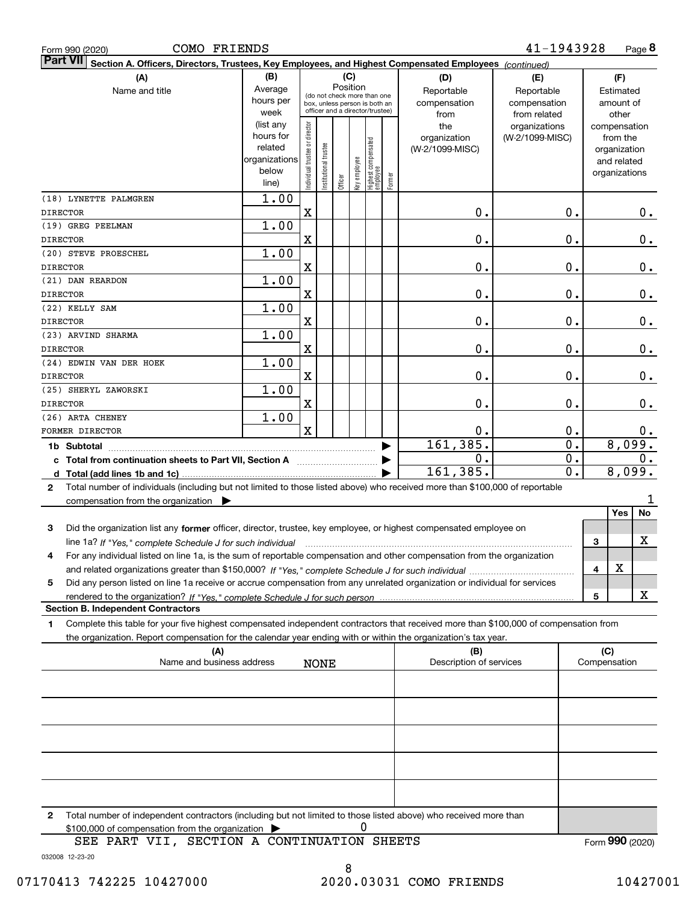| COMO FRIENDS<br>Form 990 (2020)                                                                                                                  |                      |                                |                                 |          |              |                                 |        |                         | 41-1943928      |       |              |                             | Page 8          |
|--------------------------------------------------------------------------------------------------------------------------------------------------|----------------------|--------------------------------|---------------------------------|----------|--------------|---------------------------------|--------|-------------------------|-----------------|-------|--------------|-----------------------------|-----------------|
| Part VII<br>Section A. Officers, Directors, Trustees, Key Employees, and Highest Compensated Employees (continued)                               |                      |                                |                                 |          |              |                                 |        |                         |                 |       |              |                             |                 |
| (A)                                                                                                                                              | (B)                  |                                |                                 | (C)      |              |                                 |        | (D)                     | (E)             |       |              | (F)                         |                 |
| Name and title                                                                                                                                   | Average              |                                | (do not check more than one     | Position |              |                                 |        | Reportable              | Reportable      |       |              | Estimated                   |                 |
|                                                                                                                                                  | hours per            |                                | box, unless person is both an   |          |              |                                 |        | compensation            | compensation    |       |              | amount of                   |                 |
|                                                                                                                                                  | week                 |                                | officer and a director/trustee) |          |              |                                 |        | from                    | from related    |       |              | other                       |                 |
|                                                                                                                                                  | (list any            |                                |                                 |          |              |                                 |        | the                     | organizations   |       |              | compensation                |                 |
|                                                                                                                                                  | hours for<br>related |                                |                                 |          |              |                                 |        | organization            | (W-2/1099-MISC) |       |              | from the                    |                 |
|                                                                                                                                                  | organizations        |                                |                                 |          |              |                                 |        | (W-2/1099-MISC)         |                 |       |              | organization<br>and related |                 |
|                                                                                                                                                  | below                |                                |                                 |          |              |                                 |        |                         |                 |       |              | organizations               |                 |
|                                                                                                                                                  | line)                | Individual trustee or director | Institutional trustee           | Officer  | Key employee | Highest compensated<br>employee | Former |                         |                 |       |              |                             |                 |
| (18) LYNETTE PALMGREN                                                                                                                            | 1.00                 |                                |                                 |          |              |                                 |        |                         |                 |       |              |                             |                 |
| <b>DIRECTOR</b>                                                                                                                                  |                      | X                              |                                 |          |              |                                 |        | Ο.                      |                 | 0.    |              |                             | 0.              |
| (19) GREG PEELMAN                                                                                                                                | 1.00                 |                                |                                 |          |              |                                 |        |                         |                 |       |              |                             |                 |
| <b>DIRECTOR</b>                                                                                                                                  |                      | X                              |                                 |          |              |                                 |        | Ο.                      |                 | 0.    |              |                             | 0.              |
| (20) STEVE PROESCHEL                                                                                                                             | 1.00                 |                                |                                 |          |              |                                 |        |                         |                 |       |              |                             |                 |
| <b>DIRECTOR</b>                                                                                                                                  |                      | X                              |                                 |          |              |                                 |        | Ο.                      |                 | 0.    |              |                             | 0.              |
| (21) DAN REARDON                                                                                                                                 | 1.00                 |                                |                                 |          |              |                                 |        |                         |                 |       |              |                             |                 |
| <b>DIRECTOR</b>                                                                                                                                  |                      | X                              |                                 |          |              |                                 |        | Ο.                      |                 | 0.    |              |                             | 0.              |
| (22) KELLY SAM                                                                                                                                   | 1.00                 |                                |                                 |          |              |                                 |        |                         |                 |       |              |                             |                 |
| <b>DIRECTOR</b>                                                                                                                                  |                      | X                              |                                 |          |              |                                 |        | Ο.                      |                 | 0.    |              |                             | 0.              |
| (23) ARVIND SHARMA                                                                                                                               | 1.00                 |                                |                                 |          |              |                                 |        |                         |                 |       |              |                             |                 |
| <b>DIRECTOR</b>                                                                                                                                  |                      | X                              |                                 |          |              |                                 |        | Ο.                      |                 | 0.    |              |                             | 0.              |
| (24) EDWIN VAN DER HOEK                                                                                                                          | 1.00                 |                                |                                 |          |              |                                 |        |                         |                 |       |              |                             |                 |
| <b>DIRECTOR</b>                                                                                                                                  |                      | X                              |                                 |          |              |                                 |        | Ο.                      |                 | 0.    |              |                             | 0.              |
| (25) SHERYL ZAWORSKI                                                                                                                             | 1.00                 |                                |                                 |          |              |                                 |        |                         |                 |       |              |                             |                 |
| <b>DIRECTOR</b>                                                                                                                                  |                      | X                              |                                 |          |              |                                 |        | Ο.                      |                 | 0.    |              |                             | 0.              |
| (26) ARTA CHENEY                                                                                                                                 | 1.00                 |                                |                                 |          |              |                                 |        |                         |                 |       |              |                             |                 |
| FORMER DIRECTOR                                                                                                                                  |                      | $\overline{\text{X}}$          |                                 |          |              |                                 |        | 0.                      |                 | 0.    |              |                             | $0$ .           |
|                                                                                                                                                  |                      |                                |                                 |          |              |                                 |        | 161, 385.               |                 | 0.    |              |                             | 8,099.          |
| 1b Subtotal                                                                                                                                      |                      |                                |                                 |          |              |                                 |        | 0.                      |                 | $0$ . |              |                             | 0.              |
| c Total from continuation sheets to Part VII, Section A manufactor continuum                                                                     |                      |                                |                                 |          |              |                                 |        | 161,385.                |                 | 0.    |              |                             | 8,099.          |
| d Total (add lines 1b and 1c)                                                                                                                    |                      |                                |                                 |          |              |                                 |        |                         |                 |       |              |                             |                 |
| Total number of individuals (including but not limited to those listed above) who received more than \$100,000 of reportable<br>$\mathbf{2}$     |                      |                                |                                 |          |              |                                 |        |                         |                 |       |              |                             | 1               |
| compensation from the organization $\blacktriangleright$                                                                                         |                      |                                |                                 |          |              |                                 |        |                         |                 |       |              | Yes                         | No              |
|                                                                                                                                                  |                      |                                |                                 |          |              |                                 |        |                         |                 |       |              |                             |                 |
| Did the organization list any former officer, director, trustee, key employee, or highest compensated employee on<br>3                           |                      |                                |                                 |          |              |                                 |        |                         |                 |       |              |                             | X               |
| line 1a? If "Yes," complete Schedule J for such individual material content content to the 1a? If "Yes," complete Schedule J for such individual |                      |                                |                                 |          |              |                                 |        |                         |                 |       | 3            |                             |                 |
| 4<br>For any individual listed on line 1a, is the sum of reportable compensation and other compensation from the organization                    |                      |                                |                                 |          |              |                                 |        |                         |                 |       |              | X                           |                 |
| Did any person listed on line 1a receive or accrue compensation from any unrelated organization or individual for services                       |                      |                                |                                 |          |              |                                 |        |                         |                 |       | 4            |                             |                 |
| 5                                                                                                                                                |                      |                                |                                 |          |              |                                 |        |                         |                 |       |              |                             | x               |
| <b>Section B. Independent Contractors</b>                                                                                                        |                      |                                |                                 |          |              |                                 |        |                         |                 |       | 5            |                             |                 |
| Complete this table for your five highest compensated independent contractors that received more than \$100,000 of compensation from<br>1        |                      |                                |                                 |          |              |                                 |        |                         |                 |       |              |                             |                 |
|                                                                                                                                                  |                      |                                |                                 |          |              |                                 |        |                         |                 |       |              |                             |                 |
| the organization. Report compensation for the calendar year ending with or within the organization's tax year.<br>(A)                            |                      |                                |                                 |          |              |                                 |        | (B)                     |                 |       | (C)          |                             |                 |
| Name and business address                                                                                                                        |                      |                                | <b>NONE</b>                     |          |              |                                 |        | Description of services |                 |       | Compensation |                             |                 |
|                                                                                                                                                  |                      |                                |                                 |          |              |                                 |        |                         |                 |       |              |                             |                 |
|                                                                                                                                                  |                      |                                |                                 |          |              |                                 |        |                         |                 |       |              |                             |                 |
|                                                                                                                                                  |                      |                                |                                 |          |              |                                 |        |                         |                 |       |              |                             |                 |
|                                                                                                                                                  |                      |                                |                                 |          |              |                                 |        |                         |                 |       |              |                             |                 |
|                                                                                                                                                  |                      |                                |                                 |          |              |                                 |        |                         |                 |       |              |                             |                 |
|                                                                                                                                                  |                      |                                |                                 |          |              |                                 |        |                         |                 |       |              |                             |                 |
|                                                                                                                                                  |                      |                                |                                 |          |              |                                 |        |                         |                 |       |              |                             |                 |
|                                                                                                                                                  |                      |                                |                                 |          |              |                                 |        |                         |                 |       |              |                             |                 |
|                                                                                                                                                  |                      |                                |                                 |          |              |                                 |        |                         |                 |       |              |                             |                 |
|                                                                                                                                                  |                      |                                |                                 |          |              |                                 |        |                         |                 |       |              |                             |                 |
| Total number of independent contractors (including but not limited to those listed above) who received more than<br>$\mathbf{2}$                 |                      |                                |                                 |          |              |                                 |        |                         |                 |       |              |                             |                 |
| \$100,000 of compensation from the organization                                                                                                  |                      |                                |                                 |          | 0            |                                 |        |                         |                 |       |              |                             |                 |
| SEE PART VII, SECTION A CONTINUATION SHEETS                                                                                                      |                      |                                |                                 |          |              |                                 |        |                         |                 |       |              |                             | Form 990 (2020) |
|                                                                                                                                                  |                      |                                |                                 |          |              |                                 |        |                         |                 |       |              |                             |                 |

032008 12-23-20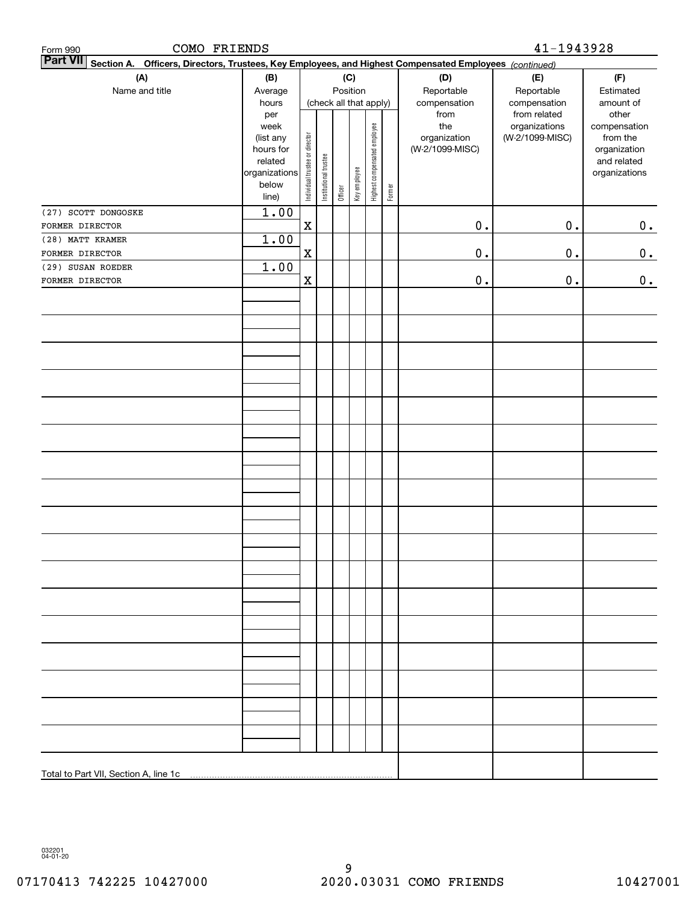| COMO FRIENDS<br>Form 990                                                                                                  |                                                                                              |                                |                       |         |                                        |                              |        |                                                                | 41-1943928                                                       |                                                                                                |
|---------------------------------------------------------------------------------------------------------------------------|----------------------------------------------------------------------------------------------|--------------------------------|-----------------------|---------|----------------------------------------|------------------------------|--------|----------------------------------------------------------------|------------------------------------------------------------------|------------------------------------------------------------------------------------------------|
| <b>Part VII</b><br>Section A. Officers, Directors, Trustees, Key Employees, and Highest Compensated Employees (continued) |                                                                                              |                                |                       |         |                                        |                              |        |                                                                |                                                                  |                                                                                                |
| (A)                                                                                                                       | (B)                                                                                          |                                |                       |         | (C)                                    |                              |        | (D)                                                            | (E)                                                              | (F)                                                                                            |
| Name and title                                                                                                            | Average                                                                                      |                                |                       |         | Position                               |                              |        | Reportable                                                     | Reportable                                                       | Estimated                                                                                      |
|                                                                                                                           | hours<br>per<br>week<br>(list any<br>hours for<br>related<br>organizations<br>below<br>line) | Individual trustee or director | Institutional trustee | Officer | (check all that apply)<br>Key employee | Highest compensated employee | Former | compensation<br>from<br>the<br>organization<br>(W-2/1099-MISC) | compensation<br>from related<br>organizations<br>(W-2/1099-MISC) | amount of<br>other<br>compensation<br>from the<br>organization<br>and related<br>organizations |
| (27) SCOTT DONGOSKE                                                                                                       | 1.00                                                                                         |                                |                       |         |                                        |                              |        |                                                                |                                                                  |                                                                                                |
| FORMER DIRECTOR                                                                                                           |                                                                                              | X                              |                       |         |                                        |                              |        | $0$ .                                                          | $\mathbf 0$ .                                                    | 0.                                                                                             |
| (28) MATT KRAMER                                                                                                          | 1.00                                                                                         |                                |                       |         |                                        |                              |        |                                                                |                                                                  |                                                                                                |
| FORMER DIRECTOR                                                                                                           |                                                                                              | $\mathbf X$                    |                       |         |                                        |                              |        | 0.                                                             | 0.                                                               | 0.                                                                                             |
| (29) SUSAN ROEDER                                                                                                         | 1.00                                                                                         |                                |                       |         |                                        |                              |        |                                                                |                                                                  |                                                                                                |
| FORMER DIRECTOR                                                                                                           |                                                                                              | $\mathbf X$                    |                       |         |                                        |                              |        | 0.                                                             | 0.                                                               | $0_{.}$                                                                                        |
|                                                                                                                           |                                                                                              |                                |                       |         |                                        |                              |        |                                                                |                                                                  |                                                                                                |
|                                                                                                                           |                                                                                              |                                |                       |         |                                        |                              |        |                                                                |                                                                  |                                                                                                |
|                                                                                                                           |                                                                                              |                                |                       |         |                                        |                              |        |                                                                |                                                                  |                                                                                                |
|                                                                                                                           |                                                                                              |                                |                       |         |                                        |                              |        |                                                                |                                                                  |                                                                                                |
|                                                                                                                           |                                                                                              |                                |                       |         |                                        |                              |        |                                                                |                                                                  |                                                                                                |
|                                                                                                                           |                                                                                              |                                |                       |         |                                        |                              |        |                                                                |                                                                  |                                                                                                |
|                                                                                                                           |                                                                                              |                                |                       |         |                                        |                              |        |                                                                |                                                                  |                                                                                                |
|                                                                                                                           |                                                                                              |                                |                       |         |                                        |                              |        |                                                                |                                                                  |                                                                                                |
|                                                                                                                           |                                                                                              |                                |                       |         |                                        |                              |        |                                                                |                                                                  |                                                                                                |
|                                                                                                                           |                                                                                              |                                |                       |         |                                        |                              |        |                                                                |                                                                  |                                                                                                |
|                                                                                                                           |                                                                                              |                                |                       |         |                                        |                              |        |                                                                |                                                                  |                                                                                                |
|                                                                                                                           |                                                                                              |                                |                       |         |                                        |                              |        |                                                                |                                                                  |                                                                                                |
|                                                                                                                           |                                                                                              |                                |                       |         |                                        |                              |        |                                                                |                                                                  |                                                                                                |
|                                                                                                                           |                                                                                              |                                |                       |         |                                        |                              |        |                                                                |                                                                  |                                                                                                |
|                                                                                                                           |                                                                                              |                                |                       |         |                                        |                              |        |                                                                |                                                                  |                                                                                                |
|                                                                                                                           |                                                                                              |                                |                       |         |                                        |                              |        |                                                                |                                                                  |                                                                                                |
|                                                                                                                           |                                                                                              |                                |                       |         |                                        |                              |        |                                                                |                                                                  |                                                                                                |
|                                                                                                                           |                                                                                              |                                |                       |         |                                        |                              |        |                                                                |                                                                  |                                                                                                |
|                                                                                                                           |                                                                                              |                                |                       |         |                                        |                              |        |                                                                |                                                                  |                                                                                                |
|                                                                                                                           |                                                                                              |                                |                       |         |                                        |                              |        |                                                                |                                                                  |                                                                                                |
|                                                                                                                           |                                                                                              |                                |                       |         |                                        |                              |        |                                                                |                                                                  |                                                                                                |
|                                                                                                                           |                                                                                              |                                |                       |         |                                        |                              |        |                                                                |                                                                  |                                                                                                |
|                                                                                                                           |                                                                                              |                                |                       |         |                                        |                              |        |                                                                |                                                                  |                                                                                                |
|                                                                                                                           |                                                                                              |                                |                       |         |                                        |                              |        |                                                                |                                                                  |                                                                                                |
|                                                                                                                           |                                                                                              |                                |                       |         |                                        |                              |        |                                                                |                                                                  |                                                                                                |
|                                                                                                                           |                                                                                              |                                |                       |         |                                        |                              |        |                                                                |                                                                  |                                                                                                |
|                                                                                                                           |                                                                                              |                                |                       |         |                                        |                              |        |                                                                |                                                                  |                                                                                                |

032201 04-01-20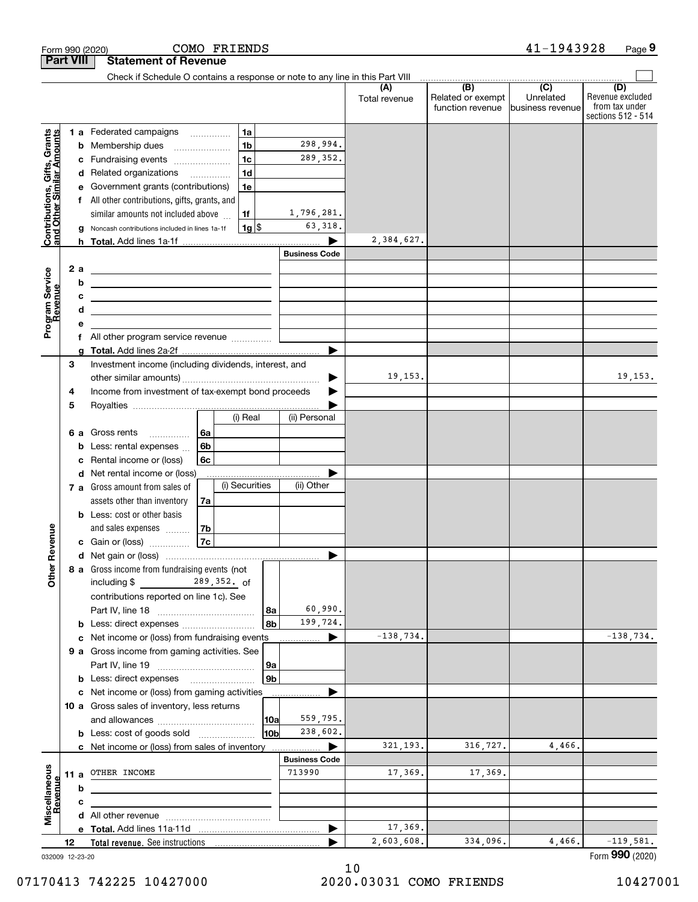| <b>Part VIII</b><br><b>Statement of Revenue</b><br>Check if Schedule O contains a response or note to any line in this Part VIII<br>$\overline{(B)}$<br>$\overline{(C)}$<br>(D)<br>(A)<br>Related or exempt<br>Unrelated<br>Total revenue<br>function revenue business revenue<br>1a<br>1 a Federated campaigns<br>Contributions, Gifts, Grants<br>and Other Similar Amounts<br>1 <sub>b</sub><br>298,994.<br>Membership dues<br>b<br>1 <sub>c</sub><br>289,352.<br>Fundraising events<br>c<br>1 <sub>d</sub><br>d Related organizations<br>$\overline{\phantom{a}}$<br>1e<br>Government grants (contributions)<br>е<br>All other contributions, gifts, grants, and<br>1,796,281.<br>similar amounts not included above<br>1f<br>63,318.<br>$1g$ \$<br>Noncash contributions included in lines 1a-1f<br>2,384,627.<br><b>Business Code</b><br>Program Service<br>2 a<br><u> 1980 - Johann Barn, fransk politik fotograf (</u><br>b<br><u>and the contract of the contract of the contract of the contract of the contract of the contract of the contract of the contract of the contract of the contract of the contract of the contract of the contract of the contr</u><br>Revenue<br>c<br><u> 1999 - Johann Barbara, martin amerikan basar da</u><br>d<br>е<br>f All other program service revenue<br>a<br>3<br>Investment income (including dividends, interest, and<br>19,153.<br>Income from investment of tax-exempt bond proceeds<br>4<br>5<br>(i) Real<br>(ii) Personal<br>Gross rents<br>l 6a<br>6а<br>6 <sub>b</sub><br>Less: rental expenses<br>b<br>6c<br>Rental income or (loss)<br>c<br>Net rental income or (loss)<br>d<br>(i) Securities<br>(ii) Other<br>7 a Gross amount from sales of<br>assets other than inventory<br>7a<br><b>b</b> Less: cost or other basis<br>venue<br>and sales expenses<br>7b<br>7c<br>c Gain or (loss)<br>Other R<br>8 a Gross income from fundraising events (not<br>including \$<br>$289,352.$ of<br>contributions reported on line 1c). See<br>60,990.<br>8а<br>8b<br>199,724.<br>b Less: direct expenses<br>$-138,734.$<br>c Net income or (loss) from fundraising events<br>▶<br>9 a Gross income from gaming activities. See<br>9а<br>9 <sub>b</sub><br>c Net income or (loss) from gaming activities<br>10 a Gross sales of inventory, less returns<br>559,795.<br> 10a<br>238,602.<br>10b<br><b>b</b> Less: cost of goods sold<br>321, 193.<br>316,727.<br>4,466.<br>c Net income or (loss) from sales of inventory<br><b>Business Code</b><br>Miscellaneous<br>713990<br>17,369.<br>17,369.<br>OTHER INCOME<br>11 a<br>Revenue<br>b<br>c<br>17,369.<br>▶<br>2,603,608.<br>334,096.<br>4,466.<br>12<br>Total revenue. See instructions |  | COMO FRIENDS<br>Form 990 (2020) |  | 41-1943928 | Page 9                                                   |
|----------------------------------------------------------------------------------------------------------------------------------------------------------------------------------------------------------------------------------------------------------------------------------------------------------------------------------------------------------------------------------------------------------------------------------------------------------------------------------------------------------------------------------------------------------------------------------------------------------------------------------------------------------------------------------------------------------------------------------------------------------------------------------------------------------------------------------------------------------------------------------------------------------------------------------------------------------------------------------------------------------------------------------------------------------------------------------------------------------------------------------------------------------------------------------------------------------------------------------------------------------------------------------------------------------------------------------------------------------------------------------------------------------------------------------------------------------------------------------------------------------------------------------------------------------------------------------------------------------------------------------------------------------------------------------------------------------------------------------------------------------------------------------------------------------------------------------------------------------------------------------------------------------------------------------------------------------------------------------------------------------------------------------------------------------------------------------------------------------------------------------------------------------------------------------------------------------------------------------------------------------------------------------------------------------------------------------------------------------------------------------------------------------------------------------------------------------------------------------------------------------------------------------------------------------------------------------------------------------------------------------------------------------------------------------------------|--|---------------------------------|--|------------|----------------------------------------------------------|
|                                                                                                                                                                                                                                                                                                                                                                                                                                                                                                                                                                                                                                                                                                                                                                                                                                                                                                                                                                                                                                                                                                                                                                                                                                                                                                                                                                                                                                                                                                                                                                                                                                                                                                                                                                                                                                                                                                                                                                                                                                                                                                                                                                                                                                                                                                                                                                                                                                                                                                                                                                                                                                                                                              |  |                                 |  |            |                                                          |
|                                                                                                                                                                                                                                                                                                                                                                                                                                                                                                                                                                                                                                                                                                                                                                                                                                                                                                                                                                                                                                                                                                                                                                                                                                                                                                                                                                                                                                                                                                                                                                                                                                                                                                                                                                                                                                                                                                                                                                                                                                                                                                                                                                                                                                                                                                                                                                                                                                                                                                                                                                                                                                                                                              |  |                                 |  |            |                                                          |
|                                                                                                                                                                                                                                                                                                                                                                                                                                                                                                                                                                                                                                                                                                                                                                                                                                                                                                                                                                                                                                                                                                                                                                                                                                                                                                                                                                                                                                                                                                                                                                                                                                                                                                                                                                                                                                                                                                                                                                                                                                                                                                                                                                                                                                                                                                                                                                                                                                                                                                                                                                                                                                                                                              |  |                                 |  |            | Revenue excluded<br>from tax under<br>sections 512 - 514 |
|                                                                                                                                                                                                                                                                                                                                                                                                                                                                                                                                                                                                                                                                                                                                                                                                                                                                                                                                                                                                                                                                                                                                                                                                                                                                                                                                                                                                                                                                                                                                                                                                                                                                                                                                                                                                                                                                                                                                                                                                                                                                                                                                                                                                                                                                                                                                                                                                                                                                                                                                                                                                                                                                                              |  |                                 |  |            |                                                          |
|                                                                                                                                                                                                                                                                                                                                                                                                                                                                                                                                                                                                                                                                                                                                                                                                                                                                                                                                                                                                                                                                                                                                                                                                                                                                                                                                                                                                                                                                                                                                                                                                                                                                                                                                                                                                                                                                                                                                                                                                                                                                                                                                                                                                                                                                                                                                                                                                                                                                                                                                                                                                                                                                                              |  |                                 |  |            |                                                          |
|                                                                                                                                                                                                                                                                                                                                                                                                                                                                                                                                                                                                                                                                                                                                                                                                                                                                                                                                                                                                                                                                                                                                                                                                                                                                                                                                                                                                                                                                                                                                                                                                                                                                                                                                                                                                                                                                                                                                                                                                                                                                                                                                                                                                                                                                                                                                                                                                                                                                                                                                                                                                                                                                                              |  |                                 |  |            |                                                          |
|                                                                                                                                                                                                                                                                                                                                                                                                                                                                                                                                                                                                                                                                                                                                                                                                                                                                                                                                                                                                                                                                                                                                                                                                                                                                                                                                                                                                                                                                                                                                                                                                                                                                                                                                                                                                                                                                                                                                                                                                                                                                                                                                                                                                                                                                                                                                                                                                                                                                                                                                                                                                                                                                                              |  |                                 |  |            |                                                          |
|                                                                                                                                                                                                                                                                                                                                                                                                                                                                                                                                                                                                                                                                                                                                                                                                                                                                                                                                                                                                                                                                                                                                                                                                                                                                                                                                                                                                                                                                                                                                                                                                                                                                                                                                                                                                                                                                                                                                                                                                                                                                                                                                                                                                                                                                                                                                                                                                                                                                                                                                                                                                                                                                                              |  |                                 |  |            |                                                          |
|                                                                                                                                                                                                                                                                                                                                                                                                                                                                                                                                                                                                                                                                                                                                                                                                                                                                                                                                                                                                                                                                                                                                                                                                                                                                                                                                                                                                                                                                                                                                                                                                                                                                                                                                                                                                                                                                                                                                                                                                                                                                                                                                                                                                                                                                                                                                                                                                                                                                                                                                                                                                                                                                                              |  |                                 |  |            |                                                          |
|                                                                                                                                                                                                                                                                                                                                                                                                                                                                                                                                                                                                                                                                                                                                                                                                                                                                                                                                                                                                                                                                                                                                                                                                                                                                                                                                                                                                                                                                                                                                                                                                                                                                                                                                                                                                                                                                                                                                                                                                                                                                                                                                                                                                                                                                                                                                                                                                                                                                                                                                                                                                                                                                                              |  |                                 |  |            |                                                          |
|                                                                                                                                                                                                                                                                                                                                                                                                                                                                                                                                                                                                                                                                                                                                                                                                                                                                                                                                                                                                                                                                                                                                                                                                                                                                                                                                                                                                                                                                                                                                                                                                                                                                                                                                                                                                                                                                                                                                                                                                                                                                                                                                                                                                                                                                                                                                                                                                                                                                                                                                                                                                                                                                                              |  |                                 |  |            |                                                          |
|                                                                                                                                                                                                                                                                                                                                                                                                                                                                                                                                                                                                                                                                                                                                                                                                                                                                                                                                                                                                                                                                                                                                                                                                                                                                                                                                                                                                                                                                                                                                                                                                                                                                                                                                                                                                                                                                                                                                                                                                                                                                                                                                                                                                                                                                                                                                                                                                                                                                                                                                                                                                                                                                                              |  |                                 |  |            |                                                          |
|                                                                                                                                                                                                                                                                                                                                                                                                                                                                                                                                                                                                                                                                                                                                                                                                                                                                                                                                                                                                                                                                                                                                                                                                                                                                                                                                                                                                                                                                                                                                                                                                                                                                                                                                                                                                                                                                                                                                                                                                                                                                                                                                                                                                                                                                                                                                                                                                                                                                                                                                                                                                                                                                                              |  |                                 |  |            |                                                          |
|                                                                                                                                                                                                                                                                                                                                                                                                                                                                                                                                                                                                                                                                                                                                                                                                                                                                                                                                                                                                                                                                                                                                                                                                                                                                                                                                                                                                                                                                                                                                                                                                                                                                                                                                                                                                                                                                                                                                                                                                                                                                                                                                                                                                                                                                                                                                                                                                                                                                                                                                                                                                                                                                                              |  |                                 |  |            |                                                          |
|                                                                                                                                                                                                                                                                                                                                                                                                                                                                                                                                                                                                                                                                                                                                                                                                                                                                                                                                                                                                                                                                                                                                                                                                                                                                                                                                                                                                                                                                                                                                                                                                                                                                                                                                                                                                                                                                                                                                                                                                                                                                                                                                                                                                                                                                                                                                                                                                                                                                                                                                                                                                                                                                                              |  |                                 |  |            |                                                          |
|                                                                                                                                                                                                                                                                                                                                                                                                                                                                                                                                                                                                                                                                                                                                                                                                                                                                                                                                                                                                                                                                                                                                                                                                                                                                                                                                                                                                                                                                                                                                                                                                                                                                                                                                                                                                                                                                                                                                                                                                                                                                                                                                                                                                                                                                                                                                                                                                                                                                                                                                                                                                                                                                                              |  |                                 |  |            |                                                          |
|                                                                                                                                                                                                                                                                                                                                                                                                                                                                                                                                                                                                                                                                                                                                                                                                                                                                                                                                                                                                                                                                                                                                                                                                                                                                                                                                                                                                                                                                                                                                                                                                                                                                                                                                                                                                                                                                                                                                                                                                                                                                                                                                                                                                                                                                                                                                                                                                                                                                                                                                                                                                                                                                                              |  |                                 |  |            |                                                          |
|                                                                                                                                                                                                                                                                                                                                                                                                                                                                                                                                                                                                                                                                                                                                                                                                                                                                                                                                                                                                                                                                                                                                                                                                                                                                                                                                                                                                                                                                                                                                                                                                                                                                                                                                                                                                                                                                                                                                                                                                                                                                                                                                                                                                                                                                                                                                                                                                                                                                                                                                                                                                                                                                                              |  |                                 |  |            |                                                          |
|                                                                                                                                                                                                                                                                                                                                                                                                                                                                                                                                                                                                                                                                                                                                                                                                                                                                                                                                                                                                                                                                                                                                                                                                                                                                                                                                                                                                                                                                                                                                                                                                                                                                                                                                                                                                                                                                                                                                                                                                                                                                                                                                                                                                                                                                                                                                                                                                                                                                                                                                                                                                                                                                                              |  |                                 |  |            |                                                          |
|                                                                                                                                                                                                                                                                                                                                                                                                                                                                                                                                                                                                                                                                                                                                                                                                                                                                                                                                                                                                                                                                                                                                                                                                                                                                                                                                                                                                                                                                                                                                                                                                                                                                                                                                                                                                                                                                                                                                                                                                                                                                                                                                                                                                                                                                                                                                                                                                                                                                                                                                                                                                                                                                                              |  |                                 |  |            |                                                          |
|                                                                                                                                                                                                                                                                                                                                                                                                                                                                                                                                                                                                                                                                                                                                                                                                                                                                                                                                                                                                                                                                                                                                                                                                                                                                                                                                                                                                                                                                                                                                                                                                                                                                                                                                                                                                                                                                                                                                                                                                                                                                                                                                                                                                                                                                                                                                                                                                                                                                                                                                                                                                                                                                                              |  |                                 |  |            | 19, 153.                                                 |
|                                                                                                                                                                                                                                                                                                                                                                                                                                                                                                                                                                                                                                                                                                                                                                                                                                                                                                                                                                                                                                                                                                                                                                                                                                                                                                                                                                                                                                                                                                                                                                                                                                                                                                                                                                                                                                                                                                                                                                                                                                                                                                                                                                                                                                                                                                                                                                                                                                                                                                                                                                                                                                                                                              |  |                                 |  |            |                                                          |
|                                                                                                                                                                                                                                                                                                                                                                                                                                                                                                                                                                                                                                                                                                                                                                                                                                                                                                                                                                                                                                                                                                                                                                                                                                                                                                                                                                                                                                                                                                                                                                                                                                                                                                                                                                                                                                                                                                                                                                                                                                                                                                                                                                                                                                                                                                                                                                                                                                                                                                                                                                                                                                                                                              |  |                                 |  |            |                                                          |
|                                                                                                                                                                                                                                                                                                                                                                                                                                                                                                                                                                                                                                                                                                                                                                                                                                                                                                                                                                                                                                                                                                                                                                                                                                                                                                                                                                                                                                                                                                                                                                                                                                                                                                                                                                                                                                                                                                                                                                                                                                                                                                                                                                                                                                                                                                                                                                                                                                                                                                                                                                                                                                                                                              |  |                                 |  |            |                                                          |
|                                                                                                                                                                                                                                                                                                                                                                                                                                                                                                                                                                                                                                                                                                                                                                                                                                                                                                                                                                                                                                                                                                                                                                                                                                                                                                                                                                                                                                                                                                                                                                                                                                                                                                                                                                                                                                                                                                                                                                                                                                                                                                                                                                                                                                                                                                                                                                                                                                                                                                                                                                                                                                                                                              |  |                                 |  |            |                                                          |
|                                                                                                                                                                                                                                                                                                                                                                                                                                                                                                                                                                                                                                                                                                                                                                                                                                                                                                                                                                                                                                                                                                                                                                                                                                                                                                                                                                                                                                                                                                                                                                                                                                                                                                                                                                                                                                                                                                                                                                                                                                                                                                                                                                                                                                                                                                                                                                                                                                                                                                                                                                                                                                                                                              |  |                                 |  |            |                                                          |
|                                                                                                                                                                                                                                                                                                                                                                                                                                                                                                                                                                                                                                                                                                                                                                                                                                                                                                                                                                                                                                                                                                                                                                                                                                                                                                                                                                                                                                                                                                                                                                                                                                                                                                                                                                                                                                                                                                                                                                                                                                                                                                                                                                                                                                                                                                                                                                                                                                                                                                                                                                                                                                                                                              |  |                                 |  |            |                                                          |
|                                                                                                                                                                                                                                                                                                                                                                                                                                                                                                                                                                                                                                                                                                                                                                                                                                                                                                                                                                                                                                                                                                                                                                                                                                                                                                                                                                                                                                                                                                                                                                                                                                                                                                                                                                                                                                                                                                                                                                                                                                                                                                                                                                                                                                                                                                                                                                                                                                                                                                                                                                                                                                                                                              |  |                                 |  |            |                                                          |
|                                                                                                                                                                                                                                                                                                                                                                                                                                                                                                                                                                                                                                                                                                                                                                                                                                                                                                                                                                                                                                                                                                                                                                                                                                                                                                                                                                                                                                                                                                                                                                                                                                                                                                                                                                                                                                                                                                                                                                                                                                                                                                                                                                                                                                                                                                                                                                                                                                                                                                                                                                                                                                                                                              |  |                                 |  |            |                                                          |
|                                                                                                                                                                                                                                                                                                                                                                                                                                                                                                                                                                                                                                                                                                                                                                                                                                                                                                                                                                                                                                                                                                                                                                                                                                                                                                                                                                                                                                                                                                                                                                                                                                                                                                                                                                                                                                                                                                                                                                                                                                                                                                                                                                                                                                                                                                                                                                                                                                                                                                                                                                                                                                                                                              |  |                                 |  |            |                                                          |
|                                                                                                                                                                                                                                                                                                                                                                                                                                                                                                                                                                                                                                                                                                                                                                                                                                                                                                                                                                                                                                                                                                                                                                                                                                                                                                                                                                                                                                                                                                                                                                                                                                                                                                                                                                                                                                                                                                                                                                                                                                                                                                                                                                                                                                                                                                                                                                                                                                                                                                                                                                                                                                                                                              |  |                                 |  |            |                                                          |
|                                                                                                                                                                                                                                                                                                                                                                                                                                                                                                                                                                                                                                                                                                                                                                                                                                                                                                                                                                                                                                                                                                                                                                                                                                                                                                                                                                                                                                                                                                                                                                                                                                                                                                                                                                                                                                                                                                                                                                                                                                                                                                                                                                                                                                                                                                                                                                                                                                                                                                                                                                                                                                                                                              |  |                                 |  |            |                                                          |
|                                                                                                                                                                                                                                                                                                                                                                                                                                                                                                                                                                                                                                                                                                                                                                                                                                                                                                                                                                                                                                                                                                                                                                                                                                                                                                                                                                                                                                                                                                                                                                                                                                                                                                                                                                                                                                                                                                                                                                                                                                                                                                                                                                                                                                                                                                                                                                                                                                                                                                                                                                                                                                                                                              |  |                                 |  |            |                                                          |
|                                                                                                                                                                                                                                                                                                                                                                                                                                                                                                                                                                                                                                                                                                                                                                                                                                                                                                                                                                                                                                                                                                                                                                                                                                                                                                                                                                                                                                                                                                                                                                                                                                                                                                                                                                                                                                                                                                                                                                                                                                                                                                                                                                                                                                                                                                                                                                                                                                                                                                                                                                                                                                                                                              |  |                                 |  |            |                                                          |
|                                                                                                                                                                                                                                                                                                                                                                                                                                                                                                                                                                                                                                                                                                                                                                                                                                                                                                                                                                                                                                                                                                                                                                                                                                                                                                                                                                                                                                                                                                                                                                                                                                                                                                                                                                                                                                                                                                                                                                                                                                                                                                                                                                                                                                                                                                                                                                                                                                                                                                                                                                                                                                                                                              |  |                                 |  |            |                                                          |
|                                                                                                                                                                                                                                                                                                                                                                                                                                                                                                                                                                                                                                                                                                                                                                                                                                                                                                                                                                                                                                                                                                                                                                                                                                                                                                                                                                                                                                                                                                                                                                                                                                                                                                                                                                                                                                                                                                                                                                                                                                                                                                                                                                                                                                                                                                                                                                                                                                                                                                                                                                                                                                                                                              |  |                                 |  |            |                                                          |
|                                                                                                                                                                                                                                                                                                                                                                                                                                                                                                                                                                                                                                                                                                                                                                                                                                                                                                                                                                                                                                                                                                                                                                                                                                                                                                                                                                                                                                                                                                                                                                                                                                                                                                                                                                                                                                                                                                                                                                                                                                                                                                                                                                                                                                                                                                                                                                                                                                                                                                                                                                                                                                                                                              |  |                                 |  |            |                                                          |
|                                                                                                                                                                                                                                                                                                                                                                                                                                                                                                                                                                                                                                                                                                                                                                                                                                                                                                                                                                                                                                                                                                                                                                                                                                                                                                                                                                                                                                                                                                                                                                                                                                                                                                                                                                                                                                                                                                                                                                                                                                                                                                                                                                                                                                                                                                                                                                                                                                                                                                                                                                                                                                                                                              |  |                                 |  |            | $-138,734.$                                              |
|                                                                                                                                                                                                                                                                                                                                                                                                                                                                                                                                                                                                                                                                                                                                                                                                                                                                                                                                                                                                                                                                                                                                                                                                                                                                                                                                                                                                                                                                                                                                                                                                                                                                                                                                                                                                                                                                                                                                                                                                                                                                                                                                                                                                                                                                                                                                                                                                                                                                                                                                                                                                                                                                                              |  |                                 |  |            |                                                          |
|                                                                                                                                                                                                                                                                                                                                                                                                                                                                                                                                                                                                                                                                                                                                                                                                                                                                                                                                                                                                                                                                                                                                                                                                                                                                                                                                                                                                                                                                                                                                                                                                                                                                                                                                                                                                                                                                                                                                                                                                                                                                                                                                                                                                                                                                                                                                                                                                                                                                                                                                                                                                                                                                                              |  |                                 |  |            |                                                          |
|                                                                                                                                                                                                                                                                                                                                                                                                                                                                                                                                                                                                                                                                                                                                                                                                                                                                                                                                                                                                                                                                                                                                                                                                                                                                                                                                                                                                                                                                                                                                                                                                                                                                                                                                                                                                                                                                                                                                                                                                                                                                                                                                                                                                                                                                                                                                                                                                                                                                                                                                                                                                                                                                                              |  |                                 |  |            |                                                          |
|                                                                                                                                                                                                                                                                                                                                                                                                                                                                                                                                                                                                                                                                                                                                                                                                                                                                                                                                                                                                                                                                                                                                                                                                                                                                                                                                                                                                                                                                                                                                                                                                                                                                                                                                                                                                                                                                                                                                                                                                                                                                                                                                                                                                                                                                                                                                                                                                                                                                                                                                                                                                                                                                                              |  |                                 |  |            |                                                          |
|                                                                                                                                                                                                                                                                                                                                                                                                                                                                                                                                                                                                                                                                                                                                                                                                                                                                                                                                                                                                                                                                                                                                                                                                                                                                                                                                                                                                                                                                                                                                                                                                                                                                                                                                                                                                                                                                                                                                                                                                                                                                                                                                                                                                                                                                                                                                                                                                                                                                                                                                                                                                                                                                                              |  |                                 |  |            |                                                          |
|                                                                                                                                                                                                                                                                                                                                                                                                                                                                                                                                                                                                                                                                                                                                                                                                                                                                                                                                                                                                                                                                                                                                                                                                                                                                                                                                                                                                                                                                                                                                                                                                                                                                                                                                                                                                                                                                                                                                                                                                                                                                                                                                                                                                                                                                                                                                                                                                                                                                                                                                                                                                                                                                                              |  |                                 |  |            |                                                          |
|                                                                                                                                                                                                                                                                                                                                                                                                                                                                                                                                                                                                                                                                                                                                                                                                                                                                                                                                                                                                                                                                                                                                                                                                                                                                                                                                                                                                                                                                                                                                                                                                                                                                                                                                                                                                                                                                                                                                                                                                                                                                                                                                                                                                                                                                                                                                                                                                                                                                                                                                                                                                                                                                                              |  |                                 |  |            |                                                          |
|                                                                                                                                                                                                                                                                                                                                                                                                                                                                                                                                                                                                                                                                                                                                                                                                                                                                                                                                                                                                                                                                                                                                                                                                                                                                                                                                                                                                                                                                                                                                                                                                                                                                                                                                                                                                                                                                                                                                                                                                                                                                                                                                                                                                                                                                                                                                                                                                                                                                                                                                                                                                                                                                                              |  |                                 |  |            |                                                          |
|                                                                                                                                                                                                                                                                                                                                                                                                                                                                                                                                                                                                                                                                                                                                                                                                                                                                                                                                                                                                                                                                                                                                                                                                                                                                                                                                                                                                                                                                                                                                                                                                                                                                                                                                                                                                                                                                                                                                                                                                                                                                                                                                                                                                                                                                                                                                                                                                                                                                                                                                                                                                                                                                                              |  |                                 |  |            |                                                          |
|                                                                                                                                                                                                                                                                                                                                                                                                                                                                                                                                                                                                                                                                                                                                                                                                                                                                                                                                                                                                                                                                                                                                                                                                                                                                                                                                                                                                                                                                                                                                                                                                                                                                                                                                                                                                                                                                                                                                                                                                                                                                                                                                                                                                                                                                                                                                                                                                                                                                                                                                                                                                                                                                                              |  |                                 |  |            |                                                          |
|                                                                                                                                                                                                                                                                                                                                                                                                                                                                                                                                                                                                                                                                                                                                                                                                                                                                                                                                                                                                                                                                                                                                                                                                                                                                                                                                                                                                                                                                                                                                                                                                                                                                                                                                                                                                                                                                                                                                                                                                                                                                                                                                                                                                                                                                                                                                                                                                                                                                                                                                                                                                                                                                                              |  |                                 |  |            |                                                          |
|                                                                                                                                                                                                                                                                                                                                                                                                                                                                                                                                                                                                                                                                                                                                                                                                                                                                                                                                                                                                                                                                                                                                                                                                                                                                                                                                                                                                                                                                                                                                                                                                                                                                                                                                                                                                                                                                                                                                                                                                                                                                                                                                                                                                                                                                                                                                                                                                                                                                                                                                                                                                                                                                                              |  |                                 |  |            |                                                          |
|                                                                                                                                                                                                                                                                                                                                                                                                                                                                                                                                                                                                                                                                                                                                                                                                                                                                                                                                                                                                                                                                                                                                                                                                                                                                                                                                                                                                                                                                                                                                                                                                                                                                                                                                                                                                                                                                                                                                                                                                                                                                                                                                                                                                                                                                                                                                                                                                                                                                                                                                                                                                                                                                                              |  |                                 |  |            |                                                          |
| 032009 12-23-20                                                                                                                                                                                                                                                                                                                                                                                                                                                                                                                                                                                                                                                                                                                                                                                                                                                                                                                                                                                                                                                                                                                                                                                                                                                                                                                                                                                                                                                                                                                                                                                                                                                                                                                                                                                                                                                                                                                                                                                                                                                                                                                                                                                                                                                                                                                                                                                                                                                                                                                                                                                                                                                                              |  |                                 |  |            | $-119,581.$<br>Form 990 (2020)                           |

032009 12-23-20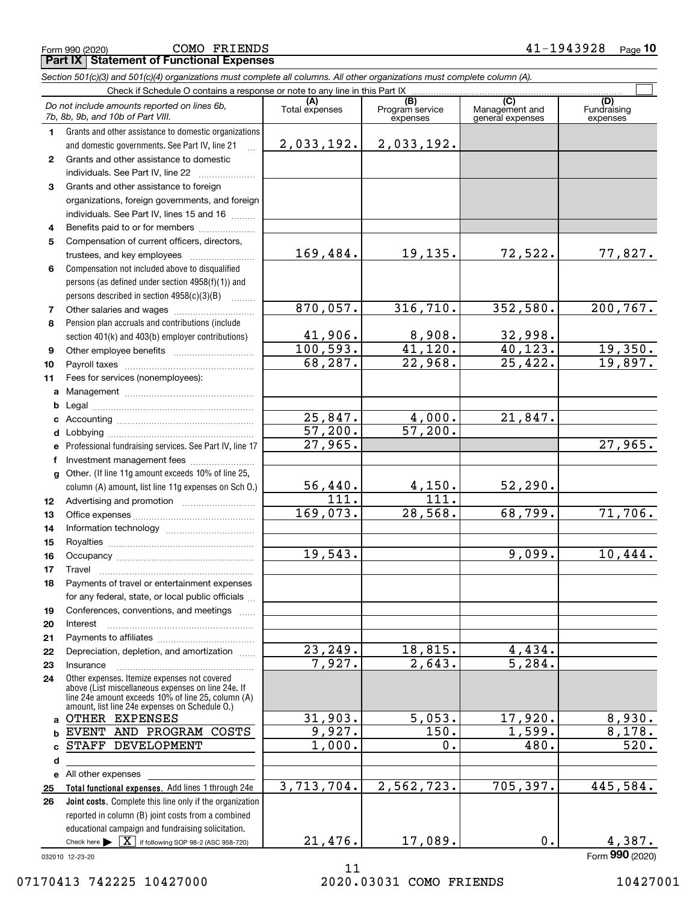**Part IX Statement of Functional Expenses** COMO FRIENDS

|                | Section 501(c)(3) and 501(c)(4) organizations must complete all columns. All other organizations must complete column (A).<br>Check if Schedule O contains a response or note to any line in this Part IX  |                        |                             |                                    |                           |  |  |  |  |  |  |  |
|----------------|------------------------------------------------------------------------------------------------------------------------------------------------------------------------------------------------------------|------------------------|-----------------------------|------------------------------------|---------------------------|--|--|--|--|--|--|--|
|                |                                                                                                                                                                                                            | (A)                    | (B)                         | (C)                                | (D)                       |  |  |  |  |  |  |  |
|                | Do not include amounts reported on lines 6b,<br>7b, 8b, 9b, and 10b of Part VIII.                                                                                                                          | Total expenses         | Program service<br>expenses | Management and<br>general expenses | Fundraising<br>expenses   |  |  |  |  |  |  |  |
| $\mathbf 1$    | Grants and other assistance to domestic organizations                                                                                                                                                      |                        |                             |                                    |                           |  |  |  |  |  |  |  |
|                | and domestic governments. See Part IV, line 21                                                                                                                                                             | 2,033,192.             | 2,033,192.                  |                                    |                           |  |  |  |  |  |  |  |
| $\mathbf{2}$   | Grants and other assistance to domestic                                                                                                                                                                    |                        |                             |                                    |                           |  |  |  |  |  |  |  |
|                | individuals. See Part IV, line 22                                                                                                                                                                          |                        |                             |                                    |                           |  |  |  |  |  |  |  |
| 3              | Grants and other assistance to foreign                                                                                                                                                                     |                        |                             |                                    |                           |  |  |  |  |  |  |  |
|                | organizations, foreign governments, and foreign                                                                                                                                                            |                        |                             |                                    |                           |  |  |  |  |  |  |  |
|                | individuals. See Part IV, lines 15 and 16                                                                                                                                                                  |                        |                             |                                    |                           |  |  |  |  |  |  |  |
| 4              | Benefits paid to or for members                                                                                                                                                                            |                        |                             |                                    |                           |  |  |  |  |  |  |  |
| 5              | Compensation of current officers, directors,                                                                                                                                                               |                        |                             |                                    |                           |  |  |  |  |  |  |  |
|                |                                                                                                                                                                                                            | 169,484.               | 19,135.                     | 72,522.                            | 77,827.                   |  |  |  |  |  |  |  |
| 6              | Compensation not included above to disqualified                                                                                                                                                            |                        |                             |                                    |                           |  |  |  |  |  |  |  |
|                | persons (as defined under section 4958(f)(1)) and                                                                                                                                                          |                        |                             |                                    |                           |  |  |  |  |  |  |  |
|                | persons described in section 4958(c)(3)(B)                                                                                                                                                                 |                        |                             |                                    |                           |  |  |  |  |  |  |  |
| $\overline{7}$ |                                                                                                                                                                                                            | 870,057.               | 316, 710.                   | 352,580.                           | 200, 767.                 |  |  |  |  |  |  |  |
| 8              | Pension plan accruals and contributions (include                                                                                                                                                           |                        |                             |                                    |                           |  |  |  |  |  |  |  |
|                | section 401(k) and 403(b) employer contributions)                                                                                                                                                          | 41,906.<br>100, 593.   | 8,908.<br>41,120.           | 32,998.<br>40,123.                 |                           |  |  |  |  |  |  |  |
| 9              |                                                                                                                                                                                                            | 68,287.                | $\overline{22,968}$ .       | $\overline{25,422}$ .              | $\frac{19,350.}{19,897.}$ |  |  |  |  |  |  |  |
| 10             |                                                                                                                                                                                                            |                        |                             |                                    |                           |  |  |  |  |  |  |  |
| 11             | Fees for services (nonemployees):                                                                                                                                                                          |                        |                             |                                    |                           |  |  |  |  |  |  |  |
| a              |                                                                                                                                                                                                            |                        |                             |                                    |                           |  |  |  |  |  |  |  |
| b              |                                                                                                                                                                                                            | 25,847.                | 4,000.                      | 21,847.                            |                           |  |  |  |  |  |  |  |
| c              |                                                                                                                                                                                                            | 57,200.                | 57,200.                     |                                    |                           |  |  |  |  |  |  |  |
| d              |                                                                                                                                                                                                            | 27,965.                |                             |                                    | 27,965.                   |  |  |  |  |  |  |  |
| е<br>f         | Professional fundraising services. See Part IV, line 17<br>Investment management fees                                                                                                                      |                        |                             |                                    |                           |  |  |  |  |  |  |  |
| g              | Other. (If line 11g amount exceeds 10% of line 25,                                                                                                                                                         |                        |                             |                                    |                           |  |  |  |  |  |  |  |
|                | column (A) amount, list line 11g expenses on Sch O.)                                                                                                                                                       |                        | <u>4,150.</u>               | 52, 290.                           |                           |  |  |  |  |  |  |  |
| 12             |                                                                                                                                                                                                            | $\frac{56,440.}{111.}$ | $\overline{111}$ .          |                                    |                           |  |  |  |  |  |  |  |
| 13             |                                                                                                                                                                                                            | 169,073.               | 28,568.                     | 68,799.                            | 71,706.                   |  |  |  |  |  |  |  |
| 14             |                                                                                                                                                                                                            |                        |                             |                                    |                           |  |  |  |  |  |  |  |
| 15             |                                                                                                                                                                                                            |                        |                             |                                    |                           |  |  |  |  |  |  |  |
| 16             |                                                                                                                                                                                                            | 19,543.                |                             | 9,099.                             | 10,444.                   |  |  |  |  |  |  |  |
| 17             |                                                                                                                                                                                                            |                        |                             |                                    |                           |  |  |  |  |  |  |  |
| 18             | Payments of travel or entertainment expenses                                                                                                                                                               |                        |                             |                                    |                           |  |  |  |  |  |  |  |
|                | for any federal, state, or local public officials                                                                                                                                                          |                        |                             |                                    |                           |  |  |  |  |  |  |  |
| 19             | Conferences, conventions, and meetings                                                                                                                                                                     |                        |                             |                                    |                           |  |  |  |  |  |  |  |
| 20             | Interest                                                                                                                                                                                                   |                        |                             |                                    |                           |  |  |  |  |  |  |  |
| 21             |                                                                                                                                                                                                            |                        |                             |                                    |                           |  |  |  |  |  |  |  |
| 22             | Depreciation, depletion, and amortization                                                                                                                                                                  | $\overline{23,249}$ .  | 18,815.                     | 4,434.                             |                           |  |  |  |  |  |  |  |
| 23             | Insurance                                                                                                                                                                                                  | 7,927.                 | 2,643.                      | 5, 284.                            |                           |  |  |  |  |  |  |  |
| 24             | Other expenses. Itemize expenses not covered<br>above (List miscellaneous expenses on line 24e. If<br>line 24e amount exceeds 10% of line 25, column (A)<br>amount, list line 24e expenses on Schedule 0.) |                        |                             |                                    |                           |  |  |  |  |  |  |  |
| a              | OTHER EXPENSES                                                                                                                                                                                             | 31,903.                | 5,053.                      | 17,920.                            | 8,930.                    |  |  |  |  |  |  |  |
| b              | EVENT AND PROGRAM COSTS                                                                                                                                                                                    | 9,927.                 | 150.                        | 1,599.                             | 8,178.                    |  |  |  |  |  |  |  |
| C              | STAFF DEVELOPMENT                                                                                                                                                                                          | 1,000.                 | 0.                          | 480.                               | 520.                      |  |  |  |  |  |  |  |
| d              |                                                                                                                                                                                                            |                        |                             |                                    |                           |  |  |  |  |  |  |  |
| е              | All other expenses                                                                                                                                                                                         |                        |                             |                                    |                           |  |  |  |  |  |  |  |
| 25             | Total functional expenses. Add lines 1 through 24e                                                                                                                                                         | 3,713,704.             | 2,562,723.                  | 705,397.                           | 445,584.                  |  |  |  |  |  |  |  |
| 26             | Joint costs. Complete this line only if the organization                                                                                                                                                   |                        |                             |                                    |                           |  |  |  |  |  |  |  |
|                | reported in column (B) joint costs from a combined                                                                                                                                                         |                        |                             |                                    |                           |  |  |  |  |  |  |  |
|                | educational campaign and fundraising solicitation.                                                                                                                                                         |                        |                             |                                    |                           |  |  |  |  |  |  |  |
|                | Check here $\blacktriangleright \begin{bmatrix} \mathbf{X} \end{bmatrix}$ if following SOP 98-2 (ASC 958-720)                                                                                              | 21,476.                | 17,089.                     | $\mathbf 0$ .                      | 4,387.                    |  |  |  |  |  |  |  |

032010 12-23-20

Form (2020) **990**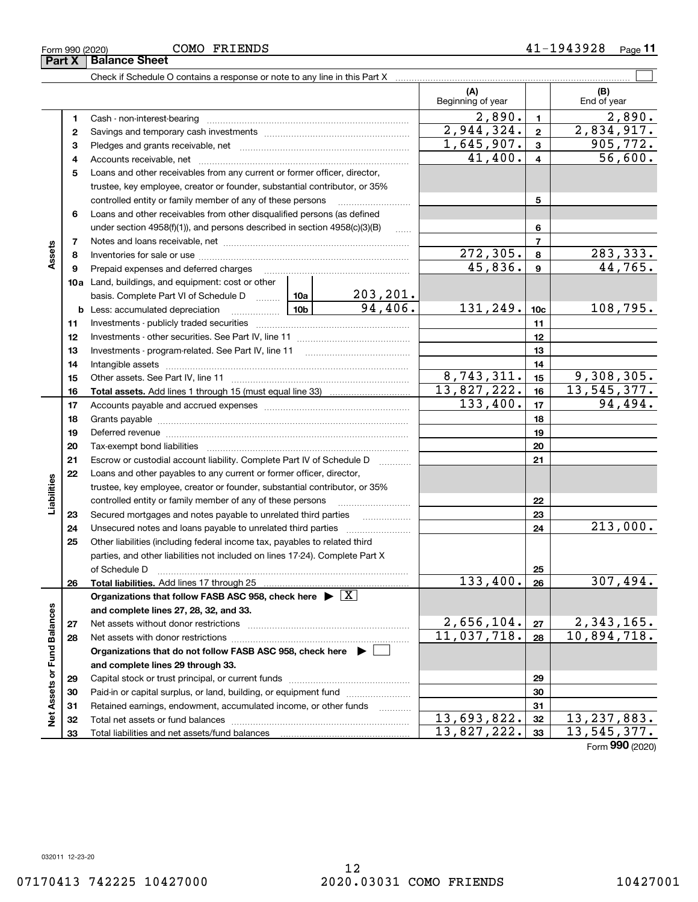Form 990 (2020) COMO F'RILENDS 4 I -I 9 4 3 9 2 8 Page **11**

|                             |          |                                                                                                                              |  |                 | (A)                     |                          | (B)                            |
|-----------------------------|----------|------------------------------------------------------------------------------------------------------------------------------|--|-----------------|-------------------------|--------------------------|--------------------------------|
|                             |          |                                                                                                                              |  |                 | Beginning of year       |                          | End of year                    |
|                             | 1        |                                                                                                                              |  |                 | $\overline{2,890}$ .    | $\mathbf{1}$             | 2,890.                         |
|                             | 2        |                                                                                                                              |  |                 | 2,944,324.              | $\mathbf{2}$             | 2,834,917.                     |
|                             | з        |                                                                                                                              |  |                 | 1,645,907.              | 3                        | 905, 772.                      |
|                             | 4        |                                                                                                                              |  |                 | 41,400.                 | 4                        | 56,600.                        |
|                             | 5        | Loans and other receivables from any current or former officer, director,                                                    |  |                 |                         |                          |                                |
|                             |          | trustee, key employee, creator or founder, substantial contributor, or 35%                                                   |  |                 |                         |                          |                                |
|                             |          | controlled entity or family member of any of these persons                                                                   |  |                 |                         | 5                        |                                |
|                             | 6        | Loans and other receivables from other disqualified persons (as defined                                                      |  |                 |                         |                          |                                |
|                             |          | under section $4958(f)(1)$ , and persons described in section $4958(c)(3)(B)$                                                |  | $\ldots$        |                         | 6                        |                                |
|                             | 7        |                                                                                                                              |  |                 |                         | $\overline{\phantom{a}}$ |                                |
| Assets                      | 8        |                                                                                                                              |  |                 | $\overline{272}$ , 305. | 8                        | 283,333.                       |
|                             | 9        | Prepaid expenses and deferred charges                                                                                        |  |                 | 45,836.                 | 9                        | 44,765.                        |
|                             |          | <b>10a</b> Land, buildings, and equipment: cost or other                                                                     |  |                 |                         |                          |                                |
|                             |          | basis. Complete Part VI of Schedule D  10a                                                                                   |  | <u>203,201.</u> |                         |                          |                                |
|                             |          | $\boxed{10b}$<br><b>b</b> Less: accumulated depreciation                                                                     |  | 94,406.         | 131,249.                | 10 <sub>c</sub>          | 108,795.                       |
|                             | 11       |                                                                                                                              |  |                 |                         | 11                       |                                |
|                             | 12       |                                                                                                                              |  |                 |                         | 12                       |                                |
|                             | 13       | Investments - program-related. See Part IV, line 11                                                                          |  |                 |                         | 13                       |                                |
|                             | 14       |                                                                                                                              |  |                 |                         | 14                       |                                |
|                             | 15       |                                                                                                                              |  |                 | 8,743,311.              | 15                       | 9,308,305.                     |
|                             | 16       |                                                                                                                              |  |                 | 13,827,222.             | 16                       | 13,545,377.                    |
|                             | 17       |                                                                                                                              |  |                 | 133,400.                | 17                       | 94,494.                        |
|                             | 18       |                                                                                                                              |  |                 | 18                      |                          |                                |
|                             | 19       |                                                                                                                              |  | 19              |                         |                          |                                |
|                             | 20       |                                                                                                                              |  |                 | 20                      |                          |                                |
|                             | 21       | Escrow or custodial account liability. Complete Part IV of Schedule D                                                        |  |                 |                         | 21                       |                                |
|                             | 22       | Loans and other payables to any current or former officer, director,                                                         |  |                 |                         |                          |                                |
| Liabilities                 |          | trustee, key employee, creator or founder, substantial contributor, or 35%                                                   |  |                 |                         |                          |                                |
|                             |          | controlled entity or family member of any of these persons<br>Secured mortgages and notes payable to unrelated third parties |  |                 |                         | 22<br>23                 |                                |
|                             | 23<br>24 |                                                                                                                              |  |                 |                         | 24                       | 213,000.                       |
|                             | 25       | Other liabilities (including federal income tax, payables to related third                                                   |  |                 |                         |                          |                                |
|                             |          | parties, and other liabilities not included on lines 17-24). Complete Part X                                                 |  |                 |                         |                          |                                |
|                             |          | of Schedule D                                                                                                                |  |                 |                         | 25                       |                                |
|                             | 26       | Total liabilities. Add lines 17 through 25                                                                                   |  |                 | 133,400.                | 26                       | 307,494.                       |
|                             |          | Organizations that follow FASB ASC 958, check here $\blacktriangleright \boxed{X}$                                           |  |                 |                         |                          |                                |
|                             |          | and complete lines 27, 28, 32, and 33.                                                                                       |  |                 |                         |                          |                                |
|                             | 27       | Net assets without donor restrictions                                                                                        |  |                 | 2,656,104.              | 27                       |                                |
|                             | 28       |                                                                                                                              |  |                 | 11,037,718.             | 28                       | $2,343,165$ .<br>10,894,718.   |
|                             |          | Organizations that do not follow FASB ASC 958, check here $\blacktriangleright$                                              |  |                 |                         |                          |                                |
|                             |          | and complete lines 29 through 33.                                                                                            |  |                 |                         |                          |                                |
|                             | 29       |                                                                                                                              |  |                 |                         | 29                       |                                |
|                             | 30       | Paid-in or capital surplus, or land, building, or equipment fund                                                             |  |                 |                         | 30                       |                                |
| Net Assets or Fund Balances | 31       | Retained earnings, endowment, accumulated income, or other funds                                                             |  |                 |                         | 31                       |                                |
|                             | 32       |                                                                                                                              |  |                 | 13,693,822.             | 32                       | 13, 237, 883.                  |
|                             | 33       |                                                                                                                              |  |                 | 13,827,222.             | 33                       | 13,545,377.<br>$000 \times 00$ |

Form (2020) **990**

#### **Part X Balance Sheet** COMO FRIENDS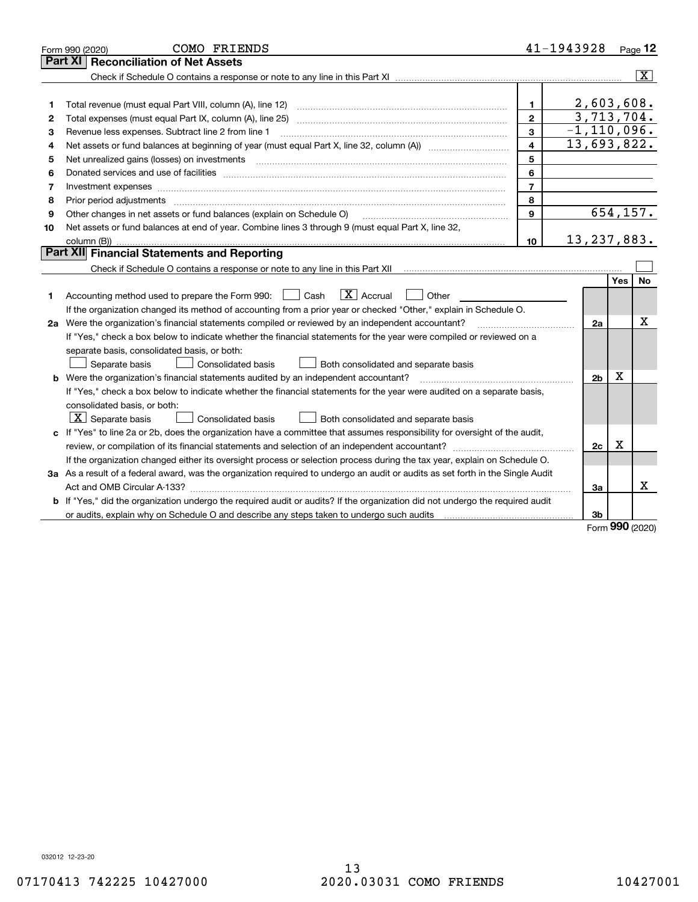|    | COMO FRIENDS<br>Form 990 (2020)                                                                                                                                                                                                |                         | 41-1943928              |             | Page 12                 |
|----|--------------------------------------------------------------------------------------------------------------------------------------------------------------------------------------------------------------------------------|-------------------------|-------------------------|-------------|-------------------------|
|    | <b>Reconciliation of Net Assets</b><br>Part XI                                                                                                                                                                                 |                         |                         |             |                         |
|    |                                                                                                                                                                                                                                |                         |                         |             | $\overline{\mathbf{x}}$ |
|    |                                                                                                                                                                                                                                |                         |                         |             |                         |
| 1  |                                                                                                                                                                                                                                | $\mathbf{1}$            | 2,603,608.              |             |                         |
| 2  |                                                                                                                                                                                                                                | $\mathbf{2}$            | $\overline{3,713},704.$ |             |                         |
| з  | Revenue less expenses. Subtract line 2 from line 1                                                                                                                                                                             | 3                       | $-1, 110, 096.$         |             |                         |
| 4  |                                                                                                                                                                                                                                | $\overline{\mathbf{4}}$ | 13,693,822.             |             |                         |
| 5  | Net unrealized gains (losses) on investments [11] matter contracts and the state of the state of the state of the state of the state of the state of the state of the state of the state of the state of the state of the stat | 5                       |                         |             |                         |
| 6  | Donated services and use of facilities [111] processes and the service of facilities [11] processes and use of facilities [11] processes and the service of facilities [11] processes and the service of the service of the se | 6                       |                         |             |                         |
| 7  |                                                                                                                                                                                                                                | $\overline{7}$          |                         |             |                         |
| 8  |                                                                                                                                                                                                                                | 8                       |                         |             |                         |
| 9  | Other changes in net assets or fund balances (explain on Schedule O)                                                                                                                                                           | 9                       |                         |             | 654, 157.               |
| 10 | Net assets or fund balances at end of year. Combine lines 3 through 9 (must equal Part X, line 32,                                                                                                                             |                         |                         |             |                         |
|    |                                                                                                                                                                                                                                | 10                      | 13, 237, 883.           |             |                         |
|    | Part XII Financial Statements and Reporting                                                                                                                                                                                    |                         |                         |             |                         |
|    |                                                                                                                                                                                                                                |                         |                         |             |                         |
|    |                                                                                                                                                                                                                                |                         |                         | <b>Yes</b>  | <b>No</b>               |
| 1  | $\boxed{\mathbf{X}}$ Accrual<br>Accounting method used to prepare the Form 990: [139] Cash<br>Other                                                                                                                            |                         |                         |             |                         |
|    | If the organization changed its method of accounting from a prior year or checked "Other," explain in Schedule O.                                                                                                              |                         |                         |             |                         |
|    | 2a Were the organization's financial statements compiled or reviewed by an independent accountant?                                                                                                                             |                         | 2a                      |             | х                       |
|    | If "Yes," check a box below to indicate whether the financial statements for the year were compiled or reviewed on a                                                                                                           |                         |                         |             |                         |
|    | separate basis, consolidated basis, or both:                                                                                                                                                                                   |                         |                         |             |                         |
|    | Separate basis<br>Consolidated basis<br>Both consolidated and separate basis                                                                                                                                                   |                         |                         |             |                         |
|    | <b>b</b> Were the organization's financial statements audited by an independent accountant?                                                                                                                                    |                         | 2 <sub>b</sub>          | $\mathbf X$ |                         |
|    | If "Yes," check a box below to indicate whether the financial statements for the year were audited on a separate basis,                                                                                                        |                         |                         |             |                         |
|    | consolidated basis, or both:                                                                                                                                                                                                   |                         |                         |             |                         |
|    | $ \mathbf{X} $ Separate basis<br><b>Consolidated basis</b><br>Both consolidated and separate basis                                                                                                                             |                         |                         |             |                         |
|    | c If "Yes" to line 2a or 2b, does the organization have a committee that assumes responsibility for oversight of the audit,                                                                                                    |                         |                         |             |                         |
|    |                                                                                                                                                                                                                                |                         | 2c                      | х           |                         |
|    | If the organization changed either its oversight process or selection process during the tax year, explain on Schedule O.                                                                                                      |                         |                         |             |                         |
|    | 3a As a result of a federal award, was the organization required to undergo an audit or audits as set forth in the Single Audit                                                                                                |                         |                         |             |                         |
|    |                                                                                                                                                                                                                                |                         | За                      |             | x                       |
|    | b If "Yes," did the organization undergo the required audit or audits? If the organization did not undergo the required audit                                                                                                  |                         |                         |             |                         |
|    |                                                                                                                                                                                                                                |                         | 3b                      | nnn         |                         |

Form (2020) **990**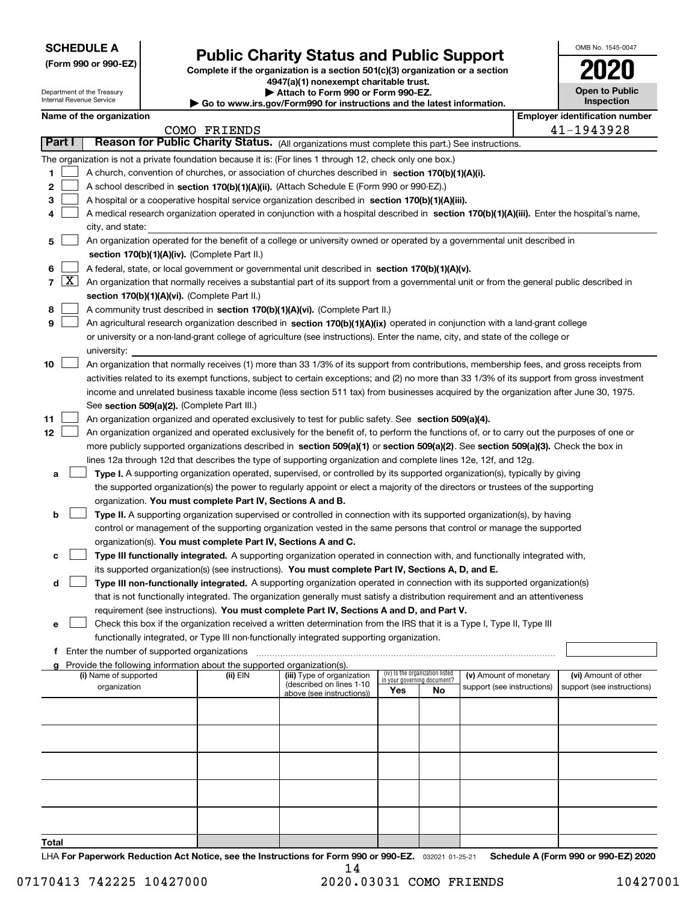| <b>SCHEDULE A</b> |  |
|-------------------|--|
|-------------------|--|

Department of the Treasury

**(Form 990 or 990-EZ)**

### **Public Charity Status and Public Support**

**Complete if the organization is a section 501(c)(3) organization or a section 4947(a)(1) nonexempt charitable trust. | Attach to Form 990 or Form 990-EZ.** 

| OMB No. 1545-0047                   |
|-------------------------------------|
| 02                                  |
| <b>Open to Public</b><br>Inspection |

|                 |       | Internal Revenue Service                                                                                                                                                                   |                                               |                                                                        | Go to www.irs.gov/Form990 for instructions and the latest information.                                                                                                                                        |     |                                                                |                            |  |  | Inspection                            |
|-----------------|-------|--------------------------------------------------------------------------------------------------------------------------------------------------------------------------------------------|-----------------------------------------------|------------------------------------------------------------------------|---------------------------------------------------------------------------------------------------------------------------------------------------------------------------------------------------------------|-----|----------------------------------------------------------------|----------------------------|--|--|---------------------------------------|
|                 |       | Name of the organization                                                                                                                                                                   |                                               |                                                                        |                                                                                                                                                                                                               |     |                                                                |                            |  |  | <b>Employer identification number</b> |
|                 |       |                                                                                                                                                                                            |                                               | COMO FRIENDS                                                           |                                                                                                                                                                                                               |     |                                                                |                            |  |  | 41-1943928                            |
| Part I          |       |                                                                                                                                                                                            |                                               |                                                                        | Reason for Public Charity Status. (All organizations must complete this part.) See instructions.                                                                                                              |     |                                                                |                            |  |  |                                       |
|                 |       |                                                                                                                                                                                            |                                               |                                                                        | The organization is not a private foundation because it is: (For lines 1 through 12, check only one box.)                                                                                                     |     |                                                                |                            |  |  |                                       |
| 1               |       |                                                                                                                                                                                            |                                               |                                                                        | A church, convention of churches, or association of churches described in section $170(b)(1)(A)(i)$ .                                                                                                         |     |                                                                |                            |  |  |                                       |
| 2               |       |                                                                                                                                                                                            |                                               |                                                                        | A school described in section 170(b)(1)(A)(ii). (Attach Schedule E (Form 990 or 990-EZ).)                                                                                                                     |     |                                                                |                            |  |  |                                       |
| з               |       |                                                                                                                                                                                            |                                               |                                                                        | A hospital or a cooperative hospital service organization described in section 170(b)(1)(A)(iii).                                                                                                             |     |                                                                |                            |  |  |                                       |
| 4               |       |                                                                                                                                                                                            |                                               |                                                                        | A medical research organization operated in conjunction with a hospital described in section 170(b)(1)(A)(iii). Enter the hospital's name,                                                                    |     |                                                                |                            |  |  |                                       |
|                 |       | city, and state:                                                                                                                                                                           |                                               |                                                                        |                                                                                                                                                                                                               |     |                                                                |                            |  |  |                                       |
| 5               |       |                                                                                                                                                                                            |                                               |                                                                        | An organization operated for the benefit of a college or university owned or operated by a governmental unit described in                                                                                     |     |                                                                |                            |  |  |                                       |
|                 |       |                                                                                                                                                                                            |                                               | section 170(b)(1)(A)(iv). (Complete Part II.)                          |                                                                                                                                                                                                               |     |                                                                |                            |  |  |                                       |
| 6               |       | A federal, state, or local government or governmental unit described in section 170(b)(1)(A)(v).                                                                                           |                                               |                                                                        |                                                                                                                                                                                                               |     |                                                                |                            |  |  |                                       |
|                 | 7   X | An organization that normally receives a substantial part of its support from a governmental unit or from the general public described in<br>section 170(b)(1)(A)(vi). (Complete Part II.) |                                               |                                                                        |                                                                                                                                                                                                               |     |                                                                |                            |  |  |                                       |
|                 |       |                                                                                                                                                                                            |                                               |                                                                        |                                                                                                                                                                                                               |     |                                                                |                            |  |  |                                       |
| 8<br>9          |       |                                                                                                                                                                                            |                                               |                                                                        | A community trust described in section 170(b)(1)(A)(vi). (Complete Part II.)<br>An agricultural research organization described in section 170(b)(1)(A)(ix) operated in conjunction with a land-grant college |     |                                                                |                            |  |  |                                       |
|                 |       |                                                                                                                                                                                            |                                               |                                                                        |                                                                                                                                                                                                               |     |                                                                |                            |  |  |                                       |
|                 |       | university:                                                                                                                                                                                |                                               |                                                                        | or university or a non-land-grant college of agriculture (see instructions). Enter the name, city, and state of the college or                                                                                |     |                                                                |                            |  |  |                                       |
| 10              |       |                                                                                                                                                                                            |                                               |                                                                        | An organization that normally receives (1) more than 33 1/3% of its support from contributions, membership fees, and gross receipts from                                                                      |     |                                                                |                            |  |  |                                       |
|                 |       |                                                                                                                                                                                            |                                               |                                                                        | activities related to its exempt functions, subject to certain exceptions; and (2) no more than 33 1/3% of its support from gross investment                                                                  |     |                                                                |                            |  |  |                                       |
|                 |       |                                                                                                                                                                                            |                                               |                                                                        | income and unrelated business taxable income (less section 511 tax) from businesses acquired by the organization after June 30, 1975.                                                                         |     |                                                                |                            |  |  |                                       |
|                 |       |                                                                                                                                                                                            |                                               | See section 509(a)(2). (Complete Part III.)                            |                                                                                                                                                                                                               |     |                                                                |                            |  |  |                                       |
| 11              |       |                                                                                                                                                                                            |                                               |                                                                        | An organization organized and operated exclusively to test for public safety. See section 509(a)(4).                                                                                                          |     |                                                                |                            |  |  |                                       |
| 12 <sub>2</sub> |       |                                                                                                                                                                                            |                                               |                                                                        | An organization organized and operated exclusively for the benefit of, to perform the functions of, or to carry out the purposes of one or                                                                    |     |                                                                |                            |  |  |                                       |
|                 |       |                                                                                                                                                                                            |                                               |                                                                        | more publicly supported organizations described in section 509(a)(1) or section 509(a)(2). See section 509(a)(3). Check the box in                                                                            |     |                                                                |                            |  |  |                                       |
|                 |       |                                                                                                                                                                                            |                                               |                                                                        | lines 12a through 12d that describes the type of supporting organization and complete lines 12e, 12f, and 12g.                                                                                                |     |                                                                |                            |  |  |                                       |
| а               |       |                                                                                                                                                                                            |                                               |                                                                        | Type I. A supporting organization operated, supervised, or controlled by its supported organization(s), typically by giving                                                                                   |     |                                                                |                            |  |  |                                       |
|                 |       |                                                                                                                                                                                            |                                               |                                                                        | the supported organization(s) the power to regularly appoint or elect a majority of the directors or trustees of the supporting                                                                               |     |                                                                |                            |  |  |                                       |
|                 |       |                                                                                                                                                                                            |                                               | organization. You must complete Part IV, Sections A and B.             |                                                                                                                                                                                                               |     |                                                                |                            |  |  |                                       |
| b               |       |                                                                                                                                                                                            |                                               |                                                                        | Type II. A supporting organization supervised or controlled in connection with its supported organization(s), by having                                                                                       |     |                                                                |                            |  |  |                                       |
|                 |       |                                                                                                                                                                                            |                                               |                                                                        | control or management of the supporting organization vested in the same persons that control or manage the supported                                                                                          |     |                                                                |                            |  |  |                                       |
|                 |       |                                                                                                                                                                                            |                                               |                                                                        | organization(s). You must complete Part IV, Sections A and C.                                                                                                                                                 |     |                                                                |                            |  |  |                                       |
| с               |       |                                                                                                                                                                                            |                                               |                                                                        | Type III functionally integrated. A supporting organization operated in connection with, and functionally integrated with,                                                                                    |     |                                                                |                            |  |  |                                       |
|                 |       |                                                                                                                                                                                            |                                               |                                                                        | its supported organization(s) (see instructions). You must complete Part IV, Sections A, D, and E.                                                                                                            |     |                                                                |                            |  |  |                                       |
| d               |       |                                                                                                                                                                                            |                                               |                                                                        | Type III non-functionally integrated. A supporting organization operated in connection with its supported organization(s)                                                                                     |     |                                                                |                            |  |  |                                       |
|                 |       |                                                                                                                                                                                            |                                               |                                                                        | that is not functionally integrated. The organization generally must satisfy a distribution requirement and an attentiveness                                                                                  |     |                                                                |                            |  |  |                                       |
|                 |       |                                                                                                                                                                                            |                                               |                                                                        | requirement (see instructions). You must complete Part IV, Sections A and D, and Part V.                                                                                                                      |     |                                                                |                            |  |  |                                       |
| е               |       |                                                                                                                                                                                            |                                               |                                                                        | Check this box if the organization received a written determination from the IRS that it is a Type I, Type II, Type III                                                                                       |     |                                                                |                            |  |  |                                       |
|                 |       |                                                                                                                                                                                            |                                               |                                                                        | functionally integrated, or Type III non-functionally integrated supporting organization.                                                                                                                     |     |                                                                |                            |  |  |                                       |
|                 |       |                                                                                                                                                                                            | f Enter the number of supported organizations |                                                                        |                                                                                                                                                                                                               |     |                                                                |                            |  |  |                                       |
|                 |       |                                                                                                                                                                                            |                                               | Provide the following information about the supported organization(s). |                                                                                                                                                                                                               |     |                                                                |                            |  |  |                                       |
|                 |       | (i) Name of supported                                                                                                                                                                      |                                               | (ii) EIN                                                               | (iii) Type of organization                                                                                                                                                                                    |     | (iv) Is the organization listed<br>in your governing document? | (v) Amount of monetary     |  |  | (vi) Amount of other                  |
|                 |       | organization                                                                                                                                                                               |                                               |                                                                        | (described on lines 1-10<br>above (see instructions))                                                                                                                                                         | Yes | No                                                             | support (see instructions) |  |  | support (see instructions)            |
|                 |       |                                                                                                                                                                                            |                                               |                                                                        |                                                                                                                                                                                                               |     |                                                                |                            |  |  |                                       |
|                 |       |                                                                                                                                                                                            |                                               |                                                                        |                                                                                                                                                                                                               |     |                                                                |                            |  |  |                                       |
|                 |       |                                                                                                                                                                                            |                                               |                                                                        |                                                                                                                                                                                                               |     |                                                                |                            |  |  |                                       |
|                 |       |                                                                                                                                                                                            |                                               |                                                                        |                                                                                                                                                                                                               |     |                                                                |                            |  |  |                                       |
|                 |       |                                                                                                                                                                                            |                                               |                                                                        |                                                                                                                                                                                                               |     |                                                                |                            |  |  |                                       |
|                 |       |                                                                                                                                                                                            |                                               |                                                                        |                                                                                                                                                                                                               |     |                                                                |                            |  |  |                                       |
|                 |       |                                                                                                                                                                                            |                                               |                                                                        |                                                                                                                                                                                                               |     |                                                                |                            |  |  |                                       |
|                 |       |                                                                                                                                                                                            |                                               |                                                                        |                                                                                                                                                                                                               |     |                                                                |                            |  |  |                                       |
|                 |       |                                                                                                                                                                                            |                                               |                                                                        |                                                                                                                                                                                                               |     |                                                                |                            |  |  |                                       |
|                 |       |                                                                                                                                                                                            |                                               |                                                                        |                                                                                                                                                                                                               |     |                                                                |                            |  |  |                                       |
| Total           |       |                                                                                                                                                                                            |                                               |                                                                        |                                                                                                                                                                                                               |     |                                                                |                            |  |  |                                       |

LHA For Paperwork Reduction Act Notice, see the Instructions for Form 990 or 990-EZ. <sub>032021</sub> o1-25-21 Schedule A (Form 990 or 990-EZ) 2020 14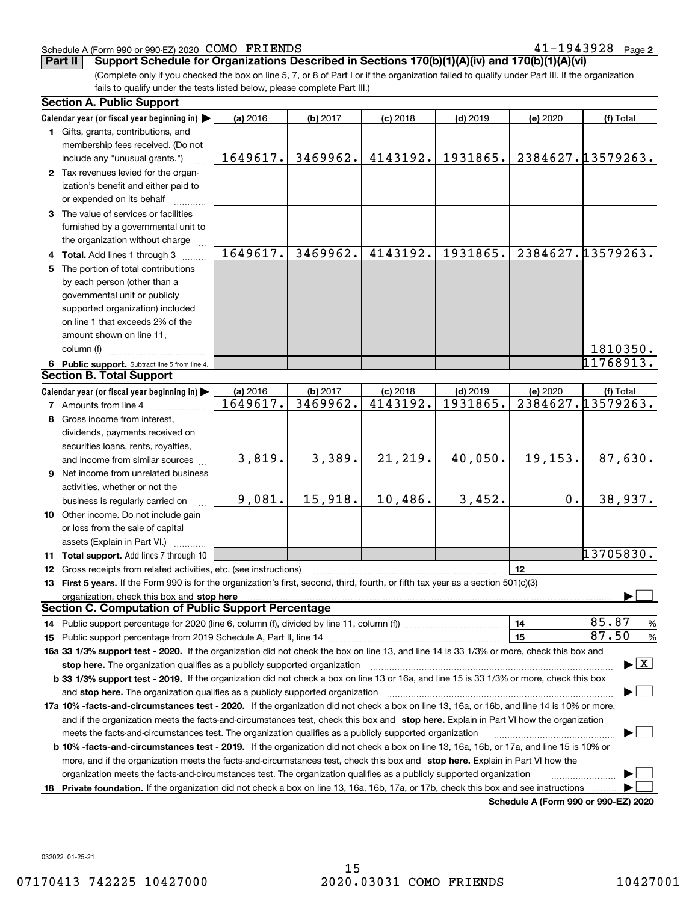#### Schedule A (Form 990 or 990-EZ) 2020 Page COMO FRIENDS 41-1943928

**2**

**Part II Support Schedule for Organizations Described in Sections 170(b)(1)(A)(iv) and 170(b)(1)(A)(vi)**

(Complete only if you checked the box on line 5, 7, or 8 of Part I or if the organization failed to qualify under Part III. If the organization fails to qualify under the tests listed below, please complete Part III.)

| <b>Section A. Public Support</b>                                                                                                                                                                                               |          |          |            |            |                                      |                                          |
|--------------------------------------------------------------------------------------------------------------------------------------------------------------------------------------------------------------------------------|----------|----------|------------|------------|--------------------------------------|------------------------------------------|
| Calendar year (or fiscal year beginning in)                                                                                                                                                                                    | (a) 2016 | (b) 2017 | $(c)$ 2018 | $(d)$ 2019 | (e) 2020                             | (f) Total                                |
| 1 Gifts, grants, contributions, and                                                                                                                                                                                            |          |          |            |            |                                      |                                          |
| membership fees received. (Do not                                                                                                                                                                                              |          |          |            |            |                                      |                                          |
| include any "unusual grants.")                                                                                                                                                                                                 | 1649617. | 3469962. | 4143192.   | 1931865.   |                                      | 2384627.13579263.                        |
| 2 Tax revenues levied for the organ-                                                                                                                                                                                           |          |          |            |            |                                      |                                          |
| ization's benefit and either paid to                                                                                                                                                                                           |          |          |            |            |                                      |                                          |
| or expended on its behalf                                                                                                                                                                                                      |          |          |            |            |                                      |                                          |
| 3 The value of services or facilities                                                                                                                                                                                          |          |          |            |            |                                      |                                          |
| furnished by a governmental unit to                                                                                                                                                                                            |          |          |            |            |                                      |                                          |
| the organization without charge                                                                                                                                                                                                |          |          |            |            |                                      |                                          |
| 4 Total. Add lines 1 through 3                                                                                                                                                                                                 | 1649617. | 3469962. | 4143192.   | 1931865.   |                                      | 2384627.13579263.                        |
| 5 The portion of total contributions                                                                                                                                                                                           |          |          |            |            |                                      |                                          |
| by each person (other than a                                                                                                                                                                                                   |          |          |            |            |                                      |                                          |
| governmental unit or publicly                                                                                                                                                                                                  |          |          |            |            |                                      |                                          |
| supported organization) included                                                                                                                                                                                               |          |          |            |            |                                      |                                          |
| on line 1 that exceeds 2% of the                                                                                                                                                                                               |          |          |            |            |                                      |                                          |
| amount shown on line 11,                                                                                                                                                                                                       |          |          |            |            |                                      |                                          |
| column (f)                                                                                                                                                                                                                     |          |          |            |            |                                      | 1810350.                                 |
| 6 Public support. Subtract line 5 from line 4.                                                                                                                                                                                 |          |          |            |            |                                      | 11768913.                                |
| <b>Section B. Total Support</b>                                                                                                                                                                                                |          |          |            |            |                                      |                                          |
| Calendar year (or fiscal year beginning in)                                                                                                                                                                                    | (a) 2016 | (b) 2017 | $(c)$ 2018 | $(d)$ 2019 | (e) 2020                             | (f) Total                                |
| <b>7</b> Amounts from line 4                                                                                                                                                                                                   | 1649617. | 3469962. | 4143192.   | 1931865.   |                                      | 2384627.13579263.                        |
| 8 Gross income from interest,                                                                                                                                                                                                  |          |          |            |            |                                      |                                          |
| dividends, payments received on                                                                                                                                                                                                |          |          |            |            |                                      |                                          |
| securities loans, rents, royalties,                                                                                                                                                                                            |          |          |            |            |                                      |                                          |
| and income from similar sources                                                                                                                                                                                                | 3,819.   | 3,389.   | 21, 219.   | 40,050.    | 19, 153.                             | 87,630.                                  |
| 9 Net income from unrelated business                                                                                                                                                                                           |          |          |            |            |                                      |                                          |
| activities, whether or not the                                                                                                                                                                                                 |          |          |            |            |                                      |                                          |
| business is regularly carried on                                                                                                                                                                                               | 9,081.   | 15,918.  | 10,486.    | 3,452.     | 0.                                   | 38,937.                                  |
| 10 Other income. Do not include gain                                                                                                                                                                                           |          |          |            |            |                                      |                                          |
| or loss from the sale of capital                                                                                                                                                                                               |          |          |            |            |                                      |                                          |
| assets (Explain in Part VI.)                                                                                                                                                                                                   |          |          |            |            |                                      |                                          |
| 11 Total support. Add lines 7 through 10                                                                                                                                                                                       |          |          |            |            |                                      | 13705830.                                |
| 12 Gross receipts from related activities, etc. (see instructions)                                                                                                                                                             |          |          |            |            | 12                                   |                                          |
| 13 First 5 years. If the Form 990 is for the organization's first, second, third, fourth, or fifth tax year as a section 501(c)(3)                                                                                             |          |          |            |            |                                      |                                          |
| organization, check this box and stop here manufactured and according to the state of the state of the state of the state of the state of the state of the state of the state of the state of the state of the state of the st |          |          |            |            |                                      |                                          |
| <b>Section C. Computation of Public Support Percentage</b>                                                                                                                                                                     |          |          |            |            |                                      |                                          |
| 14 Public support percentage for 2020 (line 6, column (f), divided by line 11, column (f) <i>mummumumum</i>                                                                                                                    |          |          |            |            | 14                                   | 85.87<br>%                               |
|                                                                                                                                                                                                                                |          |          |            |            | 15                                   | 87.50<br>%                               |
| 16a 33 1/3% support test - 2020. If the organization did not check the box on line 13, and line 14 is 33 1/3% or more, check this box and                                                                                      |          |          |            |            |                                      |                                          |
| stop here. The organization qualifies as a publicly supported organization                                                                                                                                                     |          |          |            |            |                                      | $\blacktriangleright$ $\boxed{\text{X}}$ |
| b 33 1/3% support test - 2019. If the organization did not check a box on line 13 or 16a, and line 15 is 33 1/3% or more, check this box                                                                                       |          |          |            |            |                                      |                                          |
| and stop here. The organization qualifies as a publicly supported organization                                                                                                                                                 |          |          |            |            |                                      |                                          |
| 17a 10% -facts-and-circumstances test - 2020. If the organization did not check a box on line 13, 16a, or 16b, and line 14 is 10% or more,                                                                                     |          |          |            |            |                                      |                                          |
| and if the organization meets the facts-and-circumstances test, check this box and stop here. Explain in Part VI how the organization                                                                                          |          |          |            |            |                                      |                                          |
| meets the facts-and-circumstances test. The organization qualifies as a publicly supported organization                                                                                                                        |          |          |            |            |                                      |                                          |
| <b>b 10% -facts-and-circumstances test - 2019.</b> If the organization did not check a box on line 13, 16a, 16b, or 17a, and line 15 is 10% or                                                                                 |          |          |            |            |                                      |                                          |
| more, and if the organization meets the facts-and-circumstances test, check this box and stop here. Explain in Part VI how the                                                                                                 |          |          |            |            |                                      |                                          |
| organization meets the facts-and-circumstances test. The organization qualifies as a publicly supported organization                                                                                                           |          |          |            |            |                                      |                                          |
| 18 Private foundation. If the organization did not check a box on line 13, 16a, 16b, 17a, or 17b, check this box and see instructions                                                                                          |          |          |            |            |                                      |                                          |
|                                                                                                                                                                                                                                |          |          |            |            | Schodule A (Form 000 or 000 EZ) 2020 |                                          |

**Schedule A (Form 990 or 990-EZ) 2020**

032022 01-25-21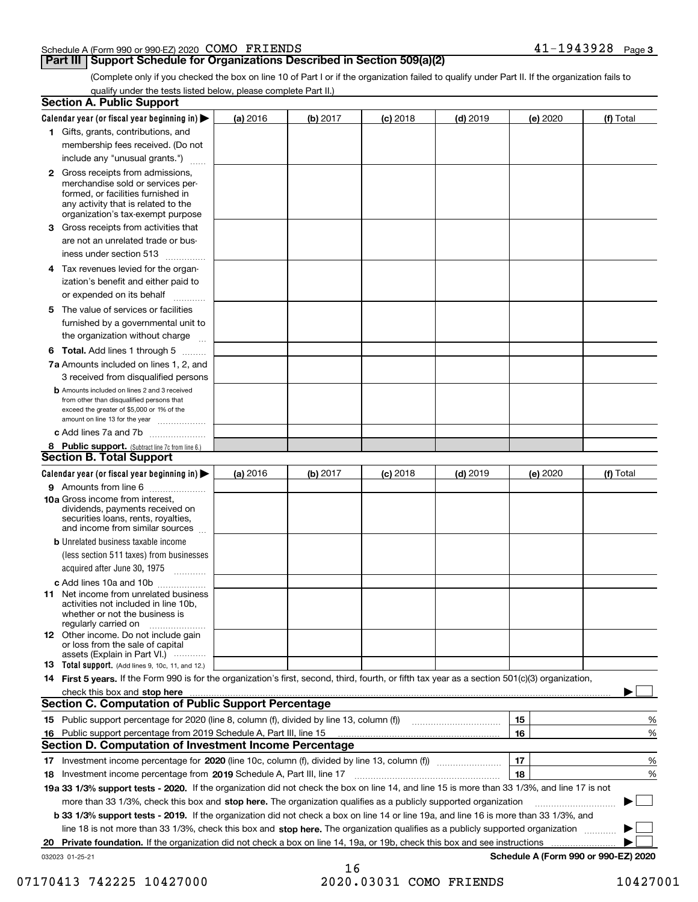#### Schedule A (Form 990 or 990-EZ) 2020 Page COMO FRIENDS 41-1943928

### **Part III Support Schedule for Organizations Described in Section 509(a)(2)**

(Complete only if you checked the box on line 10 of Part I or if the organization failed to qualify under Part II. If the organization fails to qualify under the tests listed below, please complete Part II.)

|    | <b>Section A. Public Support</b>                                                                                                                                                                |          |          |            |            |          |                                      |
|----|-------------------------------------------------------------------------------------------------------------------------------------------------------------------------------------------------|----------|----------|------------|------------|----------|--------------------------------------|
|    | Calendar year (or fiscal year beginning in) $\blacktriangleright$                                                                                                                               | (a) 2016 | (b) 2017 | $(c)$ 2018 | $(d)$ 2019 | (e) 2020 | (f) Total                            |
|    | 1 Gifts, grants, contributions, and                                                                                                                                                             |          |          |            |            |          |                                      |
|    | membership fees received. (Do not                                                                                                                                                               |          |          |            |            |          |                                      |
|    | include any "unusual grants.")                                                                                                                                                                  |          |          |            |            |          |                                      |
|    | <b>2</b> Gross receipts from admissions,<br>merchandise sold or services per-<br>formed, or facilities furnished in<br>any activity that is related to the<br>organization's tax-exempt purpose |          |          |            |            |          |                                      |
|    | 3 Gross receipts from activities that<br>are not an unrelated trade or bus-                                                                                                                     |          |          |            |            |          |                                      |
|    | iness under section 513                                                                                                                                                                         |          |          |            |            |          |                                      |
|    | 4 Tax revenues levied for the organ-<br>ization's benefit and either paid to                                                                                                                    |          |          |            |            |          |                                      |
|    | or expended on its behalf<br>.                                                                                                                                                                  |          |          |            |            |          |                                      |
|    | 5 The value of services or facilities<br>furnished by a governmental unit to<br>the organization without charge                                                                                 |          |          |            |            |          |                                      |
|    |                                                                                                                                                                                                 |          |          |            |            |          |                                      |
|    | <b>6 Total.</b> Add lines 1 through 5<br>7a Amounts included on lines 1, 2, and<br>3 received from disqualified persons                                                                         |          |          |            |            |          |                                      |
|    | <b>b</b> Amounts included on lines 2 and 3 received<br>from other than disqualified persons that<br>exceed the greater of \$5,000 or 1% of the<br>amount on line 13 for the year                |          |          |            |            |          |                                      |
|    | c Add lines 7a and 7b                                                                                                                                                                           |          |          |            |            |          |                                      |
|    | 8 Public support. (Subtract line 7c from line 6.)                                                                                                                                               |          |          |            |            |          |                                      |
|    | <b>Section B. Total Support</b>                                                                                                                                                                 |          |          |            |            |          |                                      |
|    | Calendar year (or fiscal year beginning in)                                                                                                                                                     | (a) 2016 | (b) 2017 | $(c)$ 2018 | $(d)$ 2019 | (e) 2020 | (f) Total                            |
|    | 9 Amounts from line 6<br>10a Gross income from interest,                                                                                                                                        |          |          |            |            |          |                                      |
|    | dividends, payments received on<br>securities loans, rents, royalties,<br>and income from similar sources                                                                                       |          |          |            |            |          |                                      |
|    | <b>b</b> Unrelated business taxable income<br>(less section 511 taxes) from businesses<br>acquired after June 30, 1975                                                                          |          |          |            |            |          |                                      |
|    | c Add lines 10a and 10b                                                                                                                                                                         |          |          |            |            |          |                                      |
|    | 11 Net income from unrelated business<br>activities not included in line 10b,<br>whether or not the business is<br>regularly carried on                                                         |          |          |            |            |          |                                      |
|    | <b>12</b> Other income. Do not include gain<br>or loss from the sale of capital<br>assets (Explain in Part VI.)                                                                                 |          |          |            |            |          |                                      |
|    | <b>13</b> Total support. (Add lines 9, 10c, 11, and 12.)                                                                                                                                        |          |          |            |            |          |                                      |
|    | 14 First 5 years. If the Form 990 is for the organization's first, second, third, fourth, or fifth tax year as a section 501(c)(3) organization,                                                |          |          |            |            |          |                                      |
|    | check this box and stop here measurements are constructed as the state of the state of the state of the state o                                                                                 |          |          |            |            |          |                                      |
|    | Section C. Computation of Public Support Percentage                                                                                                                                             |          |          |            |            |          |                                      |
|    |                                                                                                                                                                                                 |          |          |            |            | 15       | %                                    |
|    | 16 Public support percentage from 2019 Schedule A, Part III, line 15                                                                                                                            |          |          |            |            | 16       | %                                    |
|    | <b>Section D. Computation of Investment Income Percentage</b>                                                                                                                                   |          |          |            |            |          |                                      |
|    | 17 Investment income percentage for 2020 (line 10c, column (f), divided by line 13, column (f))<br>18 Investment income percentage from 2019 Schedule A, Part III, line 17                      |          |          |            |            | 17<br>18 | %<br>%                               |
|    | 19a 33 1/3% support tests - 2020. If the organization did not check the box on line 14, and line 15 is more than 33 1/3%, and line 17 is not                                                    |          |          |            |            |          |                                      |
|    | more than 33 1/3%, check this box and stop here. The organization qualifies as a publicly supported organization                                                                                |          |          |            |            |          | $\sim$ 1                             |
|    | b 33 1/3% support tests - 2019. If the organization did not check a box on line 14 or line 19a, and line 16 is more than 33 1/3%, and                                                           |          |          |            |            |          |                                      |
|    | line 18 is not more than 33 1/3%, check this box and stop here. The organization qualifies as a publicly supported organization                                                                 |          |          |            |            |          |                                      |
| 20 | <b>Private foundation.</b> If the organization did not check a box on line 14, 19a, or 19b, check this box and see instructions                                                                 |          |          |            |            |          |                                      |
|    | 032023 01-25-21                                                                                                                                                                                 |          |          |            |            |          | Schedule A (Form 990 or 990-EZ) 2020 |
|    |                                                                                                                                                                                                 |          | 16       |            |            |          |                                      |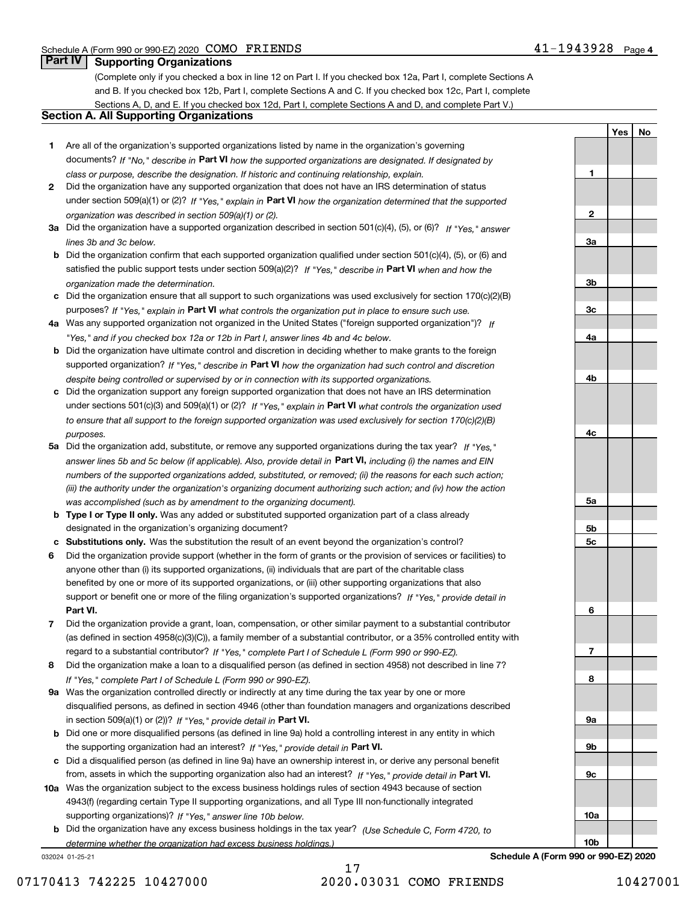**1**

**2**

**3a**

**3b**

**3c**

**4a**

**4b**

**4c**

**5a**

**5b5c**

**6**

**7**

**8**

**9a**

**9b**

**9c**

**10a**

**10b**

**YesNo**

### **Part IV Supporting Organizations**

(Complete only if you checked a box in line 12 on Part I. If you checked box 12a, Part I, complete Sections A and B. If you checked box 12b, Part I, complete Sections A and C. If you checked box 12c, Part I, complete Sections A, D, and E. If you checked box 12d, Part I, complete Sections A and D, and complete Part V.)

### **Section A. All Supporting Organizations**

- **1** Are all of the organization's supported organizations listed by name in the organization's governing documents? If "No," describe in **Part VI** how the supported organizations are designated. If designated by *class or purpose, describe the designation. If historic and continuing relationship, explain.*
- **2** Did the organization have any supported organization that does not have an IRS determination of status under section 509(a)(1) or (2)? If "Yes," explain in Part VI how the organization determined that the supported *organization was described in section 509(a)(1) or (2).*
- **3a** Did the organization have a supported organization described in section 501(c)(4), (5), or (6)? If "Yes," answer *lines 3b and 3c below.*
- **b** Did the organization confirm that each supported organization qualified under section 501(c)(4), (5), or (6) and satisfied the public support tests under section 509(a)(2)? If "Yes," describe in **Part VI** when and how the *organization made the determination.*
- **c**Did the organization ensure that all support to such organizations was used exclusively for section 170(c)(2)(B) purposes? If "Yes," explain in **Part VI** what controls the organization put in place to ensure such use.
- **4a***If* Was any supported organization not organized in the United States ("foreign supported organization")? *"Yes," and if you checked box 12a or 12b in Part I, answer lines 4b and 4c below.*
- **b** Did the organization have ultimate control and discretion in deciding whether to make grants to the foreign supported organization? If "Yes," describe in **Part VI** how the organization had such control and discretion *despite being controlled or supervised by or in connection with its supported organizations.*
- **c** Did the organization support any foreign supported organization that does not have an IRS determination under sections 501(c)(3) and 509(a)(1) or (2)? If "Yes," explain in **Part VI** what controls the organization used *to ensure that all support to the foreign supported organization was used exclusively for section 170(c)(2)(B) purposes.*
- **5a** Did the organization add, substitute, or remove any supported organizations during the tax year? If "Yes," answer lines 5b and 5c below (if applicable). Also, provide detail in **Part VI,** including (i) the names and EIN *numbers of the supported organizations added, substituted, or removed; (ii) the reasons for each such action; (iii) the authority under the organization's organizing document authorizing such action; and (iv) how the action was accomplished (such as by amendment to the organizing document).*
- **b** Type I or Type II only. Was any added or substituted supported organization part of a class already designated in the organization's organizing document?
- **cSubstitutions only.**  Was the substitution the result of an event beyond the organization's control?
- **6** Did the organization provide support (whether in the form of grants or the provision of services or facilities) to **Part VI.** *If "Yes," provide detail in* support or benefit one or more of the filing organization's supported organizations? anyone other than (i) its supported organizations, (ii) individuals that are part of the charitable class benefited by one or more of its supported organizations, or (iii) other supporting organizations that also
- **7**Did the organization provide a grant, loan, compensation, or other similar payment to a substantial contributor *If "Yes," complete Part I of Schedule L (Form 990 or 990-EZ).* regard to a substantial contributor? (as defined in section 4958(c)(3)(C)), a family member of a substantial contributor, or a 35% controlled entity with
- **8** Did the organization make a loan to a disqualified person (as defined in section 4958) not described in line 7? *If "Yes," complete Part I of Schedule L (Form 990 or 990-EZ).*
- **9a** Was the organization controlled directly or indirectly at any time during the tax year by one or more in section 509(a)(1) or (2))? If "Yes," *provide detail in* <code>Part VI.</code> disqualified persons, as defined in section 4946 (other than foundation managers and organizations described
- **b** Did one or more disqualified persons (as defined in line 9a) hold a controlling interest in any entity in which the supporting organization had an interest? If "Yes," provide detail in P**art VI**.
- **c**Did a disqualified person (as defined in line 9a) have an ownership interest in, or derive any personal benefit from, assets in which the supporting organization also had an interest? If "Yes," provide detail in P**art VI.**
- **10a** Was the organization subject to the excess business holdings rules of section 4943 because of section supporting organizations)? If "Yes," answer line 10b below. 4943(f) (regarding certain Type II supporting organizations, and all Type III non-functionally integrated
- **b** Did the organization have any excess business holdings in the tax year? (Use Schedule C, Form 4720, to *determine whether the organization had excess business holdings.)*

032024 01-25-21

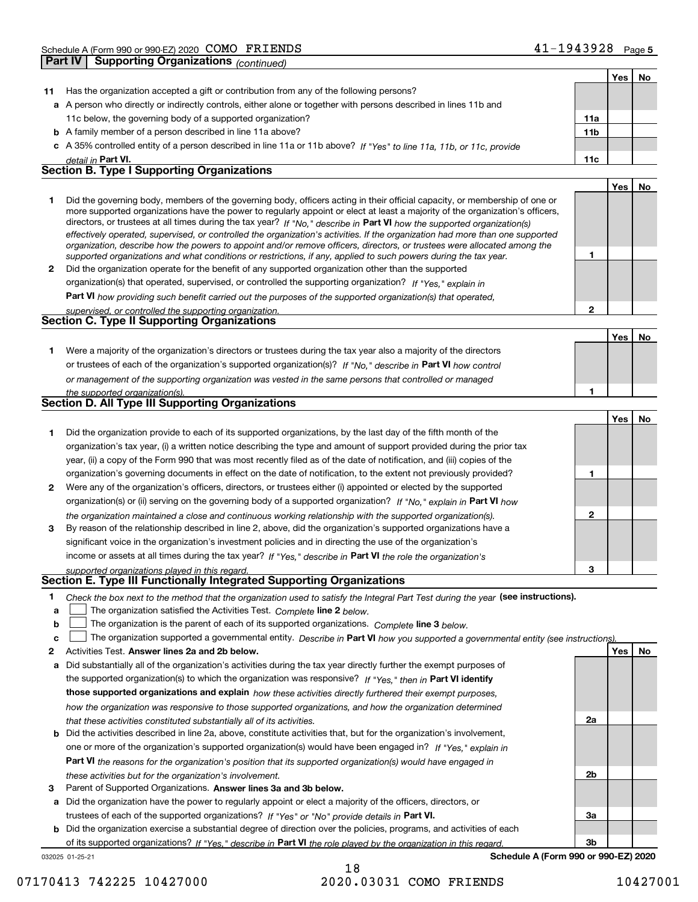|              |                                                                                                                                                                                                                                                            |              | Yes | No  |
|--------------|------------------------------------------------------------------------------------------------------------------------------------------------------------------------------------------------------------------------------------------------------------|--------------|-----|-----|
| 11           | Has the organization accepted a gift or contribution from any of the following persons?                                                                                                                                                                    |              |     |     |
|              | a A person who directly or indirectly controls, either alone or together with persons described in lines 11b and                                                                                                                                           |              |     |     |
|              | 11c below, the governing body of a supported organization?                                                                                                                                                                                                 | 11a          |     |     |
|              | <b>b</b> A family member of a person described in line 11a above?                                                                                                                                                                                          | 11b          |     |     |
|              | c A 35% controlled entity of a person described in line 11a or 11b above? If "Yes" to line 11a, 11b, or 11c, provide                                                                                                                                       |              |     |     |
|              | detail in <b>Part VI.</b>                                                                                                                                                                                                                                  | 11c          |     |     |
|              | <b>Section B. Type I Supporting Organizations</b>                                                                                                                                                                                                          |              |     |     |
|              |                                                                                                                                                                                                                                                            |              | Yes | No. |
| 1            | Did the governing body, members of the governing body, officers acting in their official capacity, or membership of one or                                                                                                                                 |              |     |     |
|              | more supported organizations have the power to regularly appoint or elect at least a majority of the organization's officers,                                                                                                                              |              |     |     |
|              | directors, or trustees at all times during the tax year? If "No," describe in Part VI how the supported organization(s)                                                                                                                                    |              |     |     |
|              | effectively operated, supervised, or controlled the organization's activities. If the organization had more than one supported<br>organization, describe how the powers to appoint and/or remove officers, directors, or trustees were allocated among the |              |     |     |
|              | supported organizations and what conditions or restrictions, if any, applied to such powers during the tax year.                                                                                                                                           | 1            |     |     |
| $\mathbf{2}$ | Did the organization operate for the benefit of any supported organization other than the supported                                                                                                                                                        |              |     |     |
|              | organization(s) that operated, supervised, or controlled the supporting organization? If "Yes," explain in                                                                                                                                                 |              |     |     |
|              | Part VI how providing such benefit carried out the purposes of the supported organization(s) that operated,                                                                                                                                                |              |     |     |
|              | supervised, or controlled the supporting organization.                                                                                                                                                                                                     | $\mathbf{2}$ |     |     |
|              | <b>Section C. Type II Supporting Organizations</b>                                                                                                                                                                                                         |              |     |     |
|              |                                                                                                                                                                                                                                                            |              | Yes | No. |
| 1.           | Were a majority of the organization's directors or trustees during the tax year also a majority of the directors                                                                                                                                           |              |     |     |
|              | or trustees of each of the organization's supported organization(s)? If "No," describe in Part VI how control                                                                                                                                              |              |     |     |
|              | or management of the supporting organization was vested in the same persons that controlled or managed                                                                                                                                                     |              |     |     |
|              | the supported organization(s).                                                                                                                                                                                                                             | 1            |     |     |
|              | Section D. All Type III Supporting Organizations                                                                                                                                                                                                           |              |     |     |
|              |                                                                                                                                                                                                                                                            |              | Yes | No  |
| 1            | Did the organization provide to each of its supported organizations, by the last day of the fifth month of the                                                                                                                                             |              |     |     |
|              | organization's tax year, (i) a written notice describing the type and amount of support provided during the prior tax                                                                                                                                      |              |     |     |
|              | year, (ii) a copy of the Form 990 that was most recently filed as of the date of notification, and (iii) copies of the                                                                                                                                     |              |     |     |
|              | organization's governing documents in effect on the date of notification, to the extent not previously provided?                                                                                                                                           | 1            |     |     |
| 2            | Were any of the organization's officers, directors, or trustees either (i) appointed or elected by the supported                                                                                                                                           |              |     |     |
|              | organization(s) or (ii) serving on the governing body of a supported organization? If "No," explain in Part VI how                                                                                                                                         |              |     |     |
|              | the organization maintained a close and continuous working relationship with the supported organization(s).                                                                                                                                                | 2            |     |     |
| 3            | By reason of the relationship described in line 2, above, did the organization's supported organizations have a                                                                                                                                            |              |     |     |
|              | significant voice in the organization's investment policies and in directing the use of the organization's                                                                                                                                                 |              |     |     |
|              | income or assets at all times during the tax year? If "Yes," describe in Part VI the role the organization's                                                                                                                                               | з            |     |     |
|              | supported organizations played in this regard.<br>Section E. Type III Functionally Integrated Supporting Organizations                                                                                                                                     |              |     |     |
|              |                                                                                                                                                                                                                                                            |              |     |     |
| 1<br>а       | Check the box next to the method that the organization used to satisfy the Integral Part Test during the year (see instructions).<br>The organization satisfied the Activities Test. Complete line 2 below.                                                |              |     |     |
| b            | The organization is the parent of each of its supported organizations. Complete line 3 below.                                                                                                                                                              |              |     |     |
| с            | The organization supported a governmental entity. Describe in Part VI how you supported a governmental entity (see instructions)                                                                                                                           |              |     |     |
| 2            | Activities Test. Answer lines 2a and 2b below.                                                                                                                                                                                                             |              | Yes | No  |
| а            | Did substantially all of the organization's activities during the tax year directly further the exempt purposes of                                                                                                                                         |              |     |     |
|              | the supported organization(s) to which the organization was responsive? If "Yes," then in Part VI identify                                                                                                                                                 |              |     |     |
|              | those supported organizations and explain how these activities directly furthered their exempt purposes,                                                                                                                                                   |              |     |     |
|              | how the organization was responsive to those supported organizations, and how the organization determined                                                                                                                                                  |              |     |     |
|              | that these activities constituted substantially all of its activities.                                                                                                                                                                                     | 2a           |     |     |
| b            | Did the activities described in line 2a, above, constitute activities that, but for the organization's involvement,                                                                                                                                        |              |     |     |
|              | one or more of the organization's supported organization(s) would have been engaged in? If "Yes," explain in                                                                                                                                               |              |     |     |
|              | Part VI the reasons for the organization's position that its supported organization(s) would have engaged in                                                                                                                                               |              |     |     |
|              | these activities but for the organization's involvement.                                                                                                                                                                                                   | 2b           |     |     |
| 3            | Parent of Supported Organizations. Answer lines 3a and 3b below.                                                                                                                                                                                           |              |     |     |

**a** Did the organization have the power to regularly appoint or elect a majority of the officers, directors, or trustees of each of the supported organizations? If "Yes" or "No" provide details in P**art VI.** 

**b** Did the organization exercise a substantial degree of direction over the policies, programs, and activities of each of its supported organizations? If "Yes," describe in Part VI the role played by the organization in this regard.

032025 01-25-21

**Schedule A (Form 990 or 990-EZ) 2020**

**3a**

**3b**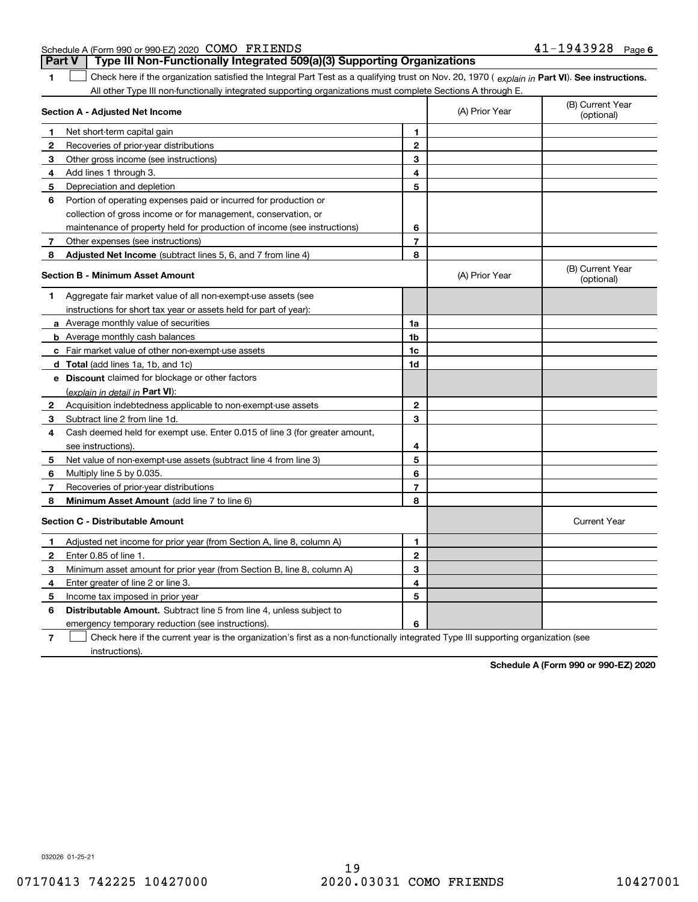| 4 (Form 990 or 990-EZ) 2020 COMO<br>FRIENDS<br>41<br>1943928<br>Page<br>Schedule A<br>- |
|-----------------------------------------------------------------------------------------|
|-----------------------------------------------------------------------------------------|

| 1 Check here if the organization satisfied the Integral Part Test as a qualifying trust on Nov. 20, 1970 (explain in Part VI). See instructions. |
|--------------------------------------------------------------------------------------------------------------------------------------------------|
| All other Type III non-functionally integrated supporting organizations must complete Sections A through E.                                      |

**Part V Type III Non-Functionally Integrated 509(a)(3) Supporting Organizations** 

| Section A - Adjusted Net Income         |                                                                             |                | (A) Prior Year | (B) Current Year<br>(optional) |
|-----------------------------------------|-----------------------------------------------------------------------------|----------------|----------------|--------------------------------|
| 1                                       | Net short-term capital gain                                                 | 1              |                |                                |
| 2                                       | Recoveries of prior-year distributions                                      | $\overline{2}$ |                |                                |
| 3                                       | Other gross income (see instructions)                                       | 3              |                |                                |
| 4                                       | Add lines 1 through 3.                                                      | 4              |                |                                |
| 5                                       | Depreciation and depletion                                                  | 5              |                |                                |
| 6                                       | Portion of operating expenses paid or incurred for production or            |                |                |                                |
|                                         | collection of gross income or for management, conservation, or              |                |                |                                |
|                                         | maintenance of property held for production of income (see instructions)    | 6              |                |                                |
| 7                                       | Other expenses (see instructions)                                           | $\overline{7}$ |                |                                |
| 8                                       | <b>Adjusted Net Income</b> (subtract lines 5, 6, and 7 from line 4)         | 8              |                |                                |
|                                         | <b>Section B - Minimum Asset Amount</b>                                     |                | (A) Prior Year | (B) Current Year<br>(optional) |
| 1                                       | Aggregate fair market value of all non-exempt-use assets (see               |                |                |                                |
|                                         | instructions for short tax year or assets held for part of year):           |                |                |                                |
|                                         | <b>a</b> Average monthly value of securities                                | 1a             |                |                                |
|                                         | <b>b</b> Average monthly cash balances                                      | 1b             |                |                                |
|                                         | <b>c</b> Fair market value of other non-exempt-use assets                   | 1c             |                |                                |
|                                         | d Total (add lines 1a, 1b, and 1c)                                          | 1d             |                |                                |
|                                         | <b>e</b> Discount claimed for blockage or other factors                     |                |                |                                |
|                                         | (explain in detail in Part VI):                                             |                |                |                                |
| 2                                       | Acquisition indebtedness applicable to non-exempt-use assets                | $\mathbf{2}$   |                |                                |
| 3                                       | Subtract line 2 from line 1d.                                               | 3              |                |                                |
| 4                                       | Cash deemed held for exempt use. Enter 0.015 of line 3 (for greater amount, |                |                |                                |
|                                         | see instructions)                                                           | 4              |                |                                |
| 5                                       | Net value of non-exempt-use assets (subtract line 4 from line 3)            | 5              |                |                                |
| 6                                       | Multiply line 5 by 0.035.                                                   | 6              |                |                                |
| 7                                       | Recoveries of prior-year distributions                                      | 7              |                |                                |
| 8                                       | Minimum Asset Amount (add line 7 to line 6)                                 | 8              |                |                                |
| <b>Section C - Distributable Amount</b> |                                                                             |                |                | <b>Current Year</b>            |
| 1                                       | Adjusted net income for prior year (from Section A, line 8, column A)       | 1              |                |                                |
| $\mathbf{2}$                            | Enter 0.85 of line 1.                                                       | $\overline{2}$ |                |                                |
| З                                       | Minimum asset amount for prior year (from Section B, line 8, column A)      | 3              |                |                                |
| 4                                       | Enter greater of line 2 or line 3.                                          | 4              |                |                                |
| 5                                       | Income tax imposed in prior year                                            | 5              |                |                                |
| 6                                       | Distributable Amount. Subtract line 5 from line 4, unless subject to        |                |                |                                |
|                                         | emergency temporary reduction (see instructions).                           | 6              |                |                                |
|                                         |                                                                             |                |                |                                |

**7** Check here if the current year is the organization's first as a non-functionally integrated Type III supporting organization (see instructions).

**Schedule A (Form 990 or 990-EZ) 2020**

032026 01-25-21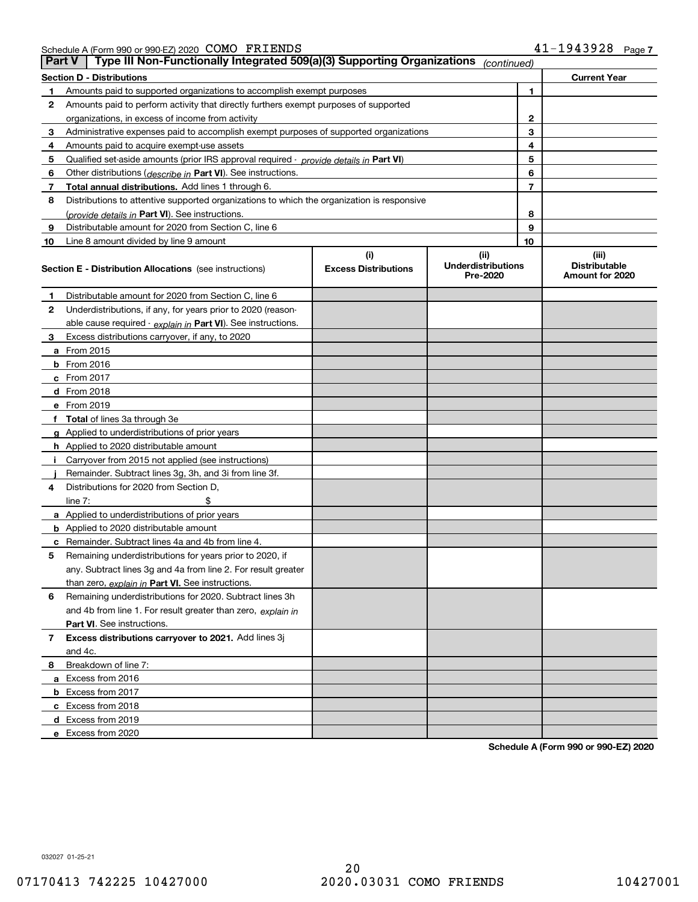| Schedule A (Form 990 or 990-EZ) 2020 $\,$ COMO $\,$ FRIENDS |  | 41-1943928 | Page, |
|-------------------------------------------------------------|--|------------|-------|
|                                                             |  |            |       |

| <b>Part V</b> | Type III Non-Functionally Integrated 509(a)(3) Supporting Organizations                    |                             | (continued)                           |                                         |
|---------------|--------------------------------------------------------------------------------------------|-----------------------------|---------------------------------------|-----------------------------------------|
|               | <b>Section D - Distributions</b>                                                           |                             |                                       | <b>Current Year</b>                     |
| 1             | Amounts paid to supported organizations to accomplish exempt purposes                      |                             | 1                                     |                                         |
| 2             | Amounts paid to perform activity that directly furthers exempt purposes of supported       |                             |                                       |                                         |
|               | organizations, in excess of income from activity                                           | $\mathbf{2}$                |                                       |                                         |
| 3             | Administrative expenses paid to accomplish exempt purposes of supported organizations      |                             | 3                                     |                                         |
| 4             | Amounts paid to acquire exempt-use assets                                                  |                             | 4                                     |                                         |
| 5             | Qualified set-aside amounts (prior IRS approval required - provide details in Part VI)     |                             | 5                                     |                                         |
| 6             | Other distributions ( <i>describe in</i> Part VI). See instructions.                       |                             | 6                                     |                                         |
| 7             | Total annual distributions. Add lines 1 through 6.                                         |                             | $\overline{7}$                        |                                         |
| 8             | Distributions to attentive supported organizations to which the organization is responsive |                             |                                       |                                         |
|               | (provide details in Part VI). See instructions.                                            |                             | 8                                     |                                         |
| 9             | Distributable amount for 2020 from Section C, line 6                                       |                             | 9                                     |                                         |
| 10            | Line 8 amount divided by line 9 amount                                                     |                             | 10                                    |                                         |
|               |                                                                                            | (i)                         | (ii)                                  | (iii)                                   |
|               | <b>Section E - Distribution Allocations</b> (see instructions)                             | <b>Excess Distributions</b> | <b>Underdistributions</b><br>Pre-2020 | <b>Distributable</b><br>Amount for 2020 |
| 1             | Distributable amount for 2020 from Section C, line 6                                       |                             |                                       |                                         |
| 2             | Underdistributions, if any, for years prior to 2020 (reason-                               |                             |                                       |                                         |
|               | able cause required - explain in Part VI). See instructions.                               |                             |                                       |                                         |
| 3             | Excess distributions carryover, if any, to 2020                                            |                             |                                       |                                         |
|               | a From 2015                                                                                |                             |                                       |                                         |
|               | <b>b</b> From 2016                                                                         |                             |                                       |                                         |
|               | $c$ From 2017                                                                              |                             |                                       |                                         |
|               | d From 2018                                                                                |                             |                                       |                                         |
|               | e From 2019                                                                                |                             |                                       |                                         |
|               | f Total of lines 3a through 3e                                                             |                             |                                       |                                         |
|               | g Applied to underdistributions of prior years                                             |                             |                                       |                                         |
|               | <b>h</b> Applied to 2020 distributable amount                                              |                             |                                       |                                         |
|               | Carryover from 2015 not applied (see instructions)                                         |                             |                                       |                                         |
|               | Remainder. Subtract lines 3g, 3h, and 3i from line 3f.                                     |                             |                                       |                                         |
| 4             | Distributions for 2020 from Section D,                                                     |                             |                                       |                                         |
|               | line $7:$                                                                                  |                             |                                       |                                         |
|               | a Applied to underdistributions of prior years                                             |                             |                                       |                                         |
|               | <b>b</b> Applied to 2020 distributable amount                                              |                             |                                       |                                         |
|               | c Remainder. Subtract lines 4a and 4b from line 4.                                         |                             |                                       |                                         |
| 5.            | Remaining underdistributions for years prior to 2020, if                                   |                             |                                       |                                         |
|               | any. Subtract lines 3g and 4a from line 2. For result greater                              |                             |                                       |                                         |
|               | than zero, explain in Part VI. See instructions.                                           |                             |                                       |                                         |
| 6             | Remaining underdistributions for 2020. Subtract lines 3h                                   |                             |                                       |                                         |
|               | and 4b from line 1. For result greater than zero, explain in                               |                             |                                       |                                         |
|               | Part VI. See instructions.                                                                 |                             |                                       |                                         |
| 7             | Excess distributions carryover to 2021. Add lines 3j                                       |                             |                                       |                                         |
|               | and 4c.                                                                                    |                             |                                       |                                         |
| 8             | Breakdown of line 7:                                                                       |                             |                                       |                                         |
|               | a Excess from 2016                                                                         |                             |                                       |                                         |
|               | <b>b</b> Excess from 2017                                                                  |                             |                                       |                                         |
|               | c Excess from 2018                                                                         |                             |                                       |                                         |
|               | d Excess from 2019                                                                         |                             |                                       |                                         |
|               | e Excess from 2020                                                                         |                             |                                       |                                         |

**Schedule A (Form 990 or 990-EZ) 2020**

032027 01-25-21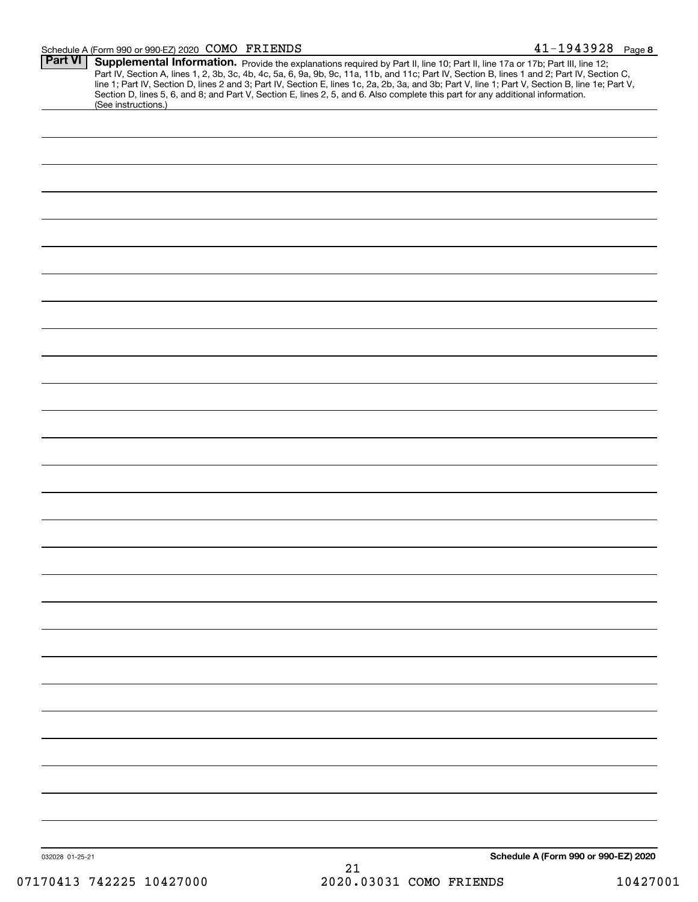#### Schedule A (Form 990 or 990-EZ) 2020 Page COMO FRIENDS 41-1943928

| Part VI         | Supplemental Information. Provide the explanations required by Part II, line 10; Part II, line 17a or 17b; Part III, line 12;<br>Part IV, Section A, lines 1, 2, 3b, 3c, 4b, 4c, 5a, 6, 9a, 9b, 9c, 11a, 11b, and 11c; Part IV, Section B, lines 1 and 2; Part IV, Section C,<br>line 1; Part IV, Section D, lines 2 and 3; Part IV, Section E, lines 1c, 2a, 2b, 3a, and 3b; Part V, line 1; Part V, Section B, line 1e; Part V,<br>Section D, lines 5, 6, and 8; and Part V, Section E, lines 2, 5, and 6. Also complete this part for any additional information.<br>(See instructions.) |
|-----------------|---------------------------------------------------------------------------------------------------------------------------------------------------------------------------------------------------------------------------------------------------------------------------------------------------------------------------------------------------------------------------------------------------------------------------------------------------------------------------------------------------------------------------------------------------------------------------------------------|
|                 |                                                                                                                                                                                                                                                                                                                                                                                                                                                                                                                                                                                             |
|                 |                                                                                                                                                                                                                                                                                                                                                                                                                                                                                                                                                                                             |
|                 |                                                                                                                                                                                                                                                                                                                                                                                                                                                                                                                                                                                             |
|                 |                                                                                                                                                                                                                                                                                                                                                                                                                                                                                                                                                                                             |
|                 |                                                                                                                                                                                                                                                                                                                                                                                                                                                                                                                                                                                             |
|                 |                                                                                                                                                                                                                                                                                                                                                                                                                                                                                                                                                                                             |
|                 |                                                                                                                                                                                                                                                                                                                                                                                                                                                                                                                                                                                             |
|                 |                                                                                                                                                                                                                                                                                                                                                                                                                                                                                                                                                                                             |
|                 |                                                                                                                                                                                                                                                                                                                                                                                                                                                                                                                                                                                             |
|                 |                                                                                                                                                                                                                                                                                                                                                                                                                                                                                                                                                                                             |
|                 |                                                                                                                                                                                                                                                                                                                                                                                                                                                                                                                                                                                             |
|                 |                                                                                                                                                                                                                                                                                                                                                                                                                                                                                                                                                                                             |
|                 |                                                                                                                                                                                                                                                                                                                                                                                                                                                                                                                                                                                             |
|                 |                                                                                                                                                                                                                                                                                                                                                                                                                                                                                                                                                                                             |
|                 |                                                                                                                                                                                                                                                                                                                                                                                                                                                                                                                                                                                             |
|                 |                                                                                                                                                                                                                                                                                                                                                                                                                                                                                                                                                                                             |
|                 |                                                                                                                                                                                                                                                                                                                                                                                                                                                                                                                                                                                             |
|                 |                                                                                                                                                                                                                                                                                                                                                                                                                                                                                                                                                                                             |
|                 |                                                                                                                                                                                                                                                                                                                                                                                                                                                                                                                                                                                             |
|                 |                                                                                                                                                                                                                                                                                                                                                                                                                                                                                                                                                                                             |
|                 |                                                                                                                                                                                                                                                                                                                                                                                                                                                                                                                                                                                             |
|                 |                                                                                                                                                                                                                                                                                                                                                                                                                                                                                                                                                                                             |
|                 |                                                                                                                                                                                                                                                                                                                                                                                                                                                                                                                                                                                             |
|                 |                                                                                                                                                                                                                                                                                                                                                                                                                                                                                                                                                                                             |
|                 |                                                                                                                                                                                                                                                                                                                                                                                                                                                                                                                                                                                             |
|                 |                                                                                                                                                                                                                                                                                                                                                                                                                                                                                                                                                                                             |
|                 |                                                                                                                                                                                                                                                                                                                                                                                                                                                                                                                                                                                             |
|                 |                                                                                                                                                                                                                                                                                                                                                                                                                                                                                                                                                                                             |
|                 |                                                                                                                                                                                                                                                                                                                                                                                                                                                                                                                                                                                             |
|                 |                                                                                                                                                                                                                                                                                                                                                                                                                                                                                                                                                                                             |
|                 |                                                                                                                                                                                                                                                                                                                                                                                                                                                                                                                                                                                             |
|                 |                                                                                                                                                                                                                                                                                                                                                                                                                                                                                                                                                                                             |
|                 |                                                                                                                                                                                                                                                                                                                                                                                                                                                                                                                                                                                             |
|                 |                                                                                                                                                                                                                                                                                                                                                                                                                                                                                                                                                                                             |
|                 |                                                                                                                                                                                                                                                                                                                                                                                                                                                                                                                                                                                             |
|                 |                                                                                                                                                                                                                                                                                                                                                                                                                                                                                                                                                                                             |
| 032028 01-25-21 | Schedule A (Form 990 or 990-EZ) 2020                                                                                                                                                                                                                                                                                                                                                                                                                                                                                                                                                        |
|                 | 21                                                                                                                                                                                                                                                                                                                                                                                                                                                                                                                                                                                          |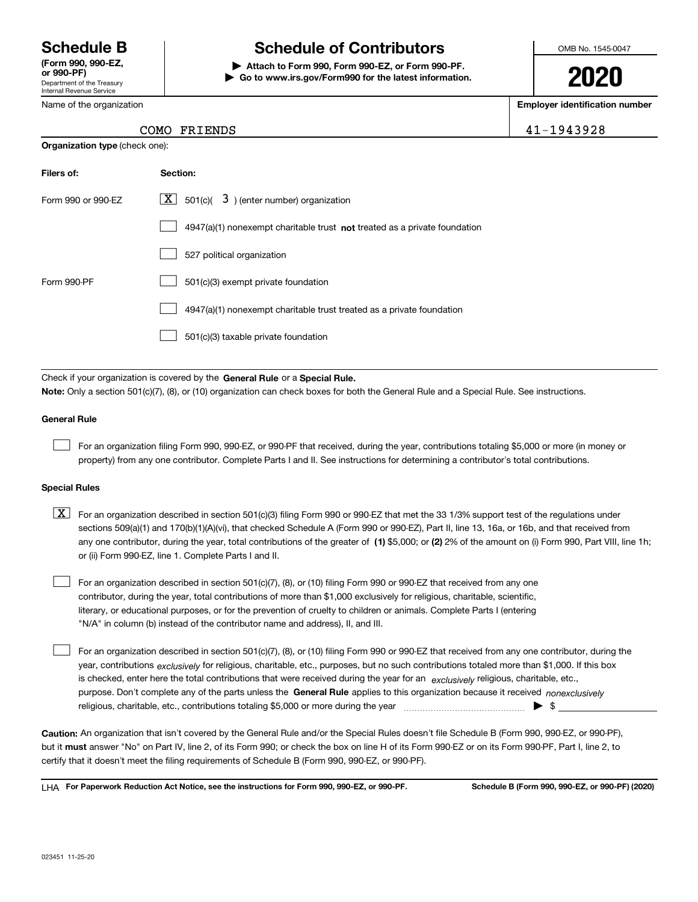Department of the Treasury Internal Revenue Service **(Form 990, 990-EZ, or 990-PF)**

Name of the organization

## **Schedule B Schedule of Contributors**

**| Attach to Form 990, Form 990-EZ, or Form 990-PF. | Go to www.irs.gov/Form990 for the latest information.** OMB No. 1545-0047

# **2020**

**Employer identification number**

### COMO FRIENDS 2004

| <b>Organization type (check one):</b> |                                                                                    |  |  |  |  |
|---------------------------------------|------------------------------------------------------------------------------------|--|--|--|--|
| Filers of:                            | Section:                                                                           |  |  |  |  |
| Form 990 or 990-EZ                    | $\lfloor x \rfloor$ 501(c)( 3) (enter number) organization                         |  |  |  |  |
|                                       | $4947(a)(1)$ nonexempt charitable trust <b>not</b> treated as a private foundation |  |  |  |  |
|                                       | 527 political organization                                                         |  |  |  |  |
| Form 990-PF                           | 501(c)(3) exempt private foundation                                                |  |  |  |  |
|                                       | 4947(a)(1) nonexempt charitable trust treated as a private foundation              |  |  |  |  |
|                                       | 501(c)(3) taxable private foundation                                               |  |  |  |  |
|                                       |                                                                                    |  |  |  |  |

Check if your organization is covered by the **General Rule** or a **Special Rule. Note:**  Only a section 501(c)(7), (8), or (10) organization can check boxes for both the General Rule and a Special Rule. See instructions.

### **General Rule**

 $\mathcal{L}^{\text{max}}$ 

For an organization filing Form 990, 990-EZ, or 990-PF that received, during the year, contributions totaling \$5,000 or more (in money or property) from any one contributor. Complete Parts I and II. See instructions for determining a contributor's total contributions.

### **Special Rules**

any one contributor, during the year, total contributions of the greater of  $\,$  (1) \$5,000; or **(2)** 2% of the amount on (i) Form 990, Part VIII, line 1h;  $\boxed{\textbf{X}}$  For an organization described in section 501(c)(3) filing Form 990 or 990-EZ that met the 33 1/3% support test of the regulations under sections 509(a)(1) and 170(b)(1)(A)(vi), that checked Schedule A (Form 990 or 990-EZ), Part II, line 13, 16a, or 16b, and that received from or (ii) Form 990-EZ, line 1. Complete Parts I and II.

For an organization described in section 501(c)(7), (8), or (10) filing Form 990 or 990-EZ that received from any one contributor, during the year, total contributions of more than \$1,000 exclusively for religious, charitable, scientific, literary, or educational purposes, or for the prevention of cruelty to children or animals. Complete Parts I (entering "N/A" in column (b) instead of the contributor name and address), II, and III.  $\mathcal{L}^{\text{max}}$ 

purpose. Don't complete any of the parts unless the **General Rule** applies to this organization because it received *nonexclusively* year, contributions <sub>exclusively</sub> for religious, charitable, etc., purposes, but no such contributions totaled more than \$1,000. If this box is checked, enter here the total contributions that were received during the year for an  $\;$ exclusively religious, charitable, etc., For an organization described in section 501(c)(7), (8), or (10) filing Form 990 or 990-EZ that received from any one contributor, during the religious, charitable, etc., contributions totaling \$5,000 or more during the year  $\Box$ — $\Box$   $\Box$   $\Box$  $\mathcal{L}^{\text{max}}$ 

**Caution:**  An organization that isn't covered by the General Rule and/or the Special Rules doesn't file Schedule B (Form 990, 990-EZ, or 990-PF),  **must** but it answer "No" on Part IV, line 2, of its Form 990; or check the box on line H of its Form 990-EZ or on its Form 990-PF, Part I, line 2, to certify that it doesn't meet the filing requirements of Schedule B (Form 990, 990-EZ, or 990-PF).

**For Paperwork Reduction Act Notice, see the instructions for Form 990, 990-EZ, or 990-PF. Schedule B (Form 990, 990-EZ, or 990-PF) (2020)** LHA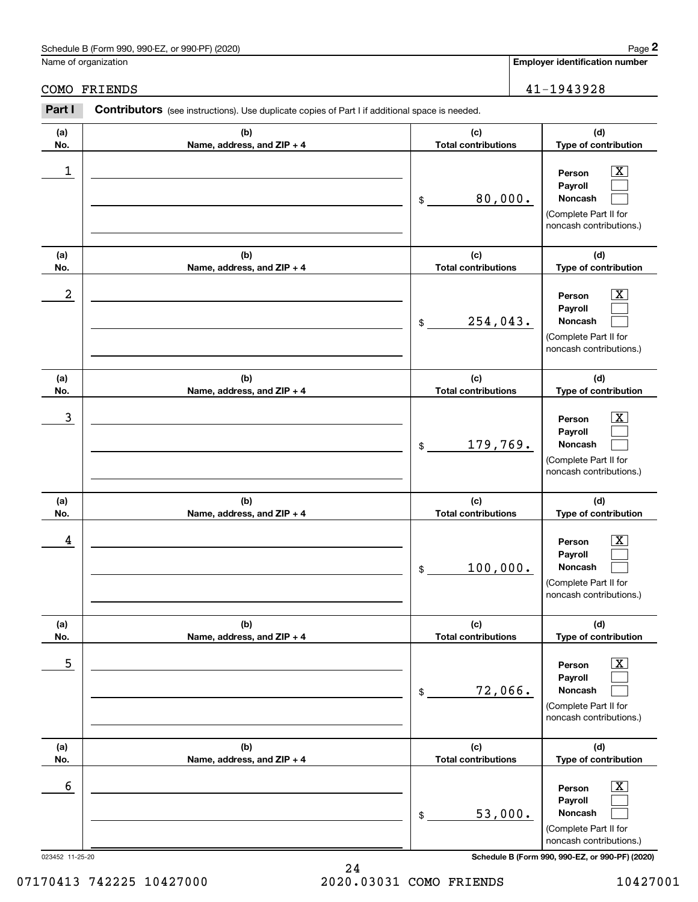### Schedule B (Form 990, 990-EZ, or 990-PF) (2020) Page 2

|              | Schedule B (Form 990, 990-EZ, or 990-PF) (2020)                                                       |                                   |                                       | Page 2                                                                                                      |
|--------------|-------------------------------------------------------------------------------------------------------|-----------------------------------|---------------------------------------|-------------------------------------------------------------------------------------------------------------|
|              | Name of organization                                                                                  |                                   | <b>Employer identification number</b> |                                                                                                             |
| COMO FRIENDS | 41-1943928                                                                                            |                                   |                                       |                                                                                                             |
| Part I       | <b>Contributors</b> (see instructions). Use duplicate copies of Part I if additional space is needed. |                                   |                                       |                                                                                                             |
| (a)<br>No.   | (b)<br>Name, address, and ZIP + 4                                                                     | (c)<br><b>Total contributions</b> |                                       | (d)<br>Type of contribution                                                                                 |
| 1            |                                                                                                       | 80,000.<br>\$                     |                                       | $\overline{\mathbf{X}}$<br>Person<br>Payroll<br>Noncash<br>(Complete Part II for<br>noncash contributions.) |
| (a)<br>No.   | (b)<br>Name, address, and ZIP + 4                                                                     | (c)<br><b>Total contributions</b> |                                       | (d)<br>Type of contribution                                                                                 |
| 2            |                                                                                                       | 254,043.<br>\$                    |                                       | $\overline{\mathbf{X}}$<br>Person<br>Payroll<br>Noncash<br>(Complete Part II for<br>noncash contributions.) |
| (a)<br>No.   | (b)<br>Name, address, and ZIP + 4                                                                     | (c)<br><b>Total contributions</b> |                                       | (d)<br>Type of contribution                                                                                 |
| 3            |                                                                                                       | 179,769.<br>\$                    |                                       | $\overline{\mathbf{X}}$<br>Person<br>Payroll<br>Noncash<br>(Complete Part II for<br>noncash contributions.) |
| (a)<br>No.   | (b)<br>Name, address, and ZIP + 4                                                                     | (c)<br><b>Total contributions</b> |                                       | (d)<br>Type of contribution                                                                                 |
| 4            |                                                                                                       | 100,000.<br>\$                    |                                       | $\mathbf{X}$<br>Person<br>Payroll<br>Noncash<br>(Complete Part II for<br>noncash contributions.)            |
| (a)<br>No.   | (b)<br>Name, address, and ZIP + 4                                                                     | (c)<br><b>Total contributions</b> |                                       | (d)<br>Type of contribution                                                                                 |
| 5            |                                                                                                       | 72,066.<br>\$                     |                                       | $\overline{\mathbf{X}}$<br>Person<br>Payroll<br>Noncash<br>(Complete Part II for<br>noncash contributions.) |
| (a)<br>No.   | (b)<br>Name, address, and ZIP + 4                                                                     | (c)<br><b>Total contributions</b> |                                       | (d)<br>Type of contribution                                                                                 |
| 6            |                                                                                                       | 53,000.<br>\$                     |                                       | $\boxed{\text{X}}$<br>Person<br>Payroll<br>Noncash<br>(Complete Part II for<br>noncash contributions.)      |

023452 11-25-20 **Schedule B (Form 990, 990-EZ, or 990-PF) (2020)**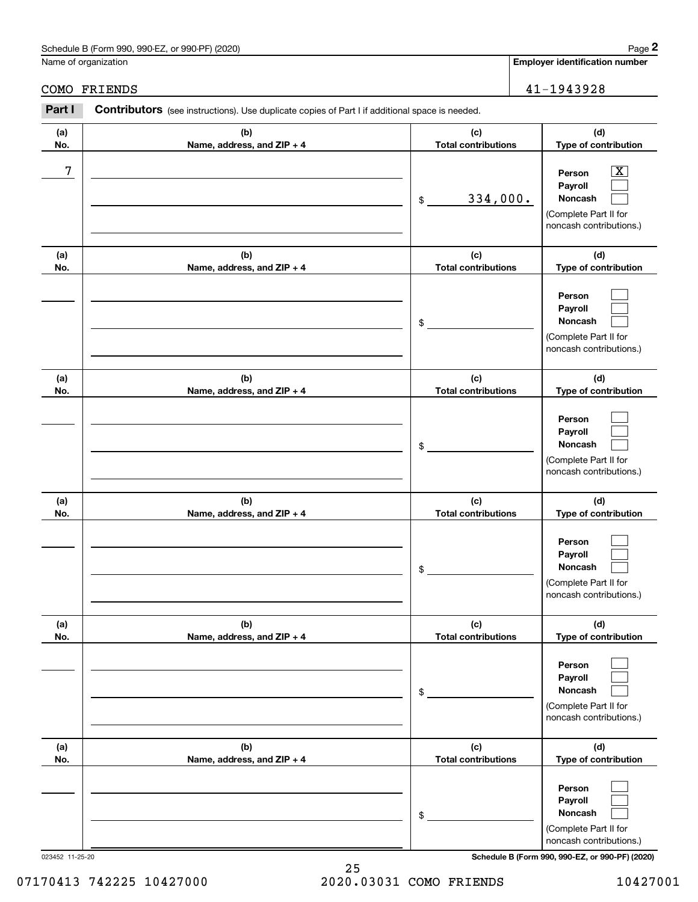### Schedule B (Form 990, 990-EZ, or 990-PF) (2020) Page 2

|            | Schedule B (Form 990, 990-EZ, or 990-PF) (2020)                                                |                                   | Page 2                                                                                                    |
|------------|------------------------------------------------------------------------------------------------|-----------------------------------|-----------------------------------------------------------------------------------------------------------|
|            | Name of organization                                                                           |                                   | <b>Employer identification number</b>                                                                     |
| COMO       | FRIENDS                                                                                        | 41-1943928                        |                                                                                                           |
| Part I     | Contributors (see instructions). Use duplicate copies of Part I if additional space is needed. |                                   |                                                                                                           |
| (a)<br>No. | (b)<br>Name, address, and ZIP + 4                                                              | (c)<br><b>Total contributions</b> | (d)<br>Type of contribution                                                                               |
| 7          |                                                                                                | 334,000.<br>\$                    | $\overline{\text{X}}$<br>Person<br>Payroll<br>Noncash<br>(Complete Part II for<br>noncash contributions.) |
| (a)<br>No. | (b)<br>Name, address, and ZIP + 4                                                              | (c)<br><b>Total contributions</b> | (d)<br>Type of contribution                                                                               |
|            |                                                                                                | \$                                | Person<br>Payroll<br>Noncash<br>(Complete Part II for<br>noncash contributions.)                          |
| (a)<br>No. | (b)<br>Name, address, and ZIP + 4                                                              | (c)<br><b>Total contributions</b> | (d)<br>Type of contribution                                                                               |
|            |                                                                                                | \$                                | Person<br>Payroll<br>Noncash<br>(Complete Part II for<br>noncash contributions.)                          |
| (a)<br>No. | (b)<br>Name, address, and ZIP + 4                                                              | (c)<br><b>Total contributions</b> | (d)<br>Type of contribution                                                                               |
|            |                                                                                                | \$                                | Person<br>Payroll<br>Noncash<br>(Complete Part II for<br>noncash contributions.)                          |
| (a)<br>No. | (b)<br>Name, address, and ZIP + 4                                                              | (c)<br><b>Total contributions</b> | (d)<br>Type of contribution                                                                               |
|            |                                                                                                | \$                                | Person<br>Payroll<br>Noncash<br>(Complete Part II for<br>noncash contributions.)                          |
| (a)<br>No. | (b)<br>Name, address, and ZIP + 4                                                              | (c)<br><b>Total contributions</b> | (d)<br>Type of contribution                                                                               |
|            |                                                                                                | \$                                | Person<br>Payroll<br>Noncash<br>(Complete Part II for<br>noncash contributions.)                          |

023452 11-25-20 **Schedule B (Form 990, 990-EZ, or 990-PF) (2020)**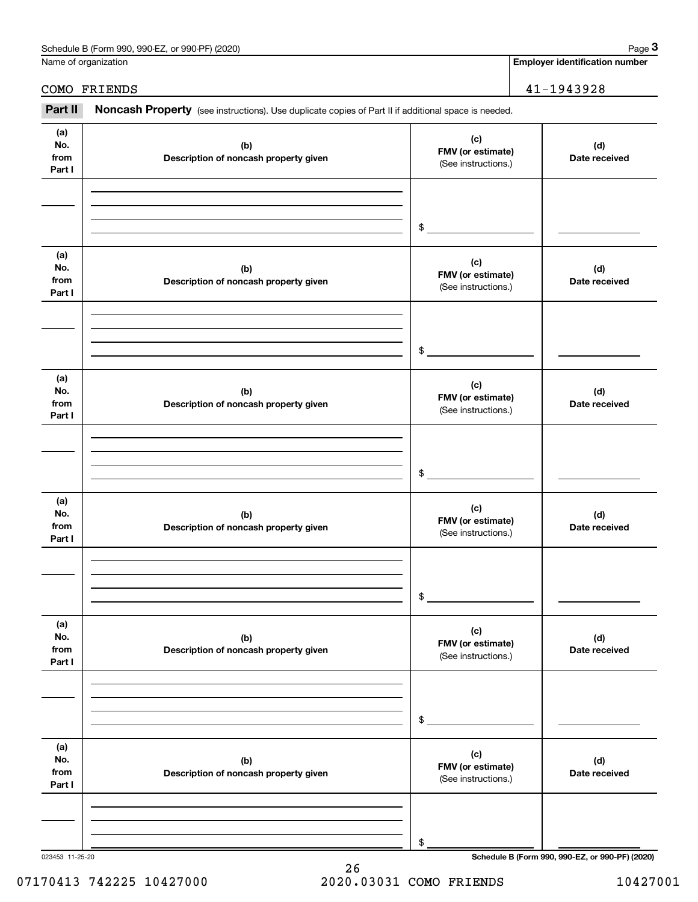| Schedule<br>or 990-PF<br>(2020)<br>990-EZ<br>: B (Form<br>990. | Page |
|----------------------------------------------------------------|------|
|                                                                |      |

Name of organization

**Employer identification number**

### COMO FRIENDS 41-1943928

Employer identification Page 3<br>
lame of organization<br> **3Part II Noncash Property** (see instructions). Use duplicate copies of Part II if additional space is needed.<br> **3Part II Noncash Property** (see instructions). Use

| (a)<br>No.<br>from<br>Part I | (b)<br>Description of noncash property given | (c)<br>FMV (or estimate)<br>(See instructions.) | (d)<br>Date received                            |
|------------------------------|----------------------------------------------|-------------------------------------------------|-------------------------------------------------|
|                              |                                              |                                                 |                                                 |
|                              |                                              | \$                                              |                                                 |
| (a)<br>No.<br>from<br>Part I | (b)<br>Description of noncash property given | (c)<br>FMV (or estimate)<br>(See instructions.) | (d)<br>Date received                            |
|                              |                                              |                                                 |                                                 |
|                              |                                              | \$                                              |                                                 |
| (a)<br>No.<br>from<br>Part I | (b)<br>Description of noncash property given | (c)<br>FMV (or estimate)<br>(See instructions.) | (d)<br>Date received                            |
|                              |                                              |                                                 |                                                 |
|                              |                                              | \$                                              |                                                 |
| (a)<br>No.<br>from<br>Part I | (b)<br>Description of noncash property given | (c)<br>FMV (or estimate)<br>(See instructions.) | (d)<br>Date received                            |
|                              |                                              |                                                 |                                                 |
|                              |                                              | \$                                              |                                                 |
| (a)<br>No.<br>from<br>Part I | (b)<br>Description of noncash property given | (c)<br>FMV (or estimate)<br>(See instructions.) | (d)<br>Date received                            |
|                              |                                              |                                                 |                                                 |
|                              |                                              | \$                                              |                                                 |
| (a)<br>No.<br>from<br>Part I | (b)<br>Description of noncash property given | (c)<br>FMV (or estimate)<br>(See instructions.) | (d)<br>Date received                            |
|                              |                                              |                                                 |                                                 |
|                              |                                              | \$                                              |                                                 |
| 023453 11-25-20              |                                              |                                                 | Schedule B (Form 990, 990-EZ, or 990-PF) (2020) |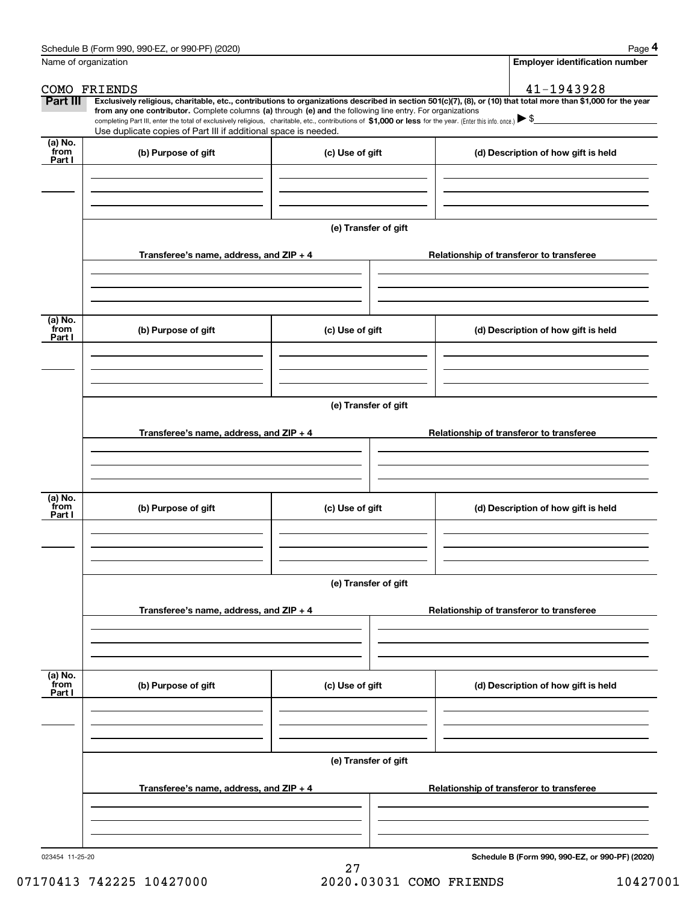|                           | Schedule B (Form 990, 990-EZ, or 990-PF) (2020)                                                                                                                                                                                                                            |                                                                  |  | Page 4                                          |  |  |  |  |
|---------------------------|----------------------------------------------------------------------------------------------------------------------------------------------------------------------------------------------------------------------------------------------------------------------------|------------------------------------------------------------------|--|-------------------------------------------------|--|--|--|--|
|                           | Name of organization                                                                                                                                                                                                                                                       |                                                                  |  | <b>Employer identification number</b>           |  |  |  |  |
|                           | COMO FRIENDS                                                                                                                                                                                                                                                               |                                                                  |  | 41-1943928                                      |  |  |  |  |
| Part III                  | Exclusively religious, charitable, etc., contributions to organizations described in section 501(c)(7), (8), or (10) that total more than \$1,000 for the year                                                                                                             |                                                                  |  |                                                 |  |  |  |  |
|                           | from any one contributor. Complete columns (a) through (e) and the following line entry. For organizations<br>completing Part III, enter the total of exclusively religious, charitable, etc., contributions of \$1,000 or less for the year. (Enter this info. once.) \\$ |                                                                  |  |                                                 |  |  |  |  |
|                           | Use duplicate copies of Part III if additional space is needed.                                                                                                                                                                                                            |                                                                  |  |                                                 |  |  |  |  |
| (a) No.<br>from<br>Part I | (b) Purpose of gift                                                                                                                                                                                                                                                        | (c) Use of gift                                                  |  | (d) Description of how gift is held             |  |  |  |  |
|                           |                                                                                                                                                                                                                                                                            |                                                                  |  |                                                 |  |  |  |  |
|                           |                                                                                                                                                                                                                                                                            |                                                                  |  |                                                 |  |  |  |  |
|                           |                                                                                                                                                                                                                                                                            | (e) Transfer of gift                                             |  |                                                 |  |  |  |  |
|                           | Transferee's name, address, and ZIP + 4                                                                                                                                                                                                                                    |                                                                  |  | Relationship of transferor to transferee        |  |  |  |  |
|                           |                                                                                                                                                                                                                                                                            |                                                                  |  |                                                 |  |  |  |  |
| (a) No.<br>from<br>Part I | (b) Purpose of gift                                                                                                                                                                                                                                                        | (c) Use of gift                                                  |  | (d) Description of how gift is held             |  |  |  |  |
|                           |                                                                                                                                                                                                                                                                            |                                                                  |  |                                                 |  |  |  |  |
|                           |                                                                                                                                                                                                                                                                            |                                                                  |  |                                                 |  |  |  |  |
|                           | Transferee's name, address, and ZIP + 4                                                                                                                                                                                                                                    | (e) Transfer of gift<br>Relationship of transferor to transferee |  |                                                 |  |  |  |  |
|                           |                                                                                                                                                                                                                                                                            |                                                                  |  |                                                 |  |  |  |  |
|                           |                                                                                                                                                                                                                                                                            |                                                                  |  |                                                 |  |  |  |  |
| (a) No.<br>from<br>Part I | (b) Purpose of gift                                                                                                                                                                                                                                                        | (c) Use of gift                                                  |  | (d) Description of how gift is held             |  |  |  |  |
|                           |                                                                                                                                                                                                                                                                            |                                                                  |  |                                                 |  |  |  |  |
|                           |                                                                                                                                                                                                                                                                            | (e) Transfer of gift                                             |  |                                                 |  |  |  |  |
|                           | Transferee's name, address, and ZIP + 4                                                                                                                                                                                                                                    |                                                                  |  | Relationship of transferor to transferee        |  |  |  |  |
|                           |                                                                                                                                                                                                                                                                            |                                                                  |  |                                                 |  |  |  |  |
|                           |                                                                                                                                                                                                                                                                            |                                                                  |  |                                                 |  |  |  |  |
| (a) No.<br>from<br>Part I | (b) Purpose of gift                                                                                                                                                                                                                                                        | (c) Use of gift                                                  |  | (d) Description of how gift is held             |  |  |  |  |
|                           |                                                                                                                                                                                                                                                                            |                                                                  |  |                                                 |  |  |  |  |
|                           |                                                                                                                                                                                                                                                                            | (e) Transfer of gift                                             |  |                                                 |  |  |  |  |
|                           | Transferee's name, address, and ZIP + 4                                                                                                                                                                                                                                    |                                                                  |  | Relationship of transferor to transferee        |  |  |  |  |
|                           |                                                                                                                                                                                                                                                                            |                                                                  |  |                                                 |  |  |  |  |
|                           |                                                                                                                                                                                                                                                                            |                                                                  |  |                                                 |  |  |  |  |
| 023454 11-25-20           |                                                                                                                                                                                                                                                                            |                                                                  |  | Schedule B (Form 990, 990-EZ, or 990-PF) (2020) |  |  |  |  |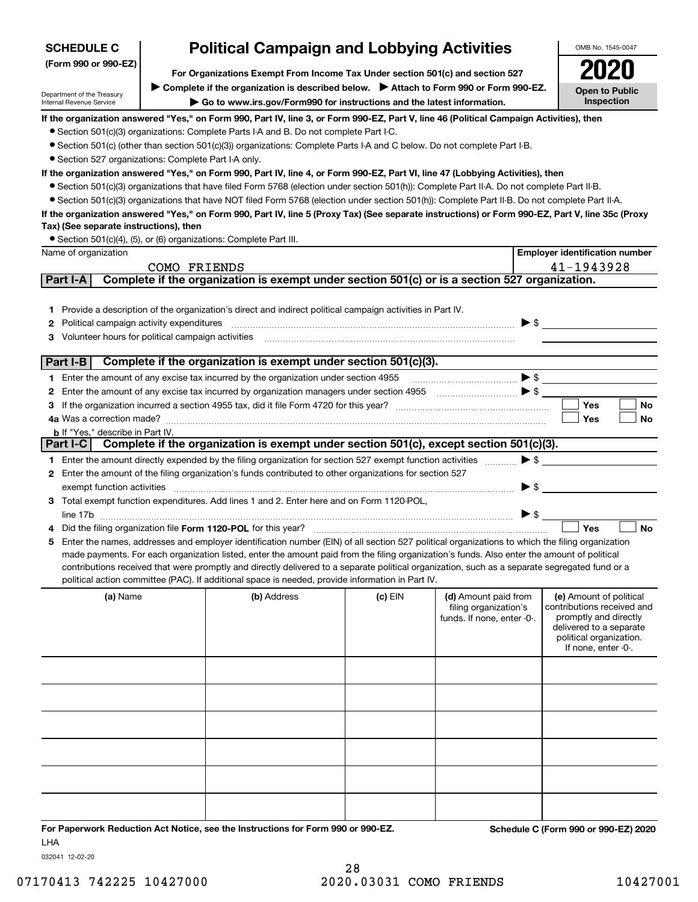| <b>SCHEDULE C</b>                                      |                                                                                                                                                                                                                | OMB No. 1545-0047       |                                       |
|--------------------------------------------------------|----------------------------------------------------------------------------------------------------------------------------------------------------------------------------------------------------------------|-------------------------|---------------------------------------|
| (Form 990 or 990-EZ)                                   | <b>Political Campaign and Lobbying Activities</b><br>For Organizations Exempt From Income Tax Under section 501(c) and section 527                                                                             | 2020                    |                                       |
| Department of the Treasury<br>Internal Revenue Service | ► Complete if the organization is described below. ► Attach to Form 990 or Form 990-EZ.<br>$\triangleright$ Go to www.irs.gov/Form990 for instructions and the latest information.                             |                         | <b>Open to Public</b><br>Inspection   |
|                                                        | If the organization answered "Yes," on Form 990, Part IV, line 3, or Form 990-EZ, Part V, line 46 (Political Campaign Activities), then                                                                        |                         |                                       |
|                                                        | • Section 501(c)(3) organizations: Complete Parts I-A and B. Do not complete Part I-C.                                                                                                                         |                         |                                       |
|                                                        | • Section 501(c) (other than section 501(c)(3)) organizations: Complete Parts I-A and C below. Do not complete Part I-B.                                                                                       |                         |                                       |
|                                                        | • Section 527 organizations: Complete Part I-A only.                                                                                                                                                           |                         |                                       |
|                                                        | lf the organization answered "Yes," on Form 990, Part IV, line 4, or Form 990-EZ, Part VI, line 47 (Lobbying Activities), then                                                                                 |                         |                                       |
|                                                        | • Section 501(c)(3) organizations that have filed Form 5768 (election under section 501(h)): Complete Part II-A. Do not complete Part II-B.                                                                    |                         |                                       |
|                                                        | • Section 501(c)(3) organizations that have NOT filed Form 5768 (election under section 501(h)): Complete Part II-B. Do not complete Part II-A.                                                                |                         |                                       |
|                                                        | If the organization answered "Yes," on Form 990, Part IV, line 5 (Proxy Tax) (See separate instructions) or Form 990-EZ, Part V, line 35c (Proxy                                                               |                         |                                       |
| Tax) (See separate instructions), then                 |                                                                                                                                                                                                                |                         |                                       |
|                                                        | • Section 501(c)(4), (5), or (6) organizations: Complete Part III.                                                                                                                                             |                         |                                       |
| Name of organization                                   |                                                                                                                                                                                                                |                         | <b>Employer identification number</b> |
|                                                        | FRIENDS<br>COMO.                                                                                                                                                                                               |                         | 41-1943928                            |
| Part I-A                                               | Complete if the organization is exempt under section 501(c) or is a section 527 organization.                                                                                                                  |                         |                                       |
| $\mathbf{2}$                                           | 1 Provide a description of the organization's direct and indirect political campaign activities in Part IV.<br>Political campaign activity expenditures<br>3 Volunteer hours for political campaign activities | $\blacktriangleright$ s |                                       |

| <b>Part I-B</b> | Complete if the organization is exempt under section 501(c)(3).                                                              |     |    |
|-----------------|------------------------------------------------------------------------------------------------------------------------------|-----|----|
|                 | Enter the amount of any excise tax incurred by the organization under section 4955                                           |     |    |
|                 | 2 Enter the amount of any excise tax incurred by organization managers under section 4955                                    |     |    |
| 3.              | If the organization incurred a section 4955 tax, did it file Form 4720 for this year?                                        | Yes | No |
|                 | 4a Was a correction made?                                                                                                    | Yes | No |
|                 | <b>b</b> If "Yes." describe in Part IV.                                                                                      |     |    |
|                 | Part I-C   Complete if the organization is exempt under section 501(c), except section 501(c)(3).                            |     |    |
|                 | Enter the amount directly expended by the filing organization for section 527 exempt function activities $\triangleright$ \$ |     |    |
| 2               | Enter the amount of the filing organization's funds contributed to other organizations for section 527                       |     |    |
|                 | exempt function activities                                                                                                   |     |    |
| з               | Total exempt function expenditures. Add lines 1 and 2. Enter here and on Form 1120-POL,                                      |     |    |
|                 |                                                                                                                              |     |    |

| ıını<br>the contract of the contract of |  |
|-----------------------------------------|--|
| 11<br>.                                 |  |

| 5 Enter the names, addresses and employer identification number (EIN) of all section 527 political organizations to which the filing organization |
|---------------------------------------------------------------------------------------------------------------------------------------------------|
| made payments. For each organization listed, enter the amount paid from the filing organization's funds. Also enter the amount of political       |
| contributions received that were promptly and directly delivered to a separate political organization, such as a separate segregated fund or a    |
| political action committee (PAC). If additional space is needed, provide information in Part IV.                                                  |

| (a) Name | (b) Address | $(c)$ EIN | (d) Amount paid from<br>filing organization's<br>funds. If none, enter -0-. | (e) Amount of political<br>contributions received and<br>promptly and directly<br>delivered to a separate<br>political organization.<br>If none, enter -0-. |
|----------|-------------|-----------|-----------------------------------------------------------------------------|-------------------------------------------------------------------------------------------------------------------------------------------------------------|
|          |             |           |                                                                             |                                                                                                                                                             |
|          |             |           |                                                                             |                                                                                                                                                             |
|          |             |           |                                                                             |                                                                                                                                                             |
|          |             |           |                                                                             |                                                                                                                                                             |
|          |             |           |                                                                             |                                                                                                                                                             |
|          |             |           |                                                                             |                                                                                                                                                             |

**For Paperwork Reduction Act Notice, see the Instructions for Form 990 or 990-EZ. Schedule C (Form 990 or 990-EZ) 2020** LHA

032041 12-02-20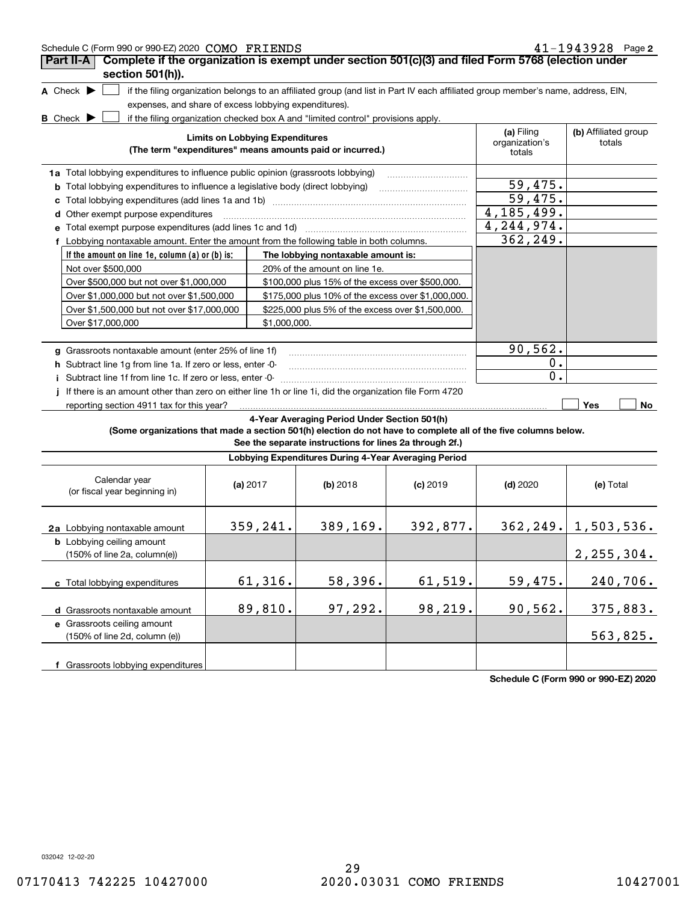| 41-1943928 Page 2<br>Schedule C (Form 990 or 990-EZ) 2020 COMO FRIENDS                                                                                 |                                        |              |                                                                                                                                   |            |                                        |                                |
|--------------------------------------------------------------------------------------------------------------------------------------------------------|----------------------------------------|--------------|-----------------------------------------------------------------------------------------------------------------------------------|------------|----------------------------------------|--------------------------------|
| Complete if the organization is exempt under section 501(c)(3) and filed Form 5768 (election under<br>Part II-A                                        |                                        |              |                                                                                                                                   |            |                                        |                                |
| section 501(h)).                                                                                                                                       |                                        |              |                                                                                                                                   |            |                                        |                                |
| A Check $\blacktriangleright$                                                                                                                          |                                        |              | if the filing organization belongs to an affiliated group (and list in Part IV each affiliated group member's name, address, EIN, |            |                                        |                                |
| expenses, and share of excess lobbying expenditures).                                                                                                  |                                        |              |                                                                                                                                   |            |                                        |                                |
| <b>B</b> Check $\blacktriangleright$                                                                                                                   |                                        |              | if the filing organization checked box A and "limited control" provisions apply.                                                  |            |                                        |                                |
|                                                                                                                                                        | <b>Limits on Lobbying Expenditures</b> |              | (The term "expenditures" means amounts paid or incurred.)                                                                         |            | (a) Filing<br>organization's<br>totals | (b) Affiliated group<br>totals |
| 1a Total lobbying expenditures to influence public opinion (grassroots lobbying)                                                                       |                                        |              |                                                                                                                                   |            |                                        |                                |
| <b>b</b> Total lobbying expenditures to influence a legislative body (direct lobbying)                                                                 |                                        |              |                                                                                                                                   |            | 59,475.                                |                                |
| c Total lobbying expenditures (add lines 1a and 1b) manufactured contains an intervention contains an intervention of                                  |                                        |              |                                                                                                                                   |            | 59,475.                                |                                |
| d Other exempt purpose expenditures                                                                                                                    |                                        |              |                                                                                                                                   |            | 4, 185, 499.                           |                                |
| e Total exempt purpose expenditures (add lines 1c and 1d)                                                                                              |                                        |              |                                                                                                                                   |            | 4, 244, 974.                           |                                |
| f Lobbying nontaxable amount. Enter the amount from the following table in both columns.                                                               |                                        |              |                                                                                                                                   |            | 362,249.                               |                                |
| If the amount on line 1e, column $(a)$ or $(b)$ is:                                                                                                    |                                        |              | The lobbying nontaxable amount is:                                                                                                |            |                                        |                                |
| Not over \$500,000                                                                                                                                     |                                        |              | 20% of the amount on line 1e.                                                                                                     |            |                                        |                                |
| Over \$500,000 but not over \$1,000,000                                                                                                                |                                        |              | \$100,000 plus 15% of the excess over \$500,000.                                                                                  |            |                                        |                                |
| Over \$1,000,000 but not over \$1,500,000                                                                                                              |                                        |              | \$175,000 plus 10% of the excess over \$1,000,000.                                                                                |            |                                        |                                |
| Over \$1,500,000 but not over \$17,000,000                                                                                                             |                                        |              | \$225,000 plus 5% of the excess over \$1,500,000.                                                                                 |            |                                        |                                |
| Over \$17,000,000                                                                                                                                      |                                        | \$1,000,000. |                                                                                                                                   |            |                                        |                                |
|                                                                                                                                                        |                                        |              |                                                                                                                                   |            |                                        |                                |
| g Grassroots nontaxable amount (enter 25% of line 1f)                                                                                                  |                                        |              |                                                                                                                                   |            | 90,562.                                |                                |
| h Subtract line 1g from line 1a. If zero or less, enter -0-                                                                                            |                                        |              |                                                                                                                                   |            | 0.<br>$\overline{0}$ .                 |                                |
| i Subtract line 1f from line 1c. If zero or less, enter -0-                                                                                            |                                        |              |                                                                                                                                   |            |                                        |                                |
| j If there is an amount other than zero on either line 1h or line 1i, did the organization file Form 4720<br>reporting section 4911 tax for this year? |                                        |              |                                                                                                                                   |            |                                        | Yes<br>No                      |
| (Some organizations that made a section 501(h) election do not have to complete all of the five columns below.                                         |                                        |              | 4-Year Averaging Period Under Section 501(h)<br>See the separate instructions for lines 2a through 2f.)                           |            |                                        |                                |
|                                                                                                                                                        |                                        |              | Lobbying Expenditures During 4-Year Averaging Period                                                                              |            |                                        |                                |
|                                                                                                                                                        |                                        |              |                                                                                                                                   |            |                                        |                                |
| Calendar year<br>(or fiscal year beginning in)                                                                                                         | (a) $2017$                             |              | $(b)$ 2018                                                                                                                        | $(c)$ 2019 | $(d)$ 2020                             | (e) Total                      |
| 2a Lobbying nontaxable amount                                                                                                                          |                                        | 359,241.     | 389,169.                                                                                                                          | 392,877.   |                                        | $362, 249.$ 1, 503, 536.       |
| <b>b</b> Lobbying ceiling amount<br>$(150\% \text{ of line } 2a, \text{ column}(e))$                                                                   |                                        |              |                                                                                                                                   |            |                                        | 2, 255, 304.                   |
| c Total lobbying expenditures                                                                                                                          |                                        | 61,316.      | 58,396.                                                                                                                           | 61,519.    | 59,475.                                | 240,706.                       |
| d Grassroots nontaxable amount                                                                                                                         |                                        | 89,810.      | 97,292.                                                                                                                           | 98,219.    | 90, 562.                               | 375,883.                       |
| e Grassroots ceiling amount                                                                                                                            |                                        |              |                                                                                                                                   |            |                                        |                                |
| (150% of line 2d, column (e))                                                                                                                          |                                        |              |                                                                                                                                   |            |                                        | 563,825.                       |
|                                                                                                                                                        |                                        |              |                                                                                                                                   |            |                                        |                                |
| f Grassroots lobbying expenditures                                                                                                                     |                                        |              |                                                                                                                                   |            |                                        |                                |

**Schedule C (Form 990 or 990-EZ) 2020**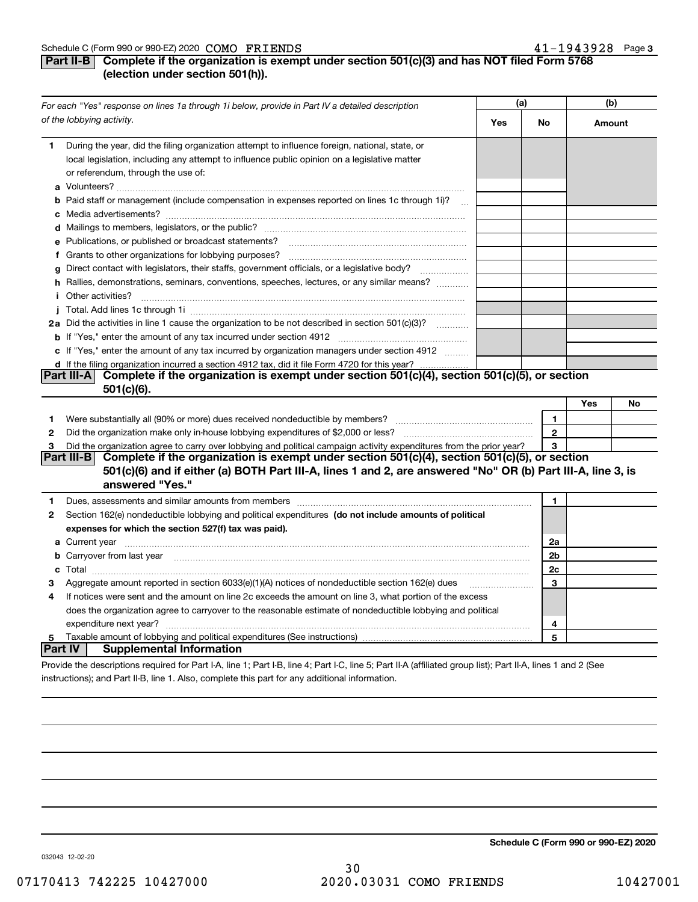### **Part II-B** Complete if the organization is exempt under section 501(c)(3) and has NOT filed Form 5768 **(election under section 501(h)).**

|                                  | For each "Yes" response on lines 1a through 1i below, provide in Part IV a detailed description                                                                                                                                                |  | (a)          |        | (b) |  |
|----------------------------------|------------------------------------------------------------------------------------------------------------------------------------------------------------------------------------------------------------------------------------------------|--|--------------|--------|-----|--|
| of the lobbying activity.<br>Yes |                                                                                                                                                                                                                                                |  |              | Amount |     |  |
| 1.                               | During the year, did the filing organization attempt to influence foreign, national, state, or<br>local legislation, including any attempt to influence public opinion on a legislative matter<br>or referendum, through the use of:           |  |              |        |     |  |
|                                  | <b>b</b> Paid staff or management (include compensation in expenses reported on lines 1c through 1i)?<br>$\sim$                                                                                                                                |  |              |        |     |  |
|                                  | e Publications, or published or broadcast statements?                                                                                                                                                                                          |  |              |        |     |  |
| g                                | Direct contact with legislators, their staffs, government officials, or a legislative body?                                                                                                                                                    |  |              |        |     |  |
|                                  | h Rallies, demonstrations, seminars, conventions, speeches, lectures, or any similar means?<br>i Other activities?                                                                                                                             |  |              |        |     |  |
|                                  |                                                                                                                                                                                                                                                |  |              |        |     |  |
|                                  | 2a Did the activities in line 1 cause the organization to be not described in section 501(c)(3)?                                                                                                                                               |  |              |        |     |  |
|                                  | c If "Yes," enter the amount of any tax incurred by organization managers under section 4912                                                                                                                                                   |  |              |        |     |  |
|                                  | d If the filing organization incurred a section 4912 tax, did it file Form 4720 for this year?<br>Complete if the organization is exempt under section 501(c)(4), section 501(c)(5), or section<br> Part III-A <br>$501(c)(6)$ .               |  |              | Yes    | No  |  |
| 1.                               | Were substantially all (90% or more) dues received nondeductible by members?                                                                                                                                                                   |  | $\mathbf{1}$ |        |     |  |
| $\mathbf{2}$                     | Did the organization make only in house lobbying expenditures of \$2,000 or less?                                                                                                                                                              |  | $\mathbf{2}$ |        |     |  |
| 3                                | Did the organization agree to carry over lobbying and political campaign activity expenditures from the prior year?                                                                                                                            |  | 3            |        |     |  |
|                                  | Part III-B <br>Complete if the organization is exempt under section 501(c)(4), section 501(c)(5), or section<br>501(c)(6) and if either (a) BOTH Part III-A, lines 1 and 2, are answered "No" OR (b) Part III-A, line 3, is<br>answered "Yes." |  |              |        |     |  |
| 1                                |                                                                                                                                                                                                                                                |  | $\mathbf{1}$ |        |     |  |
| 2                                | Section 162(e) nondeductible lobbying and political expenditures (do not include amounts of political<br>expenses for which the section 527(f) tax was paid).                                                                                  |  |              |        |     |  |
|                                  | <b>a</b> Current year                                                                                                                                                                                                                          |  | 2a           |        |     |  |
|                                  | b Carryover from last year manufactured and contain an account of the control of the control of the control of                                                                                                                                 |  | 2b           |        |     |  |
|                                  |                                                                                                                                                                                                                                                |  | 2c           |        |     |  |
| 3                                |                                                                                                                                                                                                                                                |  | 3            |        |     |  |
| 4                                | If notices were sent and the amount on line 2c exceeds the amount on line 3, what portion of the excess                                                                                                                                        |  |              |        |     |  |
|                                  | does the organization agree to carryover to the reasonable estimate of nondeductible lobbying and political                                                                                                                                    |  |              |        |     |  |
|                                  | expenditure next year?                                                                                                                                                                                                                         |  | 4            |        |     |  |
| 5<br><b>Part IV</b>              | <b>Supplemental Information</b>                                                                                                                                                                                                                |  | 5            |        |     |  |
|                                  | Provide the descriptions required for Part I-A, line 1; Part I-B, line 4; Part I-C, line 5; Part II-A (affiliated group list); Part II-A, lines 1 and 2 (See                                                                                   |  |              |        |     |  |

instructions); and Part II-B, line 1. Also, complete this part for any additional information.

**Schedule C (Form 990 or 990-EZ) 2020**

032043 12-02-20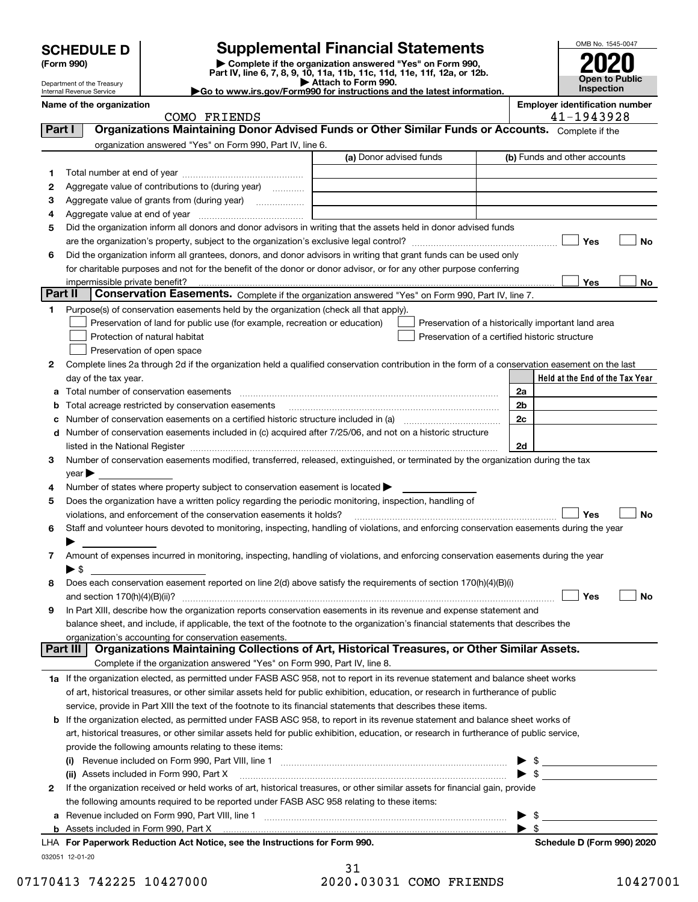| <b>SCHEDULE D</b> |  |
|-------------------|--|
|-------------------|--|

### **SCHEDULE D Supplemental Financial Statements**

(Form 990)<br>
Pepartment of the Treasury<br>
Department of the Treasury<br>
Department of the Treasury<br>
Department of the Treasury<br> **Co to www.irs.gov/Form990 for instructions and the latest information.**<br> **Co to www.irs.gov/Form9** 



Department of the Treasury Internal Revenue Service

| lame of the organization |  |  |  |
|--------------------------|--|--|--|
|--------------------------|--|--|--|

Name of the organization<br>
COMO FRIENDS **Employer identification number**<br>  $A1 - 19A3928$ COMO FRIENDS

| organization answered "Yes" on Form 990, Part IV, line 6.<br>(a) Donor advised funds<br>(b) Funds and other accounts                                                                                                                |                                 |
|-------------------------------------------------------------------------------------------------------------------------------------------------------------------------------------------------------------------------------------|---------------------------------|
|                                                                                                                                                                                                                                     |                                 |
|                                                                                                                                                                                                                                     |                                 |
| 1.                                                                                                                                                                                                                                  |                                 |
| Aggregate value of contributions to (during year)<br>2                                                                                                                                                                              |                                 |
| з<br>Aggregate value of grants from (during year)                                                                                                                                                                                   |                                 |
| 4                                                                                                                                                                                                                                   |                                 |
| Did the organization inform all donors and donor advisors in writing that the assets held in donor advised funds<br>5                                                                                                               |                                 |
|                                                                                                                                                                                                                                     | Yes<br>No                       |
| Did the organization inform all grantees, donors, and donor advisors in writing that grant funds can be used only<br>6                                                                                                              |                                 |
| for charitable purposes and not for the benefit of the donor or donor advisor, or for any other purpose conferring                                                                                                                  |                                 |
| impermissible private benefit?                                                                                                                                                                                                      | Yes<br>No                       |
| Part II<br>Conservation Easements. Complete if the organization answered "Yes" on Form 990, Part IV, line 7.                                                                                                                        |                                 |
| Purpose(s) of conservation easements held by the organization (check all that apply).<br>1.                                                                                                                                         |                                 |
| Preservation of land for public use (for example, recreation or education)<br>Preservation of a historically important land area                                                                                                    |                                 |
| Protection of natural habitat<br>Preservation of a certified historic structure                                                                                                                                                     |                                 |
| Preservation of open space                                                                                                                                                                                                          |                                 |
| Complete lines 2a through 2d if the organization held a qualified conservation contribution in the form of a conservation easement on the last<br>2                                                                                 |                                 |
| day of the tax year.                                                                                                                                                                                                                | Held at the End of the Tax Year |
| 2a<br>а                                                                                                                                                                                                                             |                                 |
| 2b<br>Total acreage restricted by conservation easements<br>b                                                                                                                                                                       |                                 |
| 2c<br>Number of conservation easements on a certified historic structure included in (a) manufacture of conservation<br>с                                                                                                           |                                 |
| Number of conservation easements included in (c) acquired after 7/25/06, and not on a historic structure<br>d                                                                                                                       |                                 |
| 2d<br>listed in the National Register [111] Marshall Register [11] Marshall Register [11] Marshall Register [11] Marshall Register [11] Marshall Register [11] Marshall Register [11] Marshall Register [11] Marshall Register [11] |                                 |
| Number of conservation easements modified, transferred, released, extinguished, or terminated by the organization during the tax<br>3.                                                                                              |                                 |
| $year \blacktriangleright$                                                                                                                                                                                                          |                                 |
| Number of states where property subject to conservation easement is located<br>4                                                                                                                                                    |                                 |
| Does the organization have a written policy regarding the periodic monitoring, inspection, handling of<br>5                                                                                                                         |                                 |
| violations, and enforcement of the conservation easements it holds?<br>Staff and volunteer hours devoted to monitoring, inspecting, handling of violations, and enforcing conservation easements during the year                    | Yes<br>No                       |
| 6                                                                                                                                                                                                                                   |                                 |
| Amount of expenses incurred in monitoring, inspecting, handling of violations, and enforcing conservation easements during the year<br>7                                                                                            |                                 |
| $\blacktriangleright$ \$                                                                                                                                                                                                            |                                 |
| Does each conservation easement reported on line 2(d) above satisfy the requirements of section 170(h)(4)(B)(i)<br>8                                                                                                                |                                 |
| and section $170(h)(4)(B)(ii)?$                                                                                                                                                                                                     | Yes<br>No                       |
| In Part XIII, describe how the organization reports conservation easements in its revenue and expense statement and<br>9                                                                                                            |                                 |
| balance sheet, and include, if applicable, the text of the footnote to the organization's financial statements that describes the                                                                                                   |                                 |
| organization's accounting for conservation easements.                                                                                                                                                                               |                                 |
| Organizations Maintaining Collections of Art, Historical Treasures, or Other Similar Assets.<br>Part II                                                                                                                             |                                 |
| Complete if the organization answered "Yes" on Form 990, Part IV, line 8.                                                                                                                                                           |                                 |
| 1a If the organization elected, as permitted under FASB ASC 958, not to report in its revenue statement and balance sheet works                                                                                                     |                                 |
| of art, historical treasures, or other similar assets held for public exhibition, education, or research in furtherance of public                                                                                                   |                                 |
| service, provide in Part XIII the text of the footnote to its financial statements that describes these items.                                                                                                                      |                                 |
| If the organization elected, as permitted under FASB ASC 958, to report in its revenue statement and balance sheet works of<br>b                                                                                                    |                                 |
| art, historical treasures, or other similar assets held for public exhibition, education, or research in furtherance of public service,                                                                                             |                                 |
| provide the following amounts relating to these items:                                                                                                                                                                              |                                 |
|                                                                                                                                                                                                                                     | $\frac{1}{2}$                   |
| $\bullet$ \$<br>(ii) Assets included in Form 990, Part X                                                                                                                                                                            |                                 |
| If the organization received or held works of art, historical treasures, or other similar assets for financial gain, provide<br>2                                                                                                   |                                 |
| the following amounts required to be reported under FASB ASC 958 relating to these items:                                                                                                                                           |                                 |
| $\triangleright$ \$<br>Revenue included on Form 990, Part VIII, line 1 [2000] [2000] [2000] [2000] [3000] [3000] [3000] [3000] [3000<br>a                                                                                           |                                 |
| $\blacktriangleright$ \$                                                                                                                                                                                                            |                                 |

032051 12-01-20 **For Paperwork Reduction Act Notice, see the Instructions for Form 990. Schedule D (Form 990) 2020** LHA

31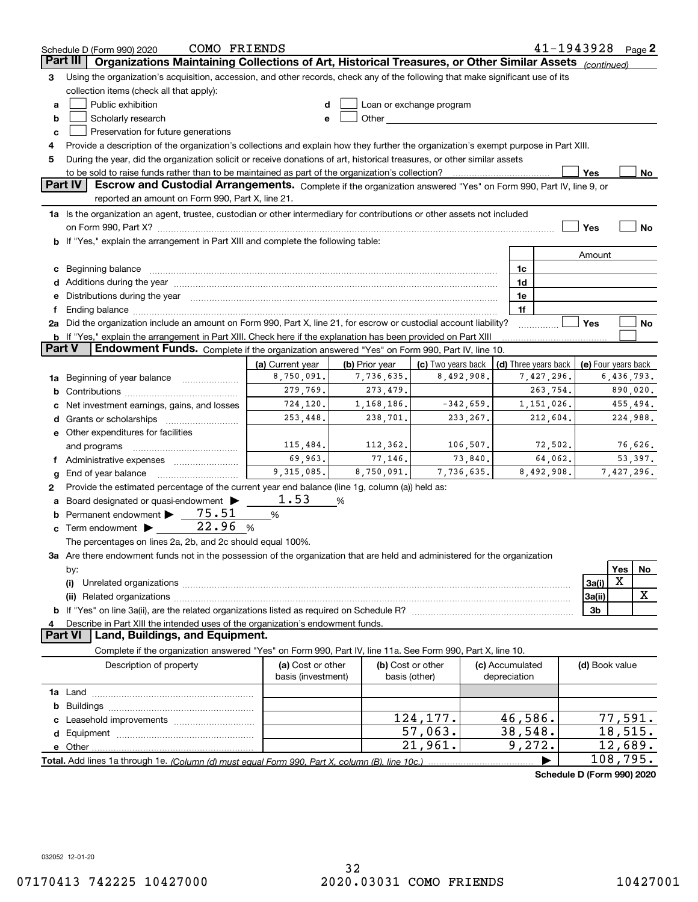|          | $41 - 1943928$ Page 2<br>COMO FRIENDS<br>Schedule D (Form 990) 2020                                                                                                                                                            |                                         |                |                                    |                                 |                            |                     |            |           |
|----------|--------------------------------------------------------------------------------------------------------------------------------------------------------------------------------------------------------------------------------|-----------------------------------------|----------------|------------------------------------|---------------------------------|----------------------------|---------------------|------------|-----------|
| Part III | Organizations Maintaining Collections of Art, Historical Treasures, or Other Similar Assets (continued)                                                                                                                        |                                         |                |                                    |                                 |                            |                     |            |           |
| З        | Using the organization's acquisition, accession, and other records, check any of the following that make significant use of its                                                                                                |                                         |                |                                    |                                 |                            |                     |            |           |
|          | collection items (check all that apply):                                                                                                                                                                                       |                                         |                |                                    |                                 |                            |                     |            |           |
| a        | Public exhibition                                                                                                                                                                                                              | d                                       |                | Loan or exchange program           |                                 |                            |                     |            |           |
| b        | Scholarly research                                                                                                                                                                                                             | e                                       |                |                                    |                                 |                            |                     |            |           |
| c        | Preservation for future generations                                                                                                                                                                                            |                                         |                |                                    |                                 |                            |                     |            |           |
| 4        | Provide a description of the organization's collections and explain how they further the organization's exempt purpose in Part XIII.                                                                                           |                                         |                |                                    |                                 |                            |                     |            |           |
| 5        | During the year, did the organization solicit or receive donations of art, historical treasures, or other similar assets                                                                                                       |                                         |                |                                    |                                 |                            |                     |            |           |
|          | to be sold to raise funds rather than to be maintained as part of the organization's collection?                                                                                                                               |                                         |                |                                    |                                 |                            | Yes                 |            | No        |
|          | <b>Part IV</b><br>Escrow and Custodial Arrangements. Complete if the organization answered "Yes" on Form 990, Part IV, line 9, or                                                                                              |                                         |                |                                    |                                 |                            |                     |            |           |
|          | reported an amount on Form 990, Part X, line 21.                                                                                                                                                                               |                                         |                |                                    |                                 |                            |                     |            |           |
|          | 1a Is the organization an agent, trustee, custodian or other intermediary for contributions or other assets not included                                                                                                       |                                         |                |                                    |                                 |                            |                     |            |           |
|          | on Form 990, Part X? [11] matter contracts and contracts and contracts are contracted as a form 990, Part X?                                                                                                                   |                                         |                |                                    |                                 |                            | Yes                 |            | <b>No</b> |
|          | If "Yes," explain the arrangement in Part XIII and complete the following table:                                                                                                                                               |                                         |                |                                    |                                 |                            |                     |            |           |
|          |                                                                                                                                                                                                                                |                                         |                |                                    |                                 |                            | Amount              |            |           |
| c        | Beginning balance                                                                                                                                                                                                              |                                         |                |                                    | 1c                              |                            |                     |            |           |
| d        | Additions during the year manufactured and an account of the state of the state of the state of the state of the state of the state of the state of the state of the state of the state of the state of the state of the state |                                         |                |                                    | 1d                              |                            |                     |            |           |
| е        | Distributions during the year manufactured and continuum and continuum and the year manufactured and continuum                                                                                                                 |                                         |                |                                    | 1e<br>1f                        |                            |                     |            |           |
|          | 2a Did the organization include an amount on Form 990, Part X, line 21, for escrow or custodial account liability?                                                                                                             |                                         |                |                                    |                                 |                            | Yes                 |            | No        |
|          | b If "Yes," explain the arrangement in Part XIII. Check here if the explanation has been provided on Part XIII                                                                                                                 |                                         |                |                                    |                                 |                            |                     |            |           |
| Part V   | Endowment Funds. Complete if the organization answered "Yes" on Form 990, Part IV, line 10.                                                                                                                                    |                                         |                |                                    |                                 |                            |                     |            |           |
|          |                                                                                                                                                                                                                                | (a) Current year                        | (b) Prior year | (c) Two years back                 |                                 | (d) Three years back       | (e) Four years back |            |           |
| 1a       | Beginning of year balance                                                                                                                                                                                                      | 8,750,091.                              | 7,736,635.     | 8,492,908.                         |                                 | 7,427,296.                 |                     | 6,436,793. |           |
| b        | 279,769.<br>273,479.<br>263,754.<br>890,020.                                                                                                                                                                                   |                                         |                |                                    |                                 |                            |                     |            |           |
|          | Net investment earnings, gains, and losses                                                                                                                                                                                     | 724,120.                                | 1, 168, 186.   | $-342,659$ .                       |                                 | 1,151,026.                 |                     | 455,494.   |           |
| d        |                                                                                                                                                                                                                                | 253,448.                                | 238,701.       | 233, 267.                          |                                 | 212,604.                   |                     | 224,988.   |           |
|          | e Other expenditures for facilities                                                                                                                                                                                            |                                         |                |                                    |                                 |                            |                     |            |           |
|          | and programs                                                                                                                                                                                                                   | 115,484.                                | 112,362.       | 106,507.                           |                                 | 72,502.                    |                     |            | 76,626.   |
|          |                                                                                                                                                                                                                                | 69,963.                                 | 77,146.        | 73,840.                            |                                 | 64,062.                    |                     |            | 53,397.   |
| g        | End of year balance                                                                                                                                                                                                            | 9, 315, 085.                            | 8,750,091.     | 7,736,635.                         |                                 | 8,492,908.                 |                     | 7,427,296. |           |
| 2        | Provide the estimated percentage of the current year end balance (line 1g, column (a)) held as:                                                                                                                                |                                         |                |                                    |                                 |                            |                     |            |           |
| а        | Board designated or quasi-endowment                                                                                                                                                                                            | 1.53                                    | %              |                                    |                                 |                            |                     |            |           |
|          | Permanent endowment > 75.51                                                                                                                                                                                                    | $\%$                                    |                |                                    |                                 |                            |                     |            |           |
| c        | 22.96<br>Term endowment >                                                                                                                                                                                                      | - %                                     |                |                                    |                                 |                            |                     |            |           |
|          | The percentages on lines 2a, 2b, and 2c should equal 100%.                                                                                                                                                                     |                                         |                |                                    |                                 |                            |                     |            |           |
|          | 3a Are there endowment funds not in the possession of the organization that are held and administered for the organization                                                                                                     |                                         |                |                                    |                                 |                            |                     |            |           |
|          | by:                                                                                                                                                                                                                            |                                         |                |                                    |                                 |                            |                     | Yes        | No        |
|          | (i)                                                                                                                                                                                                                            |                                         |                |                                    |                                 |                            | 3a(i)               | Х          |           |
|          | x<br>3a(ii)                                                                                                                                                                                                                    |                                         |                |                                    |                                 |                            |                     |            |           |
| b        | 3b                                                                                                                                                                                                                             |                                         |                |                                    |                                 |                            |                     |            |           |
|          | Describe in Part XIII the intended uses of the organization's endowment funds.                                                                                                                                                 |                                         |                |                                    |                                 |                            |                     |            |           |
|          | Land, Buildings, and Equipment.<br>Part VI                                                                                                                                                                                     |                                         |                |                                    |                                 |                            |                     |            |           |
|          | Complete if the organization answered "Yes" on Form 990, Part IV, line 11a. See Form 990, Part X, line 10.                                                                                                                     |                                         |                |                                    |                                 |                            |                     |            |           |
|          | Description of property                                                                                                                                                                                                        | (a) Cost or other<br>basis (investment) |                | (b) Cost or other<br>basis (other) | (c) Accumulated<br>depreciation |                            | (d) Book value      |            |           |
|          |                                                                                                                                                                                                                                |                                         |                |                                    |                                 |                            |                     |            |           |
| b        |                                                                                                                                                                                                                                |                                         |                |                                    |                                 |                            |                     |            |           |
|          |                                                                                                                                                                                                                                |                                         |                | 124,177.                           | 46,586.                         |                            |                     | 77,591.    |           |
| d        |                                                                                                                                                                                                                                |                                         |                | 57,063.                            | 38,548.                         |                            |                     | 18,515.    |           |
|          | e Other                                                                                                                                                                                                                        |                                         |                | 21,961.                            | 9,272.                          |                            |                     | 12,689.    |           |
|          |                                                                                                                                                                                                                                |                                         |                |                                    |                                 |                            |                     | 108,795.   |           |
|          |                                                                                                                                                                                                                                |                                         |                |                                    |                                 | Schedule D (Form 990) 2020 |                     |            |           |

**Schedule D (Form 990) 2020**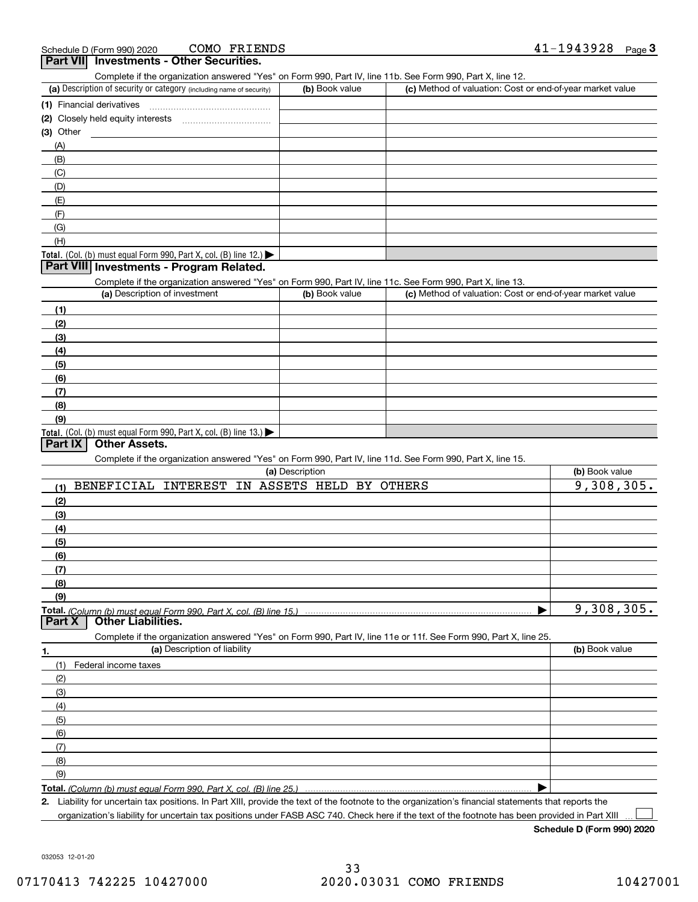|           | COMO FRIENDS<br>Schedule D (Form 990) 2020                                                                        |                          |                                                           | 41-1943928<br>Page $3$ |
|-----------|-------------------------------------------------------------------------------------------------------------------|--------------------------|-----------------------------------------------------------|------------------------|
|           | <b>Part VII</b> Investments - Other Securities.                                                                   |                          |                                                           |                        |
|           | Complete if the organization answered "Yes" on Form 990, Part IV, line 11b. See Form 990, Part X, line 12.        |                          |                                                           |                        |
|           | (a) Description of security or category (including name of security)                                              | (b) Book value           | (c) Method of valuation: Cost or end-of-year market value |                        |
|           |                                                                                                                   |                          |                                                           |                        |
|           |                                                                                                                   |                          |                                                           |                        |
| (3) Other |                                                                                                                   |                          |                                                           |                        |
| (A)       |                                                                                                                   |                          |                                                           |                        |
| (B)       |                                                                                                                   |                          |                                                           |                        |
| (C)       |                                                                                                                   |                          |                                                           |                        |
| (D)       |                                                                                                                   |                          |                                                           |                        |
| (E)       |                                                                                                                   |                          |                                                           |                        |
| (F)       |                                                                                                                   |                          |                                                           |                        |
| (G)       |                                                                                                                   |                          |                                                           |                        |
| (H)       |                                                                                                                   |                          |                                                           |                        |
|           | Total. (Col. (b) must equal Form 990, Part X, col. (B) line 12.)                                                  |                          |                                                           |                        |
|           | Part VIII Investments - Program Related.                                                                          |                          |                                                           |                        |
|           | Complete if the organization answered "Yes" on Form 990, Part IV, line 11c. See Form 990, Part X, line 13.        |                          |                                                           |                        |
|           | (a) Description of investment                                                                                     | (b) Book value           | (c) Method of valuation: Cost or end-of-year market value |                        |
| (1)       |                                                                                                                   |                          |                                                           |                        |
| (2)       |                                                                                                                   |                          |                                                           |                        |
| (3)       |                                                                                                                   |                          |                                                           |                        |
| (4)       |                                                                                                                   |                          |                                                           |                        |
| (5)       |                                                                                                                   |                          |                                                           |                        |
| (6)       |                                                                                                                   |                          |                                                           |                        |
| (7)       |                                                                                                                   |                          |                                                           |                        |
| (8)       |                                                                                                                   |                          |                                                           |                        |
| (9)       |                                                                                                                   |                          |                                                           |                        |
|           | Total. (Col. (b) must equal Form 990, Part X, col. (B) line 13.)                                                  |                          |                                                           |                        |
| Part IX   | <b>Other Assets.</b>                                                                                              |                          |                                                           |                        |
|           | Complete if the organization answered "Yes" on Form 990, Part IV, line 11d. See Form 990, Part X, line 15.        |                          |                                                           |                        |
|           |                                                                                                                   | (a) Description          |                                                           | (b) Book value         |
| (1)       | BENEFICIAL INTEREST                                                                                               | IN ASSETS HELD BY OTHERS |                                                           | 9,308,305.             |
| (2)       |                                                                                                                   |                          |                                                           |                        |
| (3)       |                                                                                                                   |                          |                                                           |                        |
| (4)       |                                                                                                                   |                          |                                                           |                        |
| (5)       |                                                                                                                   |                          |                                                           |                        |
| (6)       |                                                                                                                   |                          |                                                           |                        |
| (7)       |                                                                                                                   |                          |                                                           |                        |
| (8)       |                                                                                                                   |                          |                                                           |                        |
| (9)       |                                                                                                                   |                          |                                                           |                        |
|           | Total. (Column (b) must equal Form 990. Part X. col. (B) line 15.)                                                |                          |                                                           | 9,308,305.             |
| Part X    | <b>Other Liabilities.</b>                                                                                         |                          |                                                           |                        |
|           | Complete if the organization answered "Yes" on Form 990, Part IV, line 11e or 11f. See Form 990, Part X, line 25. |                          |                                                           |                        |
| 1.        | (a) Description of liability                                                                                      |                          |                                                           | (b) Book value         |
| (1)       | Federal income taxes                                                                                              |                          |                                                           |                        |
| (2)       |                                                                                                                   |                          |                                                           |                        |
| (3)       |                                                                                                                   |                          |                                                           |                        |
| (4)       |                                                                                                                   |                          |                                                           |                        |
| (5)       |                                                                                                                   |                          |                                                           |                        |
| (6)       |                                                                                                                   |                          |                                                           |                        |
| (7)       |                                                                                                                   |                          |                                                           |                        |
| (8)       |                                                                                                                   |                          |                                                           |                        |
| (9)       |                                                                                                                   |                          |                                                           |                        |
|           | T <b>otal.</b> (Column (b) must equal Form 990. Part X, col. (B) line 25.)                                        |                          |                                                           |                        |
|           |                                                                                                                   |                          |                                                           |                        |

**2.** Liability for uncertain tax positions. In Part XIII, provide the text of the footnote to the organization's financial statements that reports the organization's liability for uncertain tax positions under FASB ASC 740. Check here if the text of the footnote has been provided in Part XIII

**Schedule D (Form 990) 2020**

032053 12-01-20

 $\mathcal{L}^{\text{max}}$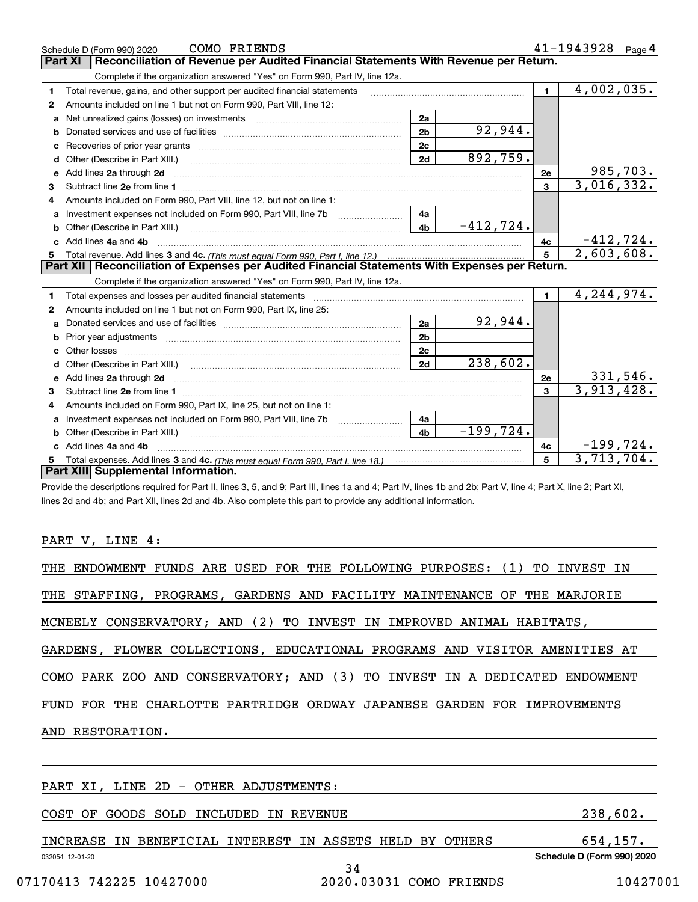|    | COMO FRIENDS<br>Schedule D (Form 990) 2020                                                                                                                     |                | $41 - 1943928$ Page 4      |  |  |  |
|----|----------------------------------------------------------------------------------------------------------------------------------------------------------------|----------------|----------------------------|--|--|--|
|    | Reconciliation of Revenue per Audited Financial Statements With Revenue per Return.<br>Part XI                                                                 |                |                            |  |  |  |
|    | Complete if the organization answered "Yes" on Form 990, Part IV, line 12a.                                                                                    |                |                            |  |  |  |
| 1  | Total revenue, gains, and other support per audited financial statements                                                                                       | $\mathbf{1}$   | 4,002,035.                 |  |  |  |
| 2  | Amounts included on line 1 but not on Form 990, Part VIII, line 12:                                                                                            |                |                            |  |  |  |
| a  | 2a<br>Net unrealized gains (losses) on investments [11] matter contracts and the unrealized gains (losses) on investments                                      |                |                            |  |  |  |
| b  | 92,944.<br>2 <sub>b</sub>                                                                                                                                      |                |                            |  |  |  |
| c  | 2 <sub>c</sub>                                                                                                                                                 |                |                            |  |  |  |
| d  | 892,759.<br>2d                                                                                                                                                 |                |                            |  |  |  |
| е  | Add lines 2a through 2d                                                                                                                                        | <b>2e</b>      | 985,703.                   |  |  |  |
| 3  |                                                                                                                                                                | 3              | $\overline{3,016,332.}$    |  |  |  |
| 4  | Amounts included on Form 990, Part VIII, line 12, but not on line 1:                                                                                           |                |                            |  |  |  |
| a  | Investment expenses not included on Form 990, Part VIII, line 7b [11, 111, 111, 111]<br>4a                                                                     |                |                            |  |  |  |
|    | $-412,724.$<br>4 <sub>b</sub>                                                                                                                                  |                |                            |  |  |  |
|    | c Add lines 4a and 4b                                                                                                                                          | 4с             | $-412,724.$                |  |  |  |
| 5  | 2,603,608.<br>5                                                                                                                                                |                |                            |  |  |  |
|    | Part XII   Reconciliation of Expenses per Audited Financial Statements With Expenses per Return.                                                               |                |                            |  |  |  |
|    | Complete if the organization answered "Yes" on Form 990, Part IV, line 12a.                                                                                    |                |                            |  |  |  |
| 1  | Total expenses and losses per audited financial statements                                                                                                     | $\blacksquare$ | $\overline{4}$ , 244, 974. |  |  |  |
| 2  | Amounts included on line 1 but not on Form 990, Part IX, line 25:                                                                                              |                |                            |  |  |  |
|    | 92,944.<br>2a                                                                                                                                                  |                |                            |  |  |  |
| b  | 2 <sub>b</sub><br>Prior year adjustments <i>www.www.www.www.www.www.www.www.www.</i> ww.                                                                       |                |                            |  |  |  |
| C. | 2c                                                                                                                                                             |                |                            |  |  |  |
| d  | 238,602.<br>2d                                                                                                                                                 |                |                            |  |  |  |
| е  | Add lines 2a through 2d <b>contract and a contract and a contract a</b> contract a contract and a contract a contract a                                        | 2e             | 331,546.                   |  |  |  |
| з  |                                                                                                                                                                | 3              | 3,913,428.                 |  |  |  |
| 4  | Amounts included on Form 990, Part IX, line 25, but not on line 1:                                                                                             |                |                            |  |  |  |
|    | 4a                                                                                                                                                             |                |                            |  |  |  |
|    | $-199,724.$<br>4 <sub>b</sub><br><b>b</b> Other (Describe in Part XIII.)                                                                                       |                |                            |  |  |  |
|    | c Add lines 4a and 4b                                                                                                                                          | 4c             | $-199,724.$                |  |  |  |
|    | 3,713,704.<br>5                                                                                                                                                |                |                            |  |  |  |
|    | Part XIII Supplemental Information.                                                                                                                            |                |                            |  |  |  |
|    | Provide the descriptions required for Part II, lines 3, 5, and 0: Part III, lines 1a and 4: Part IV, lines 1h and 2h: Part V, line 4: Part X, line 2: Part XI. |                |                            |  |  |  |

iscriptions required for Part II, lines 3, 5, and 9; Part III, lines 1a and 4; Part IV, lines 1b and 2b; Part V, line 4; Part X, line 2; Part XI, lines 2d and 4b; and Part XII, lines 2d and 4b. Also complete this part to provide any additional information.

### PART V, LINE 4:

| THE ENDOWMENT FUNDS ARE USED FOR THE FOLLOWING PURPOSES: (1) TO INVEST IN  |          |  |  |  |
|----------------------------------------------------------------------------|----------|--|--|--|
| THE STAFFING, PROGRAMS, GARDENS AND FACILITY MAINTENANCE OF THE MARJORIE   |          |  |  |  |
| MCNEELY CONSERVATORY; AND (2) TO INVEST IN IMPROVED ANIMAL HABITATS,       |          |  |  |  |
| GARDENS, FLOWER COLLECTIONS, EDUCATIONAL PROGRAMS AND VISITOR AMENITIES AT |          |  |  |  |
| COMO PARK ZOO AND CONSERVATORY; AND (3) TO INVEST IN A DEDICATED ENDOWMENT |          |  |  |  |
| FUND FOR THE CHARLOTTE PARTRIDGE ORDWAY JAPANESE GARDEN FOR IMPROVEMENTS   |          |  |  |  |
| AND RESTORATION.                                                           |          |  |  |  |
|                                                                            |          |  |  |  |
| PART XI, LINE 2D - OTHER ADJUSTMENTS:                                      |          |  |  |  |
| COST OF GOODS SOLD INCLUDED IN REVENUE                                     | 238,602. |  |  |  |

032054 12-01-20 **Schedule D (Form 990) 2020** INCREASE IN BENEFICIAL INTEREST IN ASSETS HELD BY OTHERS 654,157. 34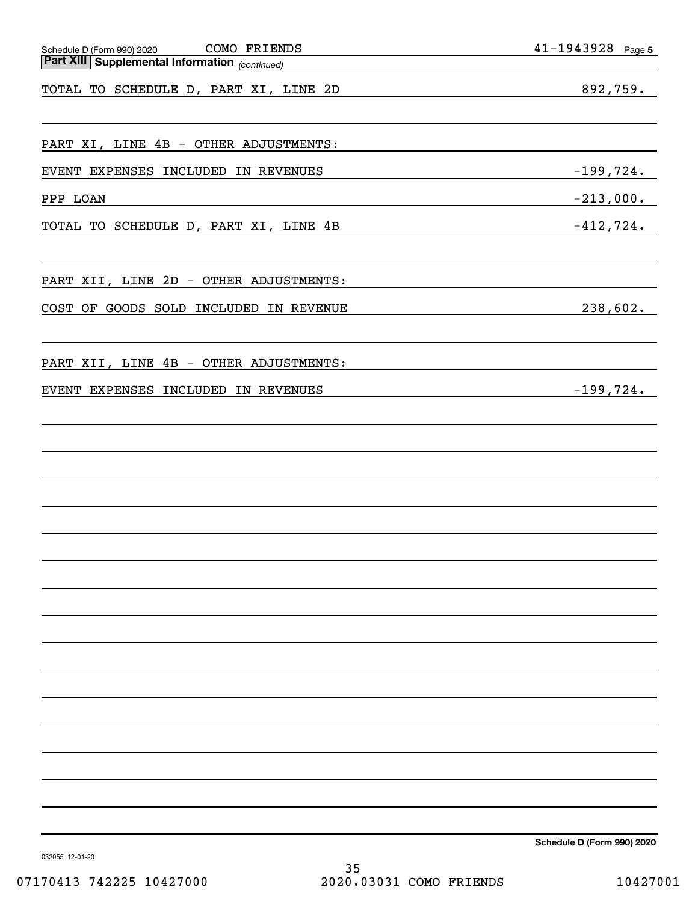| COMO FRIENDS<br>Schedule D (Form 990) 2020<br><u> 1980 - Johann Barn, mars an t-Amerikaansk politiker (</u>    | $41 - 1943928$ Page 5                                                       |
|----------------------------------------------------------------------------------------------------------------|-----------------------------------------------------------------------------|
| <b>Part XIII Supplemental Information</b> (continued)<br><u> 1989 - Johann Stoff, fransk politik (d. 1989)</u> |                                                                             |
| TOTAL TO SCHEDULE D, PART XI, LINE 2D                                                                          | 892,759.<br><u> 1989 - Johann Barn, fransk politik amerikansk politik (</u> |
|                                                                                                                |                                                                             |
| PART XI, LINE 4B - OTHER ADJUSTMENTS:                                                                          |                                                                             |
| EVENT EXPENSES INCLUDED IN REVENUES                                                                            | $-199,724.$                                                                 |
| PPP LOAN<br><u> 1989 - Johann Stein, mars ar breithinn ar chuid ann an t-</u>                                  | $-213,000$ .                                                                |
| TOTAL TO SCHEDULE D, PART XI, LINE 4B                                                                          | $-412,724.$                                                                 |
|                                                                                                                |                                                                             |
| PART XII, LINE 2D - OTHER ADJUSTMENTS:                                                                         |                                                                             |
| COST OF GOODS SOLD INCLUDED IN REVENUE                                                                         | 238,602.                                                                    |
|                                                                                                                |                                                                             |
| PART XII, LINE 4B - OTHER ADJUSTMENTS:                                                                         |                                                                             |
| EVENT EXPENSES INCLUDED IN REVENUES                                                                            |                                                                             |
|                                                                                                                |                                                                             |
|                                                                                                                |                                                                             |
|                                                                                                                |                                                                             |
|                                                                                                                |                                                                             |
|                                                                                                                |                                                                             |
|                                                                                                                |                                                                             |
|                                                                                                                |                                                                             |
|                                                                                                                |                                                                             |
|                                                                                                                |                                                                             |
|                                                                                                                |                                                                             |
|                                                                                                                |                                                                             |
|                                                                                                                |                                                                             |
|                                                                                                                |                                                                             |
|                                                                                                                |                                                                             |
|                                                                                                                |                                                                             |
|                                                                                                                |                                                                             |
|                                                                                                                |                                                                             |

**Schedule D (Form 990) 2020**

032055 12-01-20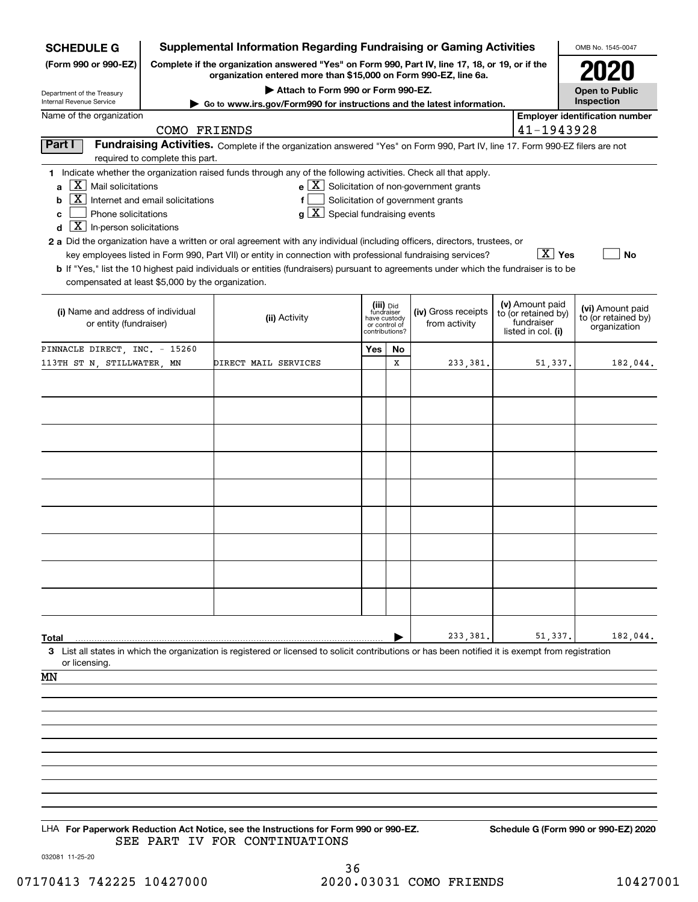| <b>SCHEDULE G</b>                                            |                                                                                                                                                                     | <b>Supplemental Information Regarding Fundraising or Gaming Activities</b>                                                                         |                                             |    |                                                              |  |                                   | OMB No. 1545-0047                     |
|--------------------------------------------------------------|---------------------------------------------------------------------------------------------------------------------------------------------------------------------|----------------------------------------------------------------------------------------------------------------------------------------------------|---------------------------------------------|----|--------------------------------------------------------------|--|-----------------------------------|---------------------------------------|
| (Form 990 or 990-EZ)                                         | Complete if the organization answered "Yes" on Form 990, Part IV, line 17, 18, or 19, or if the<br>organization entered more than \$15,000 on Form 990-EZ, line 6a. |                                                                                                                                                    |                                             |    |                                                              |  |                                   |                                       |
|                                                              | Attach to Form 990 or Form 990-EZ.<br><b>Open to Public</b>                                                                                                         |                                                                                                                                                    |                                             |    |                                                              |  |                                   |                                       |
| Department of the Treasury<br>Internal Revenue Service       |                                                                                                                                                                     | Go to www.irs.gov/Form990 for instructions and the latest information.                                                                             |                                             |    |                                                              |  |                                   | Inspection                            |
| Name of the organization                                     |                                                                                                                                                                     |                                                                                                                                                    |                                             |    |                                                              |  | 41-1943928                        | <b>Employer identification number</b> |
| Part I                                                       | COMO FRIENDS                                                                                                                                                        | Fundraising Activities. Complete if the organization answered "Yes" on Form 990, Part IV, line 17. Form 990-EZ filers are not                      |                                             |    |                                                              |  |                                   |                                       |
|                                                              | required to complete this part.                                                                                                                                     |                                                                                                                                                    |                                             |    |                                                              |  |                                   |                                       |
|                                                              |                                                                                                                                                                     | 1 Indicate whether the organization raised funds through any of the following activities. Check all that apply.                                    |                                             |    |                                                              |  |                                   |                                       |
| $ \mathbf{X} $ Mail solicitations<br>a<br>X                  |                                                                                                                                                                     |                                                                                                                                                    |                                             |    | $e$ $\boxed{\text{X}}$ Solicitation of non-government grants |  |                                   |                                       |
| b<br>Phone solicitations<br>c                                | Internet and email solicitations                                                                                                                                    | f<br>$g\mid X$ Special fundraising events                                                                                                          |                                             |    | Solicitation of government grants                            |  |                                   |                                       |
| $\boxed{\textbf{X}}$ In-person solicitations<br>d            |                                                                                                                                                                     |                                                                                                                                                    |                                             |    |                                                              |  |                                   |                                       |
|                                                              |                                                                                                                                                                     | 2 a Did the organization have a written or oral agreement with any individual (including officers, directors, trustees, or                         |                                             |    |                                                              |  |                                   |                                       |
|                                                              |                                                                                                                                                                     | key employees listed in Form 990, Part VII) or entity in connection with professional fundraising services?                                        |                                             |    |                                                              |  | $\overline{X}$ Yes                | No                                    |
| compensated at least \$5,000 by the organization.            |                                                                                                                                                                     | b If "Yes," list the 10 highest paid individuals or entities (fundraisers) pursuant to agreements under which the fundraiser is to be              |                                             |    |                                                              |  |                                   |                                       |
|                                                              |                                                                                                                                                                     |                                                                                                                                                    | (iii) Did                                   |    |                                                              |  | (v) Amount paid                   | (vi) Amount paid                      |
| (i) Name and address of individual<br>or entity (fundraiser) |                                                                                                                                                                     | (ii) Activity                                                                                                                                      | fundraiser<br>have custody<br>or control of |    | (iv) Gross receipts<br>from activity                         |  | to (or retained by)<br>fundraiser | to (or retained by)                   |
|                                                              |                                                                                                                                                                     |                                                                                                                                                    | contributions?                              |    |                                                              |  | listed in col. (i)                | organization                          |
| PINNACLE DIRECT, INC. - 15260                                |                                                                                                                                                                     |                                                                                                                                                    | Yes                                         | No |                                                              |  |                                   |                                       |
| 113TH ST N, STILLWATER, MN                                   |                                                                                                                                                                     | DIRECT MAIL SERVICES                                                                                                                               |                                             | x  | 233,381.                                                     |  | 51,337.                           | 182,044.                              |
|                                                              |                                                                                                                                                                     |                                                                                                                                                    |                                             |    |                                                              |  |                                   |                                       |
|                                                              |                                                                                                                                                                     |                                                                                                                                                    |                                             |    |                                                              |  |                                   |                                       |
|                                                              |                                                                                                                                                                     |                                                                                                                                                    |                                             |    |                                                              |  |                                   |                                       |
|                                                              |                                                                                                                                                                     |                                                                                                                                                    |                                             |    |                                                              |  |                                   |                                       |
|                                                              |                                                                                                                                                                     |                                                                                                                                                    |                                             |    |                                                              |  |                                   |                                       |
|                                                              |                                                                                                                                                                     |                                                                                                                                                    |                                             |    |                                                              |  |                                   |                                       |
|                                                              |                                                                                                                                                                     |                                                                                                                                                    |                                             |    |                                                              |  |                                   |                                       |
|                                                              |                                                                                                                                                                     |                                                                                                                                                    |                                             |    |                                                              |  |                                   |                                       |
|                                                              |                                                                                                                                                                     |                                                                                                                                                    |                                             |    |                                                              |  |                                   |                                       |
|                                                              |                                                                                                                                                                     |                                                                                                                                                    |                                             |    |                                                              |  |                                   |                                       |
|                                                              |                                                                                                                                                                     |                                                                                                                                                    |                                             |    |                                                              |  |                                   |                                       |
|                                                              |                                                                                                                                                                     |                                                                                                                                                    |                                             |    |                                                              |  |                                   |                                       |
|                                                              |                                                                                                                                                                     |                                                                                                                                                    |                                             |    |                                                              |  |                                   |                                       |
|                                                              |                                                                                                                                                                     |                                                                                                                                                    |                                             |    |                                                              |  |                                   |                                       |
|                                                              |                                                                                                                                                                     |                                                                                                                                                    |                                             |    |                                                              |  |                                   |                                       |
| Total                                                        |                                                                                                                                                                     |                                                                                                                                                    |                                             |    | 233,381.                                                     |  | 51,337.                           | 182,044.                              |
|                                                              |                                                                                                                                                                     | 3 List all states in which the organization is registered or licensed to solicit contributions or has been notified it is exempt from registration |                                             |    |                                                              |  |                                   |                                       |
| or licensing.                                                |                                                                                                                                                                     |                                                                                                                                                    |                                             |    |                                                              |  |                                   |                                       |
| ΜN                                                           |                                                                                                                                                                     |                                                                                                                                                    |                                             |    |                                                              |  |                                   |                                       |
|                                                              |                                                                                                                                                                     |                                                                                                                                                    |                                             |    |                                                              |  |                                   |                                       |
|                                                              |                                                                                                                                                                     |                                                                                                                                                    |                                             |    |                                                              |  |                                   |                                       |
|                                                              |                                                                                                                                                                     |                                                                                                                                                    |                                             |    |                                                              |  |                                   |                                       |
|                                                              |                                                                                                                                                                     |                                                                                                                                                    |                                             |    |                                                              |  |                                   |                                       |
|                                                              |                                                                                                                                                                     |                                                                                                                                                    |                                             |    |                                                              |  |                                   |                                       |
|                                                              |                                                                                                                                                                     |                                                                                                                                                    |                                             |    |                                                              |  |                                   |                                       |
|                                                              |                                                                                                                                                                     |                                                                                                                                                    |                                             |    |                                                              |  |                                   |                                       |
|                                                              |                                                                                                                                                                     |                                                                                                                                                    |                                             |    |                                                              |  |                                   |                                       |
|                                                              |                                                                                                                                                                     | LHA For Paperwork Reduction Act Notice, see the Instructions for Form 990 or 990-EZ.<br>SEE PART IV FOR CONTINUATIONS                              |                                             |    |                                                              |  |                                   | Schedule G (Form 990 or 990-EZ) 2020  |

032081 11-25-20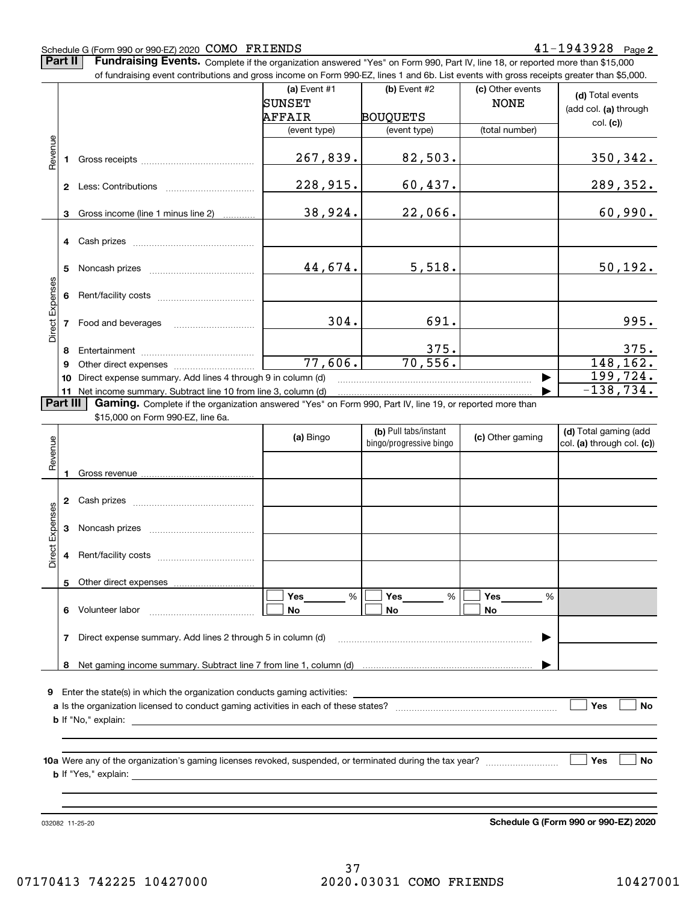#### Schedule G (Form 990 or 990-EZ) 2020 Page COMO FRIENDS 41-1943928

**Part II** | Fundraising Events. Complete if the organization answered "Yes" on Form 990, Part IV, line 18, or reported more than \$15,000

|                 |          | of fundraising event contributions and gross income on Form 990-EZ, lines 1 and 6b. List events with gross receipts greater than \$5,000. |                          |                                                  |                                 |                                                     |
|-----------------|----------|-------------------------------------------------------------------------------------------------------------------------------------------|--------------------------|--------------------------------------------------|---------------------------------|-----------------------------------------------------|
|                 |          |                                                                                                                                           | (a) Event $#1$<br>SUNSET | (b) Event #2                                     | (c) Other events<br><b>NONE</b> | (d) Total events                                    |
|                 |          |                                                                                                                                           | AFFAIR                   | <b>BOUQUETS</b>                                  |                                 | (add col. (a) through                               |
|                 |          |                                                                                                                                           | (event type)             | (event type)                                     | (total number)                  | col. (c)                                            |
| Revenue         |          |                                                                                                                                           |                          |                                                  |                                 |                                                     |
|                 |          |                                                                                                                                           | 267,839.                 | 82,503.                                          |                                 | 350, 342.                                           |
|                 |          |                                                                                                                                           | 228,915.                 | 60,437.                                          |                                 | 289, 352.                                           |
|                 |          |                                                                                                                                           |                          |                                                  |                                 |                                                     |
|                 | 3        | Gross income (line 1 minus line 2)                                                                                                        | 38,924.                  | 22,066.                                          |                                 | 60,990.                                             |
|                 |          | 4 Cash prizes                                                                                                                             |                          |                                                  |                                 |                                                     |
|                 | 5.       |                                                                                                                                           | 44,674.                  | 5,518.                                           |                                 | 50, 192.                                            |
| Direct Expenses |          |                                                                                                                                           |                          |                                                  |                                 |                                                     |
|                 |          |                                                                                                                                           | 304.                     | 691.                                             |                                 | 995.                                                |
|                 | 8        |                                                                                                                                           |                          | 375.                                             |                                 | 375.                                                |
|                 | 9        |                                                                                                                                           | 77,606.                  | 70,556.                                          |                                 | 148, 162.                                           |
|                 | 10       | Direct expense summary. Add lines 4 through 9 in column (d)                                                                               |                          |                                                  | ▶                               | 199,724.                                            |
|                 | 11       | Net income summary. Subtract line 10 from line 3, column (d)                                                                              |                          |                                                  |                                 | $-138,734.$                                         |
|                 | Part III | Gaming. Complete if the organization answered "Yes" on Form 990, Part IV, line 19, or reported more than                                  |                          |                                                  |                                 |                                                     |
|                 |          | \$15,000 on Form 990-EZ, line 6a.                                                                                                         |                          |                                                  |                                 |                                                     |
| Revenue         |          |                                                                                                                                           | (a) Bingo                | (b) Pull tabs/instant<br>bingo/progressive bingo | (c) Other gaming                | (d) Total gaming (add<br>col. (a) through col. (c)) |
|                 | 1        |                                                                                                                                           |                          |                                                  |                                 |                                                     |
|                 |          |                                                                                                                                           |                          |                                                  |                                 |                                                     |
|                 |          |                                                                                                                                           |                          |                                                  |                                 |                                                     |
| Expenses        |          |                                                                                                                                           |                          |                                                  |                                 |                                                     |
| Direct          |          |                                                                                                                                           |                          |                                                  |                                 |                                                     |
|                 |          |                                                                                                                                           |                          |                                                  |                                 |                                                     |
|                 |          |                                                                                                                                           | Yes<br>%                 | Yes<br>$\%$                                      | Yes<br>%                        |                                                     |
|                 |          | 6 Volunteer labor                                                                                                                         | No                       | No                                               | No                              |                                                     |
|                 |          | 7 Direct expense summary. Add lines 2 through 5 in column (d)                                                                             |                          |                                                  |                                 |                                                     |
|                 |          |                                                                                                                                           |                          |                                                  |                                 |                                                     |
|                 | 8        |                                                                                                                                           |                          |                                                  |                                 |                                                     |
|                 |          |                                                                                                                                           |                          |                                                  |                                 |                                                     |
|                 |          |                                                                                                                                           |                          |                                                  |                                 | Yes<br>No                                           |
|                 |          |                                                                                                                                           |                          |                                                  |                                 |                                                     |
|                 |          |                                                                                                                                           |                          |                                                  |                                 |                                                     |
|                 |          |                                                                                                                                           |                          |                                                  |                                 |                                                     |
|                 |          |                                                                                                                                           |                          |                                                  |                                 | Yes<br><b>No</b>                                    |
|                 |          |                                                                                                                                           |                          |                                                  |                                 |                                                     |
|                 |          |                                                                                                                                           |                          |                                                  |                                 |                                                     |
|                 |          |                                                                                                                                           |                          |                                                  |                                 |                                                     |

032082 11-25-20

**Schedule G (Form 990 or 990-EZ) 2020**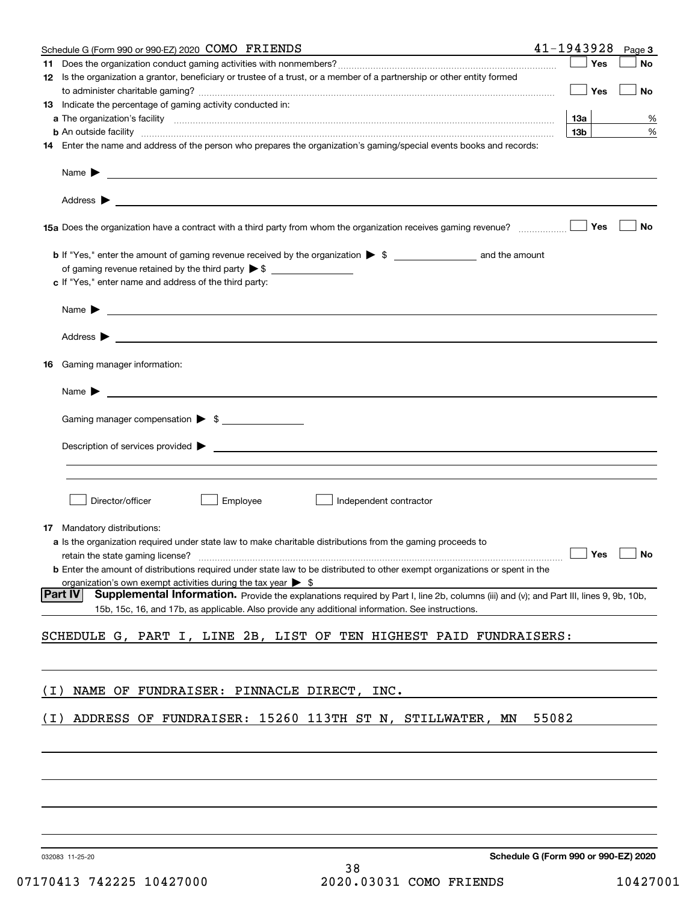|       | Schedule G (Form 990 or 990-EZ) 2020 COMO FRIENDS                                                                                                                                                                                                            | 41-1943928           | Page 3 |
|-------|--------------------------------------------------------------------------------------------------------------------------------------------------------------------------------------------------------------------------------------------------------------|----------------------|--------|
|       |                                                                                                                                                                                                                                                              | Yes                  | No     |
|       | 12 Is the organization a grantor, beneficiary or trustee of a trust, or a member of a partnership or other entity formed                                                                                                                                     | Yes                  | No     |
|       | <b>13</b> Indicate the percentage of gaming activity conducted in:                                                                                                                                                                                           |                      |        |
|       |                                                                                                                                                                                                                                                              | 13а                  | %      |
|       | <b>b</b> An outside facility <i>www.communicality communicality communicality communicality communicality communicality</i>                                                                                                                                  | 13 <sub>b</sub>      | $\%$   |
|       | 14 Enter the name and address of the person who prepares the organization's gaming/special events books and records:                                                                                                                                         |                      |        |
|       | Name $\blacktriangleright$<br>the control of the control of the control of the control of the control of the control of the control of the control of the control of the control of the control of the control of the control of the control of the control  |                      |        |
|       |                                                                                                                                                                                                                                                              |                      |        |
|       |                                                                                                                                                                                                                                                              | Yes                  | No     |
|       |                                                                                                                                                                                                                                                              |                      |        |
|       | c If "Yes," enter name and address of the third party:                                                                                                                                                                                                       |                      |        |
|       | <u> 1980 - John Stone, maria eta inperiodo eta inperiodo eta inperiodo eta inperiodo eta inperiodo eta inperiodo</u><br>Name $\blacktriangleright$                                                                                                           |                      |        |
|       |                                                                                                                                                                                                                                                              |                      |        |
| 16    | Gaming manager information:                                                                                                                                                                                                                                  |                      |        |
|       | $Name \rightarrow$                                                                                                                                                                                                                                           |                      |        |
|       | Gaming manager compensation > \$                                                                                                                                                                                                                             |                      |        |
|       | $Description of services provided$ $\triangleright$                                                                                                                                                                                                          |                      |        |
|       |                                                                                                                                                                                                                                                              |                      |        |
|       | Director/officer<br>Employee<br>Independent contractor                                                                                                                                                                                                       |                      |        |
|       | <b>17</b> Mandatory distributions:                                                                                                                                                                                                                           |                      |        |
|       | a Is the organization required under state law to make charitable distributions from the gaming proceeds to                                                                                                                                                  |                      |        |
|       |                                                                                                                                                                                                                                                              | $\Box$ Yes $\Box$ No |        |
|       | <b>b</b> Enter the amount of distributions required under state law to be distributed to other exempt organizations or spent in the                                                                                                                          |                      |        |
|       | organization's own exempt activities during the tax year $\triangleright$ \$                                                                                                                                                                                 |                      |        |
|       | <b>Part IV</b><br>Supplemental Information. Provide the explanations required by Part I, line 2b, columns (iii) and (v); and Part III, lines 9, 9b, 10b,<br>15b, 15c, 16, and 17b, as applicable. Also provide any additional information. See instructions. |                      |        |
|       | SCHEDULE G, PART I, LINE 2B, LIST OF TEN HIGHEST PAID FUNDRAISERS:                                                                                                                                                                                           |                      |        |
|       |                                                                                                                                                                                                                                                              |                      |        |
| ( I ) | NAME OF FUNDRAISER: PINNACLE DIRECT, INC.                                                                                                                                                                                                                    |                      |        |
| ( I ) | ADDRESS OF FUNDRAISER: 15260 113TH ST N, STILLWATER, MN                                                                                                                                                                                                      | 55082                |        |
|       |                                                                                                                                                                                                                                                              |                      |        |
|       |                                                                                                                                                                                                                                                              |                      |        |
|       |                                                                                                                                                                                                                                                              |                      |        |
|       |                                                                                                                                                                                                                                                              |                      |        |
|       |                                                                                                                                                                                                                                                              |                      |        |
|       |                                                                                                                                                                                                                                                              |                      |        |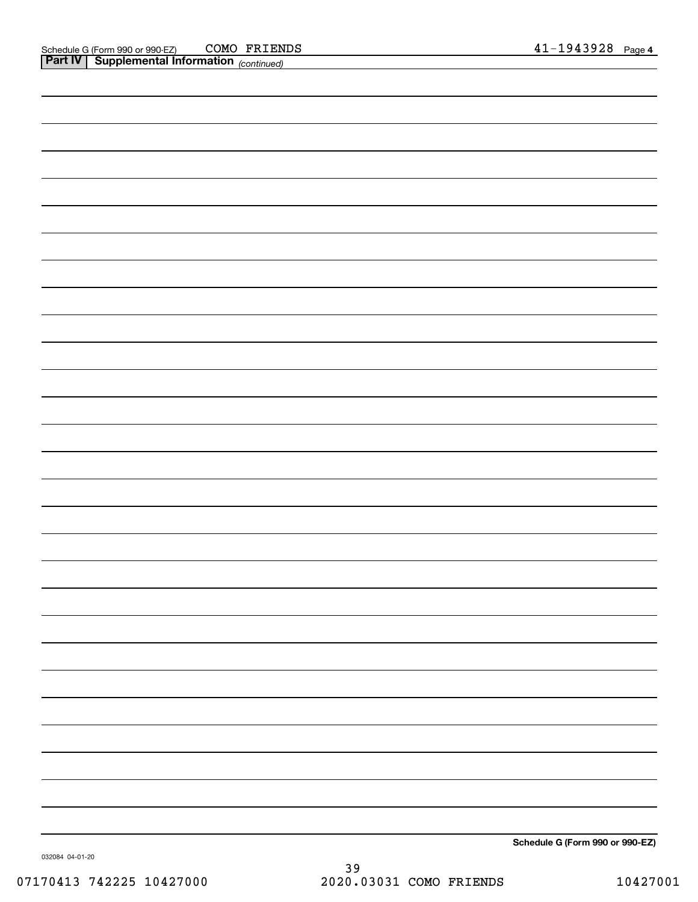| <b>Part IV</b> Supplemental Information (continued) |  |                                                            |
|-----------------------------------------------------|--|------------------------------------------------------------|
|                                                     |  |                                                            |
|                                                     |  |                                                            |
|                                                     |  |                                                            |
|                                                     |  |                                                            |
|                                                     |  |                                                            |
|                                                     |  |                                                            |
|                                                     |  |                                                            |
|                                                     |  |                                                            |
|                                                     |  |                                                            |
|                                                     |  |                                                            |
|                                                     |  |                                                            |
|                                                     |  |                                                            |
|                                                     |  |                                                            |
|                                                     |  |                                                            |
|                                                     |  |                                                            |
|                                                     |  |                                                            |
|                                                     |  |                                                            |
|                                                     |  |                                                            |
|                                                     |  |                                                            |
|                                                     |  |                                                            |
|                                                     |  |                                                            |
|                                                     |  |                                                            |
|                                                     |  |                                                            |
|                                                     |  |                                                            |
|                                                     |  |                                                            |
|                                                     |  |                                                            |
|                                                     |  |                                                            |
|                                                     |  |                                                            |
|                                                     |  |                                                            |
|                                                     |  |                                                            |
|                                                     |  |                                                            |
|                                                     |  |                                                            |
|                                                     |  |                                                            |
|                                                     |  |                                                            |
|                                                     |  |                                                            |
|                                                     |  |                                                            |
|                                                     |  |                                                            |
|                                                     |  |                                                            |
|                                                     |  |                                                            |
|                                                     |  | $O_{\text{sh}}$ and $O_{\text{in}}$ (Fermi 000 an 000 F.7) |

**Schedule G (Form 990 or 990-EZ)**

032084 04-01-20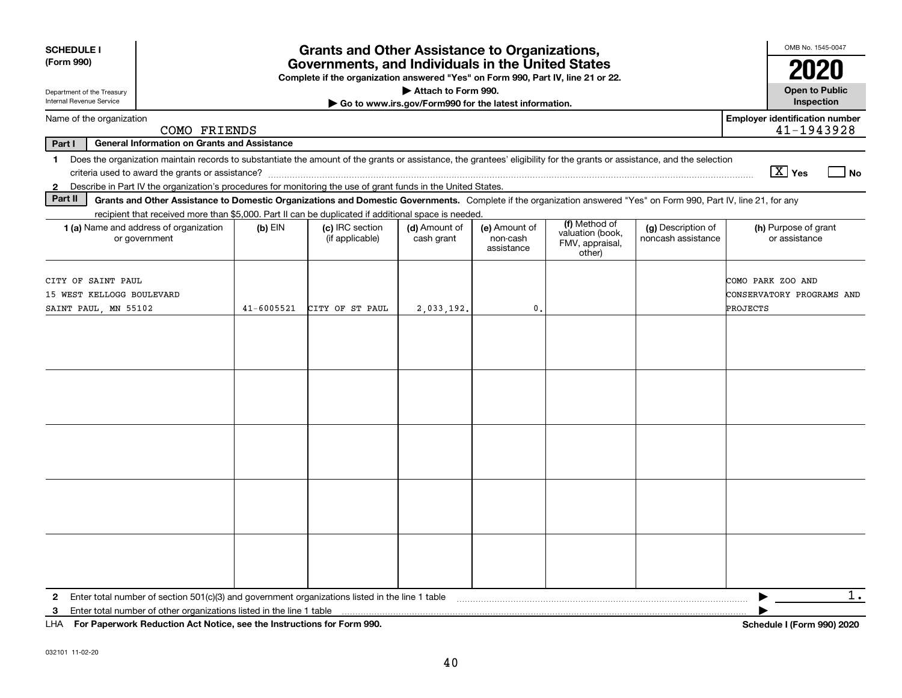| Internal Revenue Service<br>Go to www.irs.gov/Form990 for the latest information.<br>Name of the organization<br>COMO FRIENDS<br>Part I<br><b>General Information on Grants and Assistance</b><br>Does the organization maintain records to substantiate the amount of the grants or assistance, the grantees' eligibility for the grants or assistance, and the selection<br>$\mathbf{1}$<br>$\boxed{\text{X}}$ Yes<br>Describe in Part IV the organization's procedures for monitoring the use of grant funds in the United States.<br>$\mathbf{2}$<br>Part II<br>Grants and Other Assistance to Domestic Organizations and Domestic Governments. Complete if the organization answered "Yes" on Form 990, Part IV, line 21, for any<br>recipient that received more than \$5,000. Part II can be duplicated if additional space is needed.<br>(f) Method of<br>1 (a) Name and address of organization<br>(c) IRC section<br>(d) Amount of<br>(g) Description of<br>$(b)$ EIN<br>(e) Amount of<br>valuation (book,<br>noncash assistance<br>or assistance<br>or government<br>(if applicable)<br>cash grant<br>non-cash<br>FMV, appraisal,<br>assistance<br>other)<br>CITY OF SAINT PAUL<br>COMO PARK ZOO AND<br>15 WEST KELLOGG BOULEVARD<br>CITY OF ST PAUL<br>0.<br><b>PROJECTS</b><br>SAINT PAUL, MN 55102<br>$41 - 6005521$<br>2,033,192. | <b>SCHEDULE I</b><br>(Form 990)<br>Department of the Treasury |  | <b>Grants and Other Assistance to Organizations,</b><br>Governments, and Individuals in the United States<br>Complete if the organization answered "Yes" on Form 990, Part IV, line 21 or 22. | Attach to Form 990. |  | OMB No. 1545-0047<br><b>Open to Public</b>          |    |
|--------------------------------------------------------------------------------------------------------------------------------------------------------------------------------------------------------------------------------------------------------------------------------------------------------------------------------------------------------------------------------------------------------------------------------------------------------------------------------------------------------------------------------------------------------------------------------------------------------------------------------------------------------------------------------------------------------------------------------------------------------------------------------------------------------------------------------------------------------------------------------------------------------------------------------------------------------------------------------------------------------------------------------------------------------------------------------------------------------------------------------------------------------------------------------------------------------------------------------------------------------------------------------------------------------------------------------------------------|---------------------------------------------------------------|--|-----------------------------------------------------------------------------------------------------------------------------------------------------------------------------------------------|---------------------|--|-----------------------------------------------------|----|
|                                                                                                                                                                                                                                                                                                                                                                                                                                                                                                                                                                                                                                                                                                                                                                                                                                                                                                                                                                                                                                                                                                                                                                                                                                                                                                                                                  |                                                               |  |                                                                                                                                                                                               |                     |  | Inspection                                          |    |
|                                                                                                                                                                                                                                                                                                                                                                                                                                                                                                                                                                                                                                                                                                                                                                                                                                                                                                                                                                                                                                                                                                                                                                                                                                                                                                                                                  |                                                               |  |                                                                                                                                                                                               |                     |  | <b>Employer identification number</b><br>41-1943928 |    |
|                                                                                                                                                                                                                                                                                                                                                                                                                                                                                                                                                                                                                                                                                                                                                                                                                                                                                                                                                                                                                                                                                                                                                                                                                                                                                                                                                  |                                                               |  |                                                                                                                                                                                               |                     |  |                                                     |    |
|                                                                                                                                                                                                                                                                                                                                                                                                                                                                                                                                                                                                                                                                                                                                                                                                                                                                                                                                                                                                                                                                                                                                                                                                                                                                                                                                                  |                                                               |  |                                                                                                                                                                                               |                     |  |                                                     | No |
|                                                                                                                                                                                                                                                                                                                                                                                                                                                                                                                                                                                                                                                                                                                                                                                                                                                                                                                                                                                                                                                                                                                                                                                                                                                                                                                                                  |                                                               |  |                                                                                                                                                                                               |                     |  |                                                     |    |
|                                                                                                                                                                                                                                                                                                                                                                                                                                                                                                                                                                                                                                                                                                                                                                                                                                                                                                                                                                                                                                                                                                                                                                                                                                                                                                                                                  |                                                               |  |                                                                                                                                                                                               |                     |  | (h) Purpose of grant                                |    |
|                                                                                                                                                                                                                                                                                                                                                                                                                                                                                                                                                                                                                                                                                                                                                                                                                                                                                                                                                                                                                                                                                                                                                                                                                                                                                                                                                  |                                                               |  |                                                                                                                                                                                               |                     |  | CONSERVATORY PROGRAMS AND                           |    |
|                                                                                                                                                                                                                                                                                                                                                                                                                                                                                                                                                                                                                                                                                                                                                                                                                                                                                                                                                                                                                                                                                                                                                                                                                                                                                                                                                  |                                                               |  |                                                                                                                                                                                               |                     |  |                                                     |    |
|                                                                                                                                                                                                                                                                                                                                                                                                                                                                                                                                                                                                                                                                                                                                                                                                                                                                                                                                                                                                                                                                                                                                                                                                                                                                                                                                                  |                                                               |  |                                                                                                                                                                                               |                     |  |                                                     |    |
|                                                                                                                                                                                                                                                                                                                                                                                                                                                                                                                                                                                                                                                                                                                                                                                                                                                                                                                                                                                                                                                                                                                                                                                                                                                                                                                                                  |                                                               |  |                                                                                                                                                                                               |                     |  |                                                     |    |
|                                                                                                                                                                                                                                                                                                                                                                                                                                                                                                                                                                                                                                                                                                                                                                                                                                                                                                                                                                                                                                                                                                                                                                                                                                                                                                                                                  |                                                               |  |                                                                                                                                                                                               |                     |  |                                                     |    |
|                                                                                                                                                                                                                                                                                                                                                                                                                                                                                                                                                                                                                                                                                                                                                                                                                                                                                                                                                                                                                                                                                                                                                                                                                                                                                                                                                  |                                                               |  |                                                                                                                                                                                               |                     |  |                                                     |    |
| ▶<br>$\mathbf{2}$<br>3                                                                                                                                                                                                                                                                                                                                                                                                                                                                                                                                                                                                                                                                                                                                                                                                                                                                                                                                                                                                                                                                                                                                                                                                                                                                                                                           |                                                               |  |                                                                                                                                                                                               |                     |  |                                                     | 1. |

**For Paperwork Reduction Act Notice, see the Instructions for Form 990. Schedule I (Form 990) 2020** LHA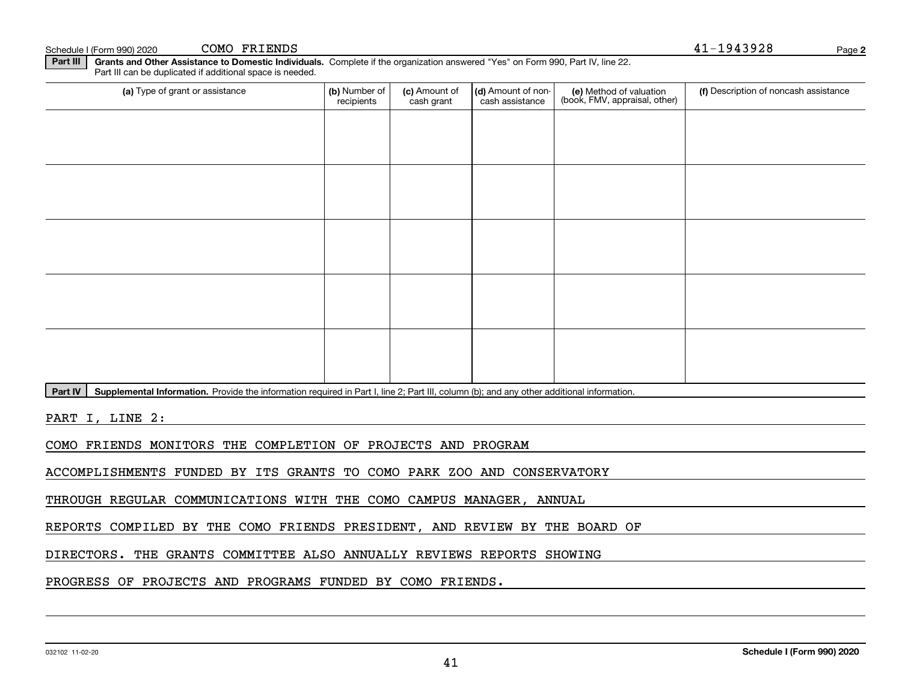| 032102 11-02-20 |
|-----------------|
|                 |

**Part III | Grants and Other Assistance to Domestic Individuals. Complete if the organization answered "Yes" on Form 990, Part IV, line 22.** (a) Type of grant or assistance **Automage 1 (b)** Number of  $|$  **(c)** Amount of  $|$  **(d)** Amount of non- $|$  **(e)** Method of valuation  $|$  **(f)** Part III can be duplicated if additional space is needed. (e) Method of valuation (book, FMV, appraisal, other) recipients(c) Amount of cash grant (d) Amount of noncash assistance (f) Description of noncash assistance

PART I, LINE 2:

Part IV | Supplemental Information. Provide the information required in Part I, line 2; Part III, column (b); and any other additional information.

COMO FRIENDS MONITORS THE COMPLETION OF PROJECTS AND PROGRAM

ACCOMPLISHMENTS FUNDED BY ITS GRANTS TO COMO PARK ZOO AND CONSERVATORY

THROUGH REGULAR COMMUNICATIONS WITH THE COMO CAMPUS MANAGER, ANNUAL

REPORTS COMPILED BY THE COMO FRIENDS PRESIDENT, AND REVIEW BY THE BOARD OF

41

DIRECTORS. THE GRANTS COMMITTEE ALSO ANNUALLY REVIEWS REPORTS SHOWING

PROGRESS OF PROJECTS AND PROGRAMS FUNDED BY COMO FRIENDS.

 $S$ chedule I (Form 990) 2020 COMO FRIENDS  $41-1943928$ COMO FRIENDS

**2**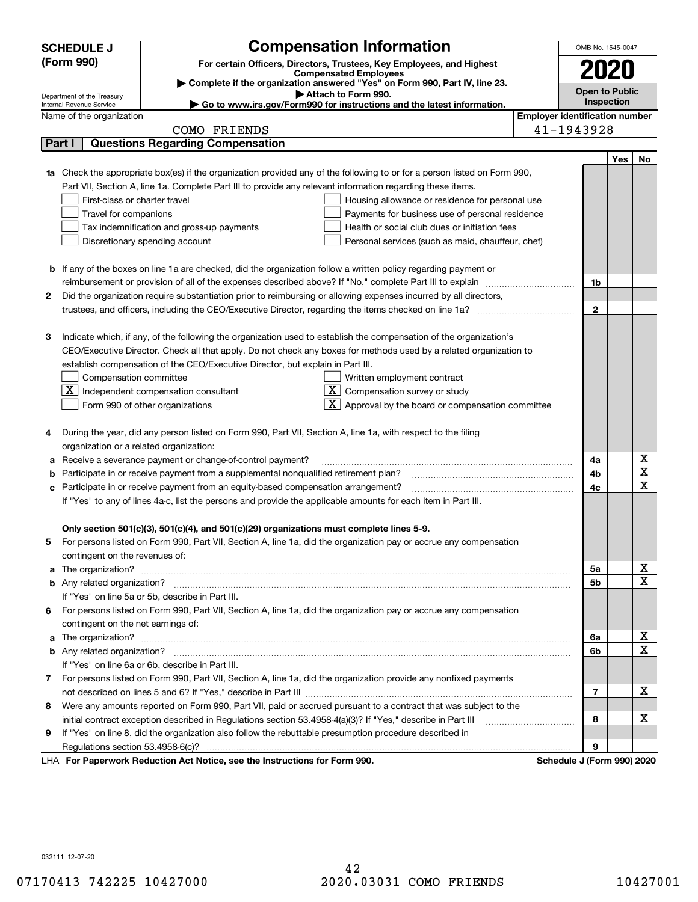|        | <b>SCHEDULE J</b>                                                                                                 |              | <b>Compensation Information</b>                                                                                             |                                       | OMB No. 1545-0047          |                       |    |
|--------|-------------------------------------------------------------------------------------------------------------------|--------------|-----------------------------------------------------------------------------------------------------------------------------|---------------------------------------|----------------------------|-----------------------|----|
|        | (Form 990)<br>For certain Officers, Directors, Trustees, Key Employees, and Highest                               |              |                                                                                                                             |                                       | 2020                       |                       |    |
|        | <b>Compensated Employees</b>                                                                                      |              |                                                                                                                             |                                       |                            |                       |    |
|        | Complete if the organization answered "Yes" on Form 990, Part IV, line 23.<br>Attach to Form 990.                 |              |                                                                                                                             |                                       |                            | <b>Open to Public</b> |    |
|        | Department of the Treasury<br>Internal Revenue Service                                                            |              | Go to www.irs.gov/Form990 for instructions and the latest information.                                                      |                                       | Inspection                 |                       |    |
|        | Name of the organization                                                                                          |              |                                                                                                                             | <b>Employer identification number</b> |                            |                       |    |
|        |                                                                                                                   | COMO FRIENDS |                                                                                                                             |                                       | 41-1943928                 |                       |    |
|        | <b>Questions Regarding Compensation</b><br>Part I                                                                 |              |                                                                                                                             |                                       |                            |                       |    |
|        |                                                                                                                   |              |                                                                                                                             |                                       |                            | Yes                   | No |
|        |                                                                                                                   |              | Check the appropriate box(es) if the organization provided any of the following to or for a person listed on Form 990,      |                                       |                            |                       |    |
|        |                                                                                                                   |              | Part VII, Section A, line 1a. Complete Part III to provide any relevant information regarding these items.                  |                                       |                            |                       |    |
|        | First-class or charter travel                                                                                     |              | Housing allowance or residence for personal use                                                                             |                                       |                            |                       |    |
|        | Travel for companions                                                                                             |              | Payments for business use of personal residence                                                                             |                                       |                            |                       |    |
|        | Tax indemnification and gross-up payments                                                                         |              | Health or social club dues or initiation fees                                                                               |                                       |                            |                       |    |
|        | Discretionary spending account                                                                                    |              | Personal services (such as maid, chauffeur, chef)                                                                           |                                       |                            |                       |    |
|        |                                                                                                                   |              |                                                                                                                             |                                       |                            |                       |    |
|        |                                                                                                                   |              | <b>b</b> If any of the boxes on line 1a are checked, did the organization follow a written policy regarding payment or      |                                       |                            |                       |    |
|        |                                                                                                                   |              | reimbursement or provision of all of the expenses described above? If "No," complete Part III to explain                    |                                       | 1b                         |                       |    |
| 2      |                                                                                                                   |              | Did the organization require substantiation prior to reimbursing or allowing expenses incurred by all directors,            |                                       |                            |                       |    |
|        |                                                                                                                   |              |                                                                                                                             |                                       | $\mathbf{2}$               |                       |    |
|        |                                                                                                                   |              |                                                                                                                             |                                       |                            |                       |    |
| 3      |                                                                                                                   |              | Indicate which, if any, of the following the organization used to establish the compensation of the organization's          |                                       |                            |                       |    |
|        |                                                                                                                   |              | CEO/Executive Director. Check all that apply. Do not check any boxes for methods used by a related organization to          |                                       |                            |                       |    |
|        | establish compensation of the CEO/Executive Director, but explain in Part III.                                    |              |                                                                                                                             |                                       |                            |                       |    |
|        | Compensation committee                                                                                            |              | Written employment contract                                                                                                 |                                       |                            |                       |    |
|        | $\overline{\mathbf{X}}$ Independent compensation consultant                                                       |              | $\overline{\mathbf{X}}$ Compensation survey or study                                                                        |                                       |                            |                       |    |
|        | Form 990 of other organizations                                                                                   |              | $\boxed{\text{X}}$ Approval by the board or compensation committee                                                          |                                       |                            |                       |    |
|        |                                                                                                                   |              |                                                                                                                             |                                       |                            |                       |    |
| 4      |                                                                                                                   |              | During the year, did any person listed on Form 990, Part VII, Section A, line 1a, with respect to the filing                |                                       |                            |                       |    |
|        | organization or a related organization:<br>Receive a severance payment or change-of-control payment?              |              |                                                                                                                             |                                       | 4a                         |                       | х  |
| а<br>b | Participate in or receive payment from a supplemental nonqualified retirement plan?                               |              |                                                                                                                             |                                       | 4b                         |                       | X  |
| с      | Participate in or receive payment from an equity-based compensation arrangement?                                  |              |                                                                                                                             |                                       | 4c                         |                       | X  |
|        |                                                                                                                   |              | If "Yes" to any of lines 4a-c, list the persons and provide the applicable amounts for each item in Part III.               |                                       |                            |                       |    |
|        |                                                                                                                   |              |                                                                                                                             |                                       |                            |                       |    |
|        | Only section 501(c)(3), 501(c)(4), and 501(c)(29) organizations must complete lines 5-9.                          |              |                                                                                                                             |                                       |                            |                       |    |
|        |                                                                                                                   |              | For persons listed on Form 990, Part VII, Section A, line 1a, did the organization pay or accrue any compensation           |                                       |                            |                       |    |
|        | contingent on the revenues of:                                                                                    |              |                                                                                                                             |                                       |                            |                       |    |
| a      |                                                                                                                   |              | The organization? <b>With the organization</b> ? <b>With the organization with the organization? With the organization?</b> |                                       | 5а                         |                       | X  |
|        |                                                                                                                   |              |                                                                                                                             |                                       | 5b                         |                       | X  |
|        | If "Yes" on line 5a or 5b, describe in Part III.                                                                  |              |                                                                                                                             |                                       |                            |                       |    |
|        |                                                                                                                   |              | 6 For persons listed on Form 990, Part VII, Section A, line 1a, did the organization pay or accrue any compensation         |                                       |                            |                       |    |
|        | contingent on the net earnings of:                                                                                |              |                                                                                                                             |                                       |                            |                       |    |
| a      |                                                                                                                   |              |                                                                                                                             |                                       | 6а                         |                       | x  |
|        |                                                                                                                   |              |                                                                                                                             |                                       | 6b                         |                       | X  |
|        | If "Yes" on line 6a or 6b, describe in Part III.                                                                  |              |                                                                                                                             |                                       |                            |                       |    |
|        |                                                                                                                   |              | 7 For persons listed on Form 990, Part VII, Section A, line 1a, did the organization provide any nonfixed payments          |                                       |                            |                       |    |
|        |                                                                                                                   |              |                                                                                                                             |                                       | 7                          |                       | x  |
|        | 8 Were any amounts reported on Form 990, Part VII, paid or accrued pursuant to a contract that was subject to the |              |                                                                                                                             |                                       |                            |                       |    |
|        |                                                                                                                   |              | initial contract exception described in Regulations section 53.4958-4(a)(3)? If "Yes," describe in Part III                 |                                       | 8                          |                       | х  |
| 9      |                                                                                                                   |              | If "Yes" on line 8, did the organization also follow the rebuttable presumption procedure described in                      |                                       |                            |                       |    |
|        | Regulations section 53.4958-6(c)?                                                                                 |              |                                                                                                                             |                                       | 9                          |                       |    |
|        | LHA For Paperwork Reduction Act Notice, see the Instructions for Form 990.                                        |              |                                                                                                                             |                                       | Schedule J (Form 990) 2020 |                       |    |

032111 12-07-20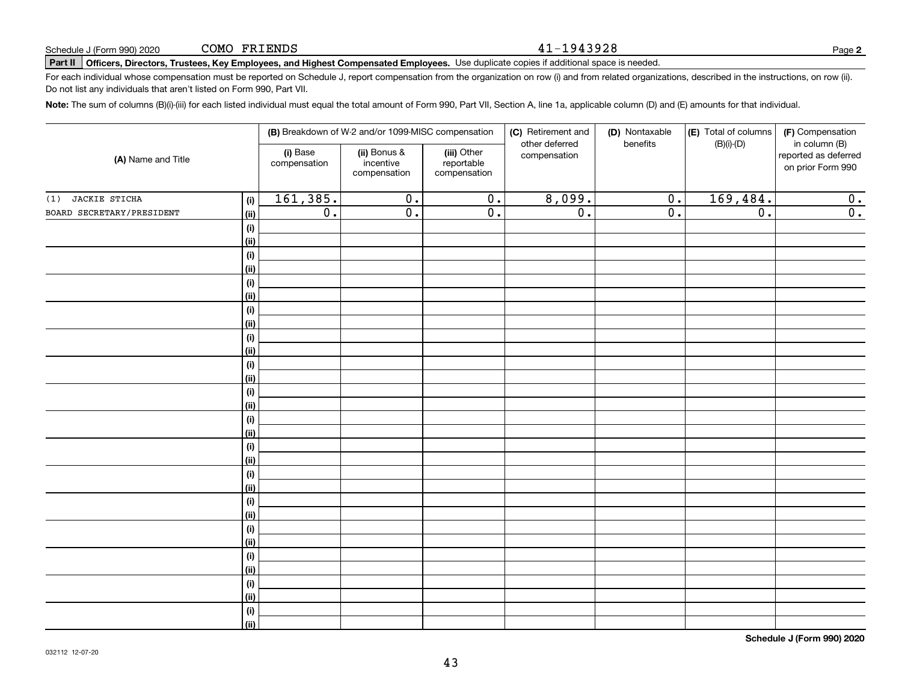#### 41-1943928

## **Part II Officers, Directors, Trustees, Key Employees, and Highest Compensated Employees.**  Schedule J (Form 990) 2020 Page Use duplicate copies if additional space is needed.

For each individual whose compensation must be reported on Schedule J, report compensation from the organization on row (i) and from related organizations, described in the instructions, on row (ii). Do not list any individuals that aren't listed on Form 990, Part VII.

**Note:**  The sum of columns (B)(i)-(iii) for each listed individual must equal the total amount of Form 990, Part VII, Section A, line 1a, applicable column (D) and (E) amounts for that individual.

| (A) Name and Title        |                           |                          | (B) Breakdown of W-2 and/or 1099-MISC compensation |                                           | (C) Retirement and<br>other deferred | (D) Nontaxable<br>benefits | (E) Total of columns | (F) Compensation<br>in column (B)         |
|---------------------------|---------------------------|--------------------------|----------------------------------------------------|-------------------------------------------|--------------------------------------|----------------------------|----------------------|-------------------------------------------|
|                           |                           | (i) Base<br>compensation | (ii) Bonus &<br>incentive<br>compensation          | (iii) Other<br>reportable<br>compensation | compensation                         |                            | $(B)(i)-(D)$         | reported as deferred<br>on prior Form 990 |
| JACKIE STICHA<br>(1)      | (i)                       | 161,385.                 | $\overline{0}$ .                                   | $\overline{0}$ .                          | 8,099.                               | $\overline{0}$ .           | 169,484.             | 0.                                        |
| BOARD SECRETARY/PRESIDENT | <u>(ii)</u>               | $\overline{0}$ .         | $\overline{0}$ .                                   | $\overline{0}$ .                          | $\overline{0}$ .                     | $\overline{0}$ .           | $\overline{0}$ .     | $\overline{0}$ .                          |
|                           | (i)                       |                          |                                                    |                                           |                                      |                            |                      |                                           |
|                           | <u>(ii)</u>               |                          |                                                    |                                           |                                      |                            |                      |                                           |
|                           | $(\sf{i})$                |                          |                                                    |                                           |                                      |                            |                      |                                           |
|                           | <u>(ii)</u>               |                          |                                                    |                                           |                                      |                            |                      |                                           |
|                           | (i)                       |                          |                                                    |                                           |                                      |                            |                      |                                           |
|                           | (ii)                      |                          |                                                    |                                           |                                      |                            |                      |                                           |
|                           | $(\sf{i})$                |                          |                                                    |                                           |                                      |                            |                      |                                           |
|                           | (ii)                      |                          |                                                    |                                           |                                      |                            |                      |                                           |
|                           | $(\sf{i})$                |                          |                                                    |                                           |                                      |                            |                      |                                           |
|                           | (ii)                      |                          |                                                    |                                           |                                      |                            |                      |                                           |
|                           | $(\sf{i})$<br><u>(ii)</u> |                          |                                                    |                                           |                                      |                            |                      |                                           |
|                           | $(\sf{i})$                |                          |                                                    |                                           |                                      |                            |                      |                                           |
|                           | <u>(ii)</u>               |                          |                                                    |                                           |                                      |                            |                      |                                           |
|                           | $(\sf{i})$                |                          |                                                    |                                           |                                      |                            |                      |                                           |
|                           | <u>(ii)</u>               |                          |                                                    |                                           |                                      |                            |                      |                                           |
|                           | (i)                       |                          |                                                    |                                           |                                      |                            |                      |                                           |
|                           | (ii)                      |                          |                                                    |                                           |                                      |                            |                      |                                           |
|                           | (i)                       |                          |                                                    |                                           |                                      |                            |                      |                                           |
|                           | (ii)                      |                          |                                                    |                                           |                                      |                            |                      |                                           |
|                           | (i)                       |                          |                                                    |                                           |                                      |                            |                      |                                           |
|                           | (ii)                      |                          |                                                    |                                           |                                      |                            |                      |                                           |
|                           | (i)                       |                          |                                                    |                                           |                                      |                            |                      |                                           |
|                           | (ii)                      |                          |                                                    |                                           |                                      |                            |                      |                                           |
|                           | (i)                       |                          |                                                    |                                           |                                      |                            |                      |                                           |
|                           | (ii)                      |                          |                                                    |                                           |                                      |                            |                      |                                           |
|                           | (i)<br><u>(ii)</u>        |                          |                                                    |                                           |                                      |                            |                      |                                           |
|                           | (i)                       |                          |                                                    |                                           |                                      |                            |                      |                                           |
|                           | $\overline{}}$            |                          |                                                    |                                           |                                      |                            |                      |                                           |
|                           |                           |                          |                                                    |                                           |                                      |                            |                      |                                           |

**Schedule J (Form 990) 2020**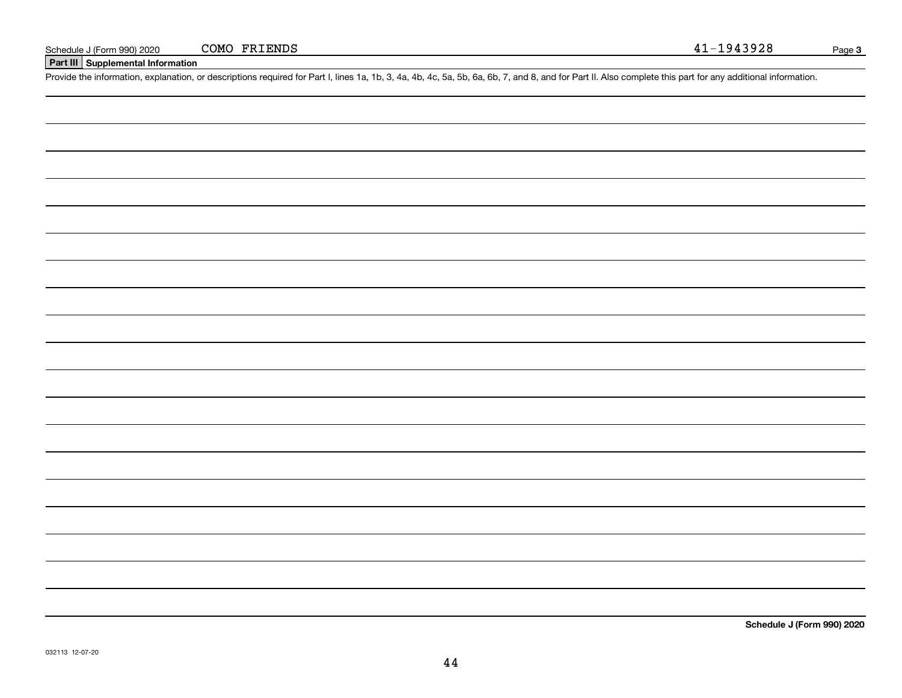### **Part III Supplemental Information**

Schedule J (Form 990) 2020 COMO FRIENDS 41-1943928<br>Part III Supplemental Information<br>Provide the information, explanation, or descriptions required for Part I, lines 1a, 1b, 3, 4a, 4b, 4c, 5a, 5b, 6a, 6b, 7, and 8, and fo

**Schedule J (Form 990) 2020**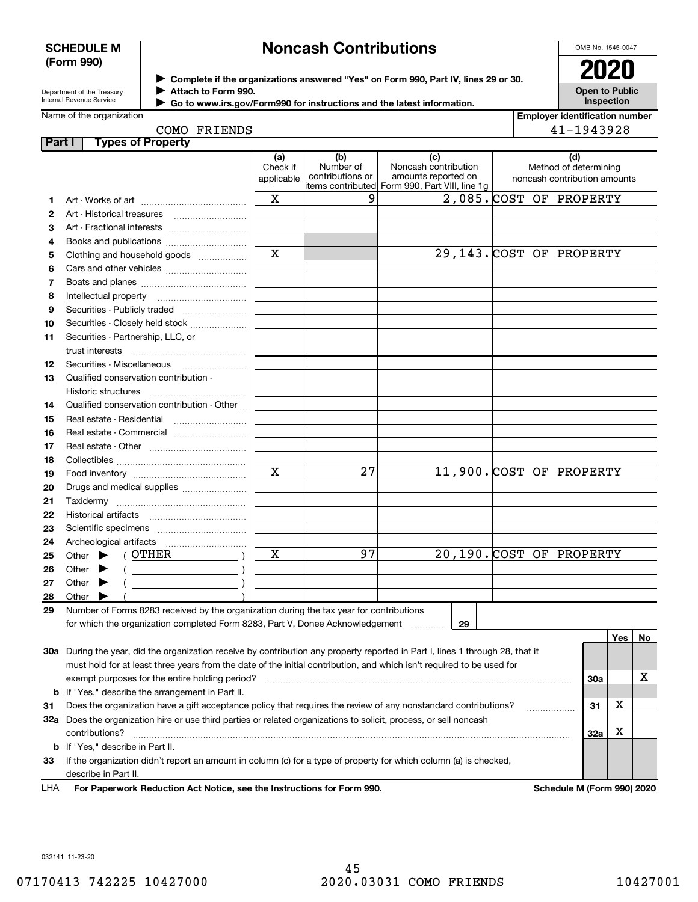### **SCHEDULE M (Form 990)**

## **Noncash Contributions**

OMB No. 1545-0047

Department of the Treasury Internal Revenue Service

**Complete if the organizations answered "Yes" on Form 990, Part IV, lines 29 or 30.** <sup>J</sup>**2020 Attach to Form 990.** J

**Open to Public Inspection**

| Internal Revenue Service | Go to www.irs.gov/Form990 for instructions and the latest information. |
|--------------------------|------------------------------------------------------------------------|
| Name of the organization |                                                                        |

| <b>Employer identification number</b> |
|---------------------------------------|
| 1019090                               |

|        | COMO FRIENDS                                                                                                                                                                                                                                            |                               |                                      |                                                                                                      |                              | 41-1943928                   |     |     |    |
|--------|---------------------------------------------------------------------------------------------------------------------------------------------------------------------------------------------------------------------------------------------------------|-------------------------------|--------------------------------------|------------------------------------------------------------------------------------------------------|------------------------------|------------------------------|-----|-----|----|
| Part I | <b>Types of Property</b>                                                                                                                                                                                                                                |                               |                                      |                                                                                                      |                              |                              |     |     |    |
|        |                                                                                                                                                                                                                                                         | (a)<br>Check if<br>applicable | (b)<br>Number of<br>contributions or | (c)<br>Noncash contribution<br>amounts reported on<br>items contributed Form 990, Part VIII, line 1g | noncash contribution amounts | (d)<br>Method of determining |     |     |    |
| 1      |                                                                                                                                                                                                                                                         | X                             | 9                                    | 2,085. COST OF PROPERTY                                                                              |                              |                              |     |     |    |
| 2      |                                                                                                                                                                                                                                                         |                               |                                      |                                                                                                      |                              |                              |     |     |    |
| З      | Art - Fractional interests                                                                                                                                                                                                                              |                               |                                      |                                                                                                      |                              |                              |     |     |    |
| 4      | Books and publications                                                                                                                                                                                                                                  |                               |                                      |                                                                                                      |                              |                              |     |     |    |
| 5      | Clothing and household goods                                                                                                                                                                                                                            | $\mathbf x$                   |                                      | 29,143. COST OF PROPERTY                                                                             |                              |                              |     |     |    |
| 6      |                                                                                                                                                                                                                                                         |                               |                                      |                                                                                                      |                              |                              |     |     |    |
| 7      |                                                                                                                                                                                                                                                         |                               |                                      |                                                                                                      |                              |                              |     |     |    |
| 8      |                                                                                                                                                                                                                                                         |                               |                                      |                                                                                                      |                              |                              |     |     |    |
| 9      | Securities - Publicly traded                                                                                                                                                                                                                            |                               |                                      |                                                                                                      |                              |                              |     |     |    |
| 10     | Securities - Closely held stock                                                                                                                                                                                                                         |                               |                                      |                                                                                                      |                              |                              |     |     |    |
| 11     | Securities - Partnership, LLC, or                                                                                                                                                                                                                       |                               |                                      |                                                                                                      |                              |                              |     |     |    |
|        | trust interests                                                                                                                                                                                                                                         |                               |                                      |                                                                                                      |                              |                              |     |     |    |
| 12     | Securities - Miscellaneous                                                                                                                                                                                                                              |                               |                                      |                                                                                                      |                              |                              |     |     |    |
| 13     | Qualified conservation contribution -                                                                                                                                                                                                                   |                               |                                      |                                                                                                      |                              |                              |     |     |    |
|        | Historic structures                                                                                                                                                                                                                                     |                               |                                      |                                                                                                      |                              |                              |     |     |    |
| 14     | Qualified conservation contribution - Other                                                                                                                                                                                                             |                               |                                      |                                                                                                      |                              |                              |     |     |    |
| 15     |                                                                                                                                                                                                                                                         |                               |                                      |                                                                                                      |                              |                              |     |     |    |
| 16     | Real estate - Commercial                                                                                                                                                                                                                                |                               |                                      |                                                                                                      |                              |                              |     |     |    |
| 17     |                                                                                                                                                                                                                                                         |                               |                                      |                                                                                                      |                              |                              |     |     |    |
| 18     |                                                                                                                                                                                                                                                         |                               |                                      |                                                                                                      |                              |                              |     |     |    |
| 19     |                                                                                                                                                                                                                                                         | $\mathbf x$                   | $\overline{27}$                      | 11,900. COST OF PROPERTY                                                                             |                              |                              |     |     |    |
| 20     | Drugs and medical supplies                                                                                                                                                                                                                              |                               |                                      |                                                                                                      |                              |                              |     |     |    |
| 21     |                                                                                                                                                                                                                                                         |                               |                                      |                                                                                                      |                              |                              |     |     |    |
| 22     |                                                                                                                                                                                                                                                         |                               |                                      |                                                                                                      |                              |                              |     |     |    |
| 23     |                                                                                                                                                                                                                                                         |                               |                                      |                                                                                                      |                              |                              |     |     |    |
| 24     |                                                                                                                                                                                                                                                         |                               |                                      |                                                                                                      |                              |                              |     |     |    |
| 25     | ( OTHER<br>Other<br>▶                                                                                                                                                                                                                                   | х                             | 97                                   | 20,190. COST OF PROPERTY                                                                             |                              |                              |     |     |    |
| 26     | $($ $)$<br>Other                                                                                                                                                                                                                                        |                               |                                      |                                                                                                      |                              |                              |     |     |    |
| 27     | Other                                                                                                                                                                                                                                                   |                               |                                      |                                                                                                      |                              |                              |     |     |    |
| 28     | Other                                                                                                                                                                                                                                                   |                               |                                      |                                                                                                      |                              |                              |     |     |    |
| 29     | Number of Forms 8283 received by the organization during the tax year for contributions                                                                                                                                                                 |                               |                                      |                                                                                                      |                              |                              |     |     |    |
|        | for which the organization completed Form 8283, Part V, Donee Acknowledgement                                                                                                                                                                           |                               |                                      | 29                                                                                                   |                              |                              |     | Yes |    |
|        |                                                                                                                                                                                                                                                         |                               |                                      |                                                                                                      |                              |                              |     |     | No |
|        | 30a During the year, did the organization receive by contribution any property reported in Part I, lines 1 through 28, that it<br>must hold for at least three years from the date of the initial contribution, and which isn't required to be used for |                               |                                      |                                                                                                      |                              |                              |     |     |    |
|        | exempt purposes for the entire holding period?                                                                                                                                                                                                          |                               |                                      |                                                                                                      |                              |                              | 30a |     | x  |
| b      | If "Yes," describe the arrangement in Part II.                                                                                                                                                                                                          |                               |                                      |                                                                                                      |                              |                              |     |     |    |
| 31     | Does the organization have a gift acceptance policy that requires the review of any nonstandard contributions?                                                                                                                                          |                               |                                      |                                                                                                      |                              |                              | 31  | x   |    |
| 32a    | Does the organization hire or use third parties or related organizations to solicit, process, or sell noncash                                                                                                                                           |                               |                                      |                                                                                                      |                              |                              |     |     |    |
|        |                                                                                                                                                                                                                                                         |                               |                                      |                                                                                                      |                              |                              |     |     |    |

**33**If the organization didn't report an amount in column (c) for a type of property for which column (a) is checked, describe in Part II.

contributions? ~~~~~~~~~~~~~~~~~~~~~~~~~~~~~~~~~~~~~~~~~~~~~~~~~~~~~~

**For Paperwork Reduction Act Notice, see the Instructions for Form 990. Schedule M (Form 990) 2020** LHA

**32a**

X

032141 11-23-20

**b**If "Yes," describe in Part II.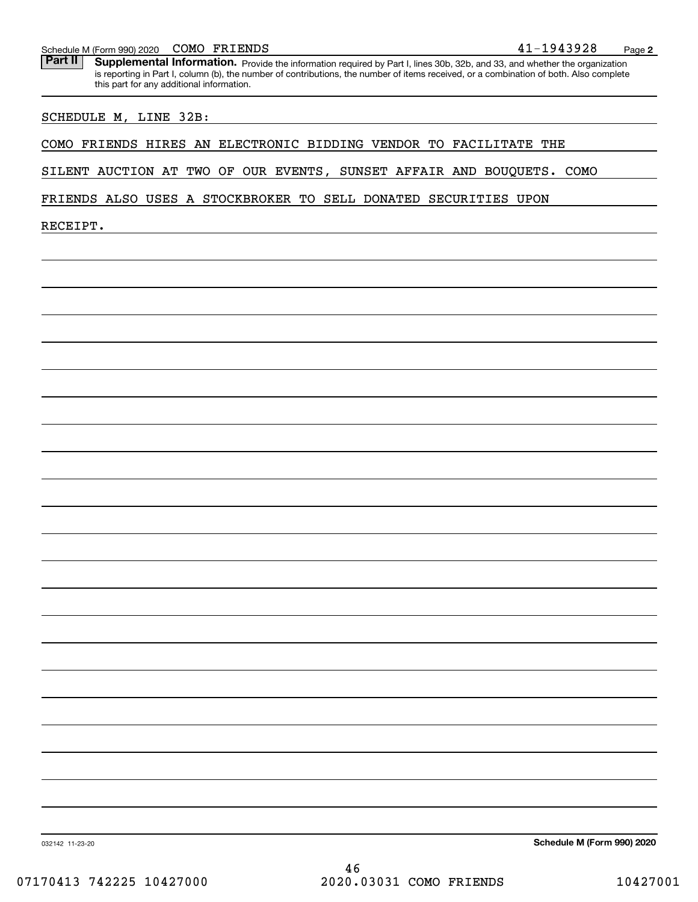**2**

Part II | Supplemental Information. Provide the information required by Part I, lines 30b, 32b, and 33, and whether the organization is reporting in Part I, column (b), the number of contributions, the number of items received, or a combination of both. Also complete this part for any additional information.

SCHEDULE M, LINE 32B:

COMO FRIENDS HIRES AN ELECTRONIC BIDDING VENDOR TO FACILITATE THE

SILENT AUCTION AT TWO OF OUR EVENTS, SUNSET AFFAIR AND BOUQUETS. COMO

FRIENDS ALSO USES A STOCKBROKER TO SELL DONATED SECURITIES UPON

RECEIPT.

**Schedule M (Form 990) 2020**

032142 11-23-20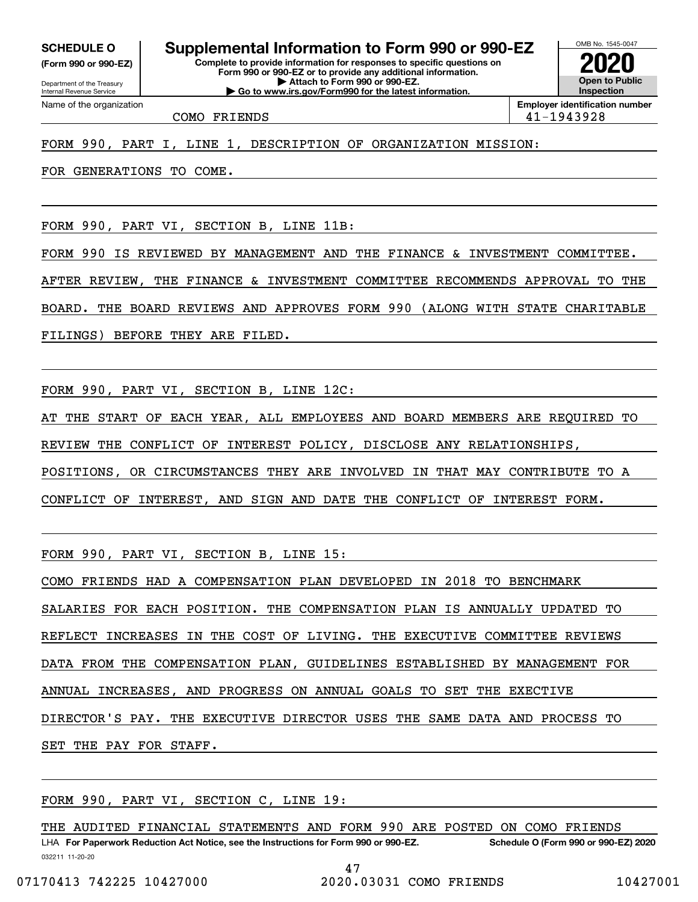**(Form 990 or 990-EZ)**

Department of the Treasury Internal Revenue Service Name of the organization

**Complete to provide information for responses to specific questions on SCHEDULE O Supplemental Information to Form 990 or 990-EZ**

**Form 990 or 990-EZ or to provide any additional information. | Attach to Form 990 or 990-EZ. | Go to www.irs.gov/Form990 for the latest information.**

**Open to Public InspectionEmployer identification number 2020**

OMB No. 1545-0047

COMO FRIENDS 41-1943928

### FORM 990, PART I, LINE 1, DESCRIPTION OF ORGANIZATION MISSION:

FOR GENERATIONS TO COME.

FORM 990, PART VI, SECTION B, LINE 11B:

FORM 990 IS REVIEWED BY MANAGEMENT AND THE FINANCE & INVESTMENT COMMITTEE.

AFTER REVIEW, THE FINANCE & INVESTMENT COMMITTEE RECOMMENDS APPROVAL TO THE

BOARD. THE BOARD REVIEWS AND APPROVES FORM 990 (ALONG WITH STATE CHARITABLE

FILINGS) BEFORE THEY ARE FILED.

FORM 990, PART VI, SECTION B, LINE 12C:

AT THE START OF EACH YEAR, ALL EMPLOYEES AND BOARD MEMBERS ARE REQUIRED TO

REVIEW THE CONFLICT OF INTEREST POLICY, DISCLOSE ANY RELATIONSHIPS,

POSITIONS, OR CIRCUMSTANCES THEY ARE INVOLVED IN THAT MAY CONTRIBUTE TO A

CONFLICT OF INTEREST, AND SIGN AND DATE THE CONFLICT OF INTEREST FORM.

FORM 990, PART VI, SECTION B, LINE 15:

COMO FRIENDS HAD A COMPENSATION PLAN DEVELOPED IN 2018 TO BENCHMARK

SALARIES FOR EACH POSITION. THE COMPENSATION PLAN IS ANNUALLY UPDATED TO

REFLECT INCREASES IN THE COST OF LIVING. THE EXECUTIVE COMMITTEE REVIEWS

DATA FROM THE COMPENSATION PLAN, GUIDELINES ESTABLISHED BY MANAGEMENT FOR

ANNUAL INCREASES, AND PROGRESS ON ANNUAL GOALS TO SET THE EXECTIVE

DIRECTOR'S PAY. THE EXECUTIVE DIRECTOR USES THE SAME DATA AND PROCESS TO

SET THE PAY FOR STAFF.

FORM 990, PART VI, SECTION C, LINE 19:

032211 11-20-20 LHA For Paperwork Reduction Act Notice, see the Instructions for Form 990 or 990-EZ. Schedule O (Form 990 or 990-EZ) 2020 THE AUDITED FINANCIAL STATEMENTS AND FORM 990 ARE POSTED ON COMO FRIENDS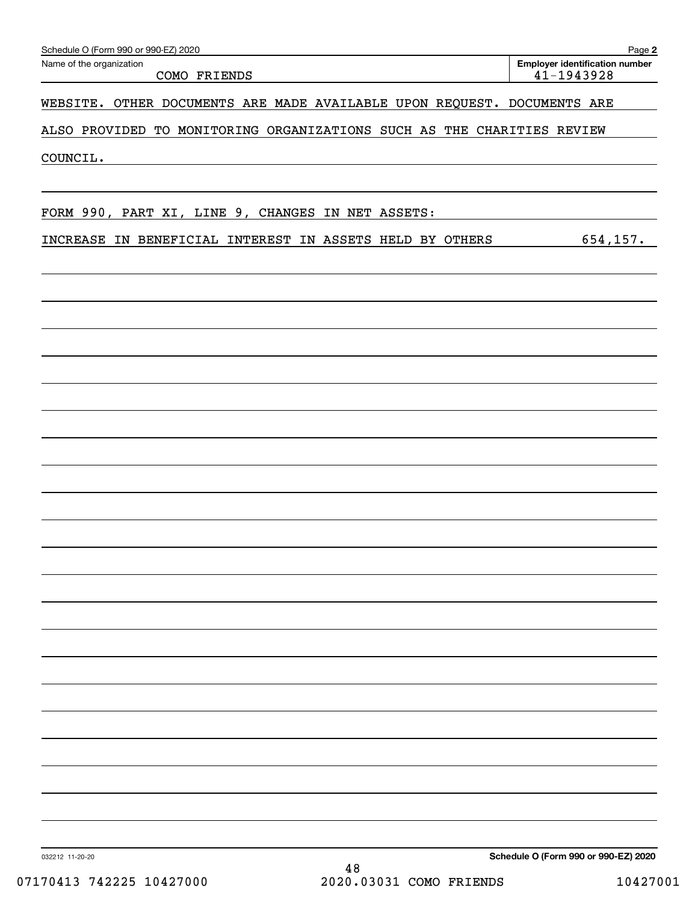| Schedule O (Form 990 or 990-EZ) 2020                                    | Page 2                                              |
|-------------------------------------------------------------------------|-----------------------------------------------------|
| Name of the organization<br>COMO FRIENDS                                | <b>Employer identification number</b><br>41-1943928 |
| WEBSITE. OTHER DOCUMENTS ARE MADE AVAILABLE UPON REQUEST. DOCUMENTS ARE |                                                     |
| ALSO PROVIDED TO MONITORING ORGANIZATIONS SUCH AS THE CHARITIES REVIEW  |                                                     |
| COUNCIL.                                                                |                                                     |
|                                                                         |                                                     |
| FORM 990, PART XI, LINE 9, CHANGES IN NET ASSETS:                       |                                                     |
| INCREASE IN BENEFICIAL INTEREST IN ASSETS HELD BY OTHERS                | 654, 157.                                           |
|                                                                         |                                                     |
|                                                                         |                                                     |
|                                                                         |                                                     |
|                                                                         |                                                     |
|                                                                         |                                                     |
|                                                                         |                                                     |
|                                                                         |                                                     |
|                                                                         |                                                     |
|                                                                         |                                                     |
|                                                                         |                                                     |
|                                                                         |                                                     |
|                                                                         |                                                     |
|                                                                         |                                                     |
|                                                                         |                                                     |
|                                                                         |                                                     |
|                                                                         |                                                     |
|                                                                         |                                                     |
|                                                                         |                                                     |
|                                                                         |                                                     |
|                                                                         |                                                     |
|                                                                         |                                                     |
|                                                                         |                                                     |
|                                                                         |                                                     |
|                                                                         |                                                     |
| 032212 11-20-20<br>1 O                                                  | Schedule O (Form 990 or 990-EZ) 2020                |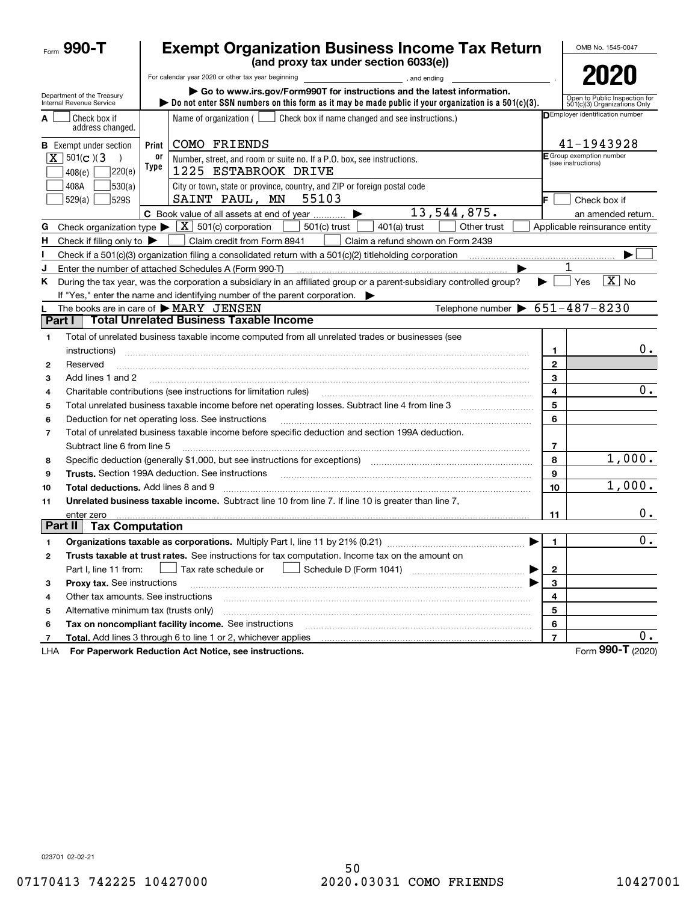|                | Form 990-T                                             | <b>Exempt Organization Business Income Tax Return</b><br>(and proxy tax under section 6033(e)) |                                                                                                                                                                                                                           |                |                                                               |  |  |
|----------------|--------------------------------------------------------|------------------------------------------------------------------------------------------------|---------------------------------------------------------------------------------------------------------------------------------------------------------------------------------------------------------------------------|----------------|---------------------------------------------------------------|--|--|
|                |                                                        |                                                                                                |                                                                                                                                                                                                                           |                | 2020                                                          |  |  |
|                | Department of the Treasury<br>Internal Revenue Service |                                                                                                | Go to www.irs.gov/Form990T for instructions and the latest information.<br>bo not enter SSN numbers on this form as it may be made public if your organization is a $501(c)(3)$ .                                         |                | Open to Public Inspection for<br>501(c)(3) Organizations Only |  |  |
| A              | Check box if<br>address changed.                       |                                                                                                | Name of organization $($<br>Check box if name changed and see instructions.)                                                                                                                                              |                | DEmployer identification number                               |  |  |
|                | <b>B</b> Exempt under section                          | Print                                                                                          | COMO FRIENDS                                                                                                                                                                                                              |                | 41-1943928                                                    |  |  |
|                | $\overline{X}$ 501(c)(3)<br> 220(e) <br>408(e)         | 0ľ<br>Type                                                                                     | Number, street, and room or suite no. If a P.O. box, see instructions.<br>1225 ESTABROOK DRIVE                                                                                                                            |                | <b>F</b> Group exemption number<br>(see instructions)         |  |  |
|                | 408A<br>530(a)<br>529(a)<br>529S                       |                                                                                                | City or town, state or province, country, and ZIP or foreign postal code<br>55103<br>SAINT PAUL, MN                                                                                                                       |                | Check box if                                                  |  |  |
|                |                                                        |                                                                                                | 13,544,875.<br>C Book value of all assets at end of year                                                                                                                                                                  |                | an amended return.                                            |  |  |
| G              |                                                        |                                                                                                | Check organization type $\blacktriangleright \lfloor \underline{X} \rfloor$ 501(c) corporation<br>501(c) trust<br>$401(a)$ trust<br>Other trust                                                                           |                | Applicable reinsurance entity                                 |  |  |
| н.             | Check if filing only to $\blacktriangleright$          |                                                                                                | Claim credit from Form 8941<br>Claim a refund shown on Form 2439                                                                                                                                                          |                |                                                               |  |  |
|                |                                                        |                                                                                                |                                                                                                                                                                                                                           |                |                                                               |  |  |
| J              |                                                        |                                                                                                | Enter the number of attached Schedules A (Form 990-T)                                                                                                                                                                     |                | 1                                                             |  |  |
| Κ              |                                                        |                                                                                                | During the tax year, was the corporation a subsidiary in an affiliated group or a parent-subsidiary controlled group?<br>If "Yes," enter the name and identifying number of the parent corporation. $\blacktriangleright$ | ▶              | $\boxed{\text{X}}$ No<br>Yes                                  |  |  |
|                |                                                        |                                                                                                | Telephone number $\triangleright$ 651-487-8230<br>The books are in care of $\triangleright$ MARY JENSEN                                                                                                                   |                |                                                               |  |  |
| Part I         |                                                        |                                                                                                | <b>Total Unrelated Business Taxable Income</b>                                                                                                                                                                            |                |                                                               |  |  |
| 1              |                                                        |                                                                                                | Total of unrelated business taxable income computed from all unrelated trades or businesses (see                                                                                                                          |                |                                                               |  |  |
|                | instructions)                                          |                                                                                                |                                                                                                                                                                                                                           | 1              | 0.                                                            |  |  |
| 2              | Reserved                                               |                                                                                                |                                                                                                                                                                                                                           | $\mathbf{2}$   |                                                               |  |  |
| 3              | Add lines 1 and 2                                      |                                                                                                |                                                                                                                                                                                                                           | 3              |                                                               |  |  |
| 4              |                                                        |                                                                                                | Charitable contributions (see instructions for limitation rules)                                                                                                                                                          | 4              | 0.                                                            |  |  |
| 5              |                                                        |                                                                                                | Total unrelated business taxable income before net operating losses. Subtract line 4 from line 3                                                                                                                          | 5              |                                                               |  |  |
| 6              |                                                        |                                                                                                | Deduction for net operating loss. See instructions                                                                                                                                                                        | 6              |                                                               |  |  |
| $\overline{7}$ | Subtract line 6 from line 5                            |                                                                                                | Total of unrelated business taxable income before specific deduction and section 199A deduction.                                                                                                                          | 7              |                                                               |  |  |
| 8              |                                                        |                                                                                                | Specific deduction (generally \$1,000, but see instructions for exceptions) manufactured contains an exception of                                                                                                         | 8              | 1,000.                                                        |  |  |
| 9              |                                                        |                                                                                                |                                                                                                                                                                                                                           | 9              |                                                               |  |  |
| 10             | <b>Total deductions.</b> Add lines 8 and 9             |                                                                                                |                                                                                                                                                                                                                           | 10             | 1,000.                                                        |  |  |
| 11             |                                                        |                                                                                                | Unrelated business taxable income. Subtract line 10 from line 7. If line 10 is greater than line 7,                                                                                                                       |                |                                                               |  |  |
|                | enter zero                                             |                                                                                                |                                                                                                                                                                                                                           | 11             | 0.                                                            |  |  |
|                | Part II<br><b>Tax Computation</b>                      |                                                                                                |                                                                                                                                                                                                                           |                |                                                               |  |  |
|                |                                                        |                                                                                                | Organizations taxable as corporations. Multiply Part I, line 11 by 21% (0.21)                                                                                                                                             | 1.             | 0.                                                            |  |  |
| 2              |                                                        |                                                                                                | Trusts taxable at trust rates. See instructions for tax computation. Income tax on the amount on                                                                                                                          |                |                                                               |  |  |
|                | Part I, line 11 from:                                  |                                                                                                | $\rfloor$ Tax rate schedule or<br>▶                                                                                                                                                                                       | 2              |                                                               |  |  |
| з              | Proxy tax. See instructions                            |                                                                                                |                                                                                                                                                                                                                           | 3              |                                                               |  |  |
| 4              | Other tax amounts. See instructions                    |                                                                                                |                                                                                                                                                                                                                           | 4              |                                                               |  |  |
| 5              | Alternative minimum tax (trusts only)                  |                                                                                                |                                                                                                                                                                                                                           | 5              |                                                               |  |  |
| 6              |                                                        |                                                                                                | Tax on noncompliant facility income. See instructions                                                                                                                                                                     | 6              |                                                               |  |  |
| 7              |                                                        |                                                                                                | Total. Add lines 3 through 6 to line 1 or 2, whichever applies                                                                                                                                                            | $\overline{7}$ | 0.                                                            |  |  |
| LHA            |                                                        |                                                                                                | For Paperwork Reduction Act Notice, see instructions.                                                                                                                                                                     |                | Form 990-T (2020)                                             |  |  |

023701 02-02-21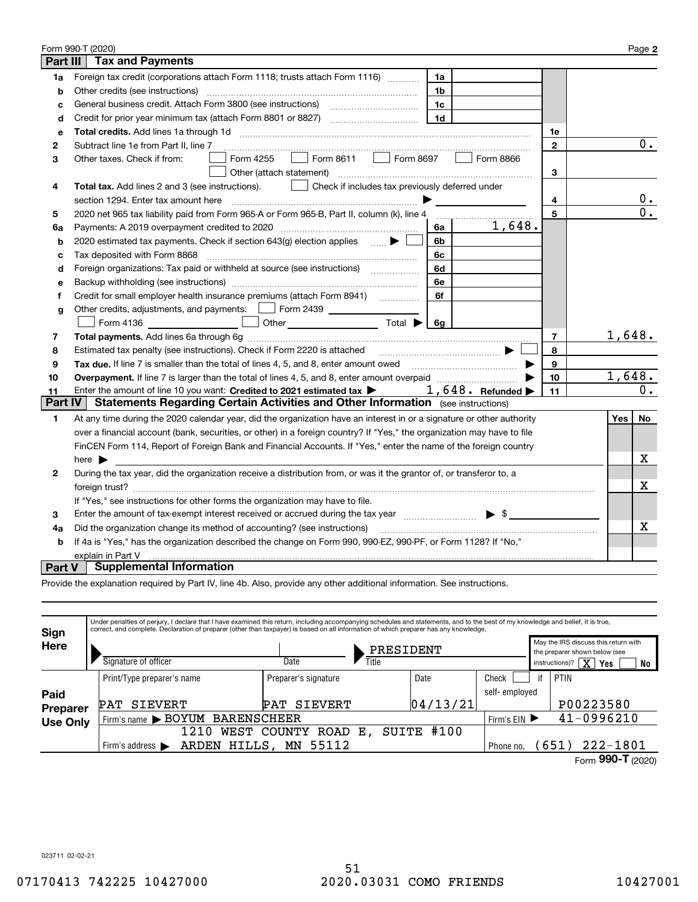|                | Form 990-T (2020)                                                                                                                                                                  |                | Page 2           |  |  |  |  |  |
|----------------|------------------------------------------------------------------------------------------------------------------------------------------------------------------------------------|----------------|------------------|--|--|--|--|--|
| Part III       | <b>Tax and Payments</b>                                                                                                                                                            |                |                  |  |  |  |  |  |
| 1a             | Foreign tax credit (corporations attach Form 1118; trusts attach Form 1116)<br>1a                                                                                                  |                |                  |  |  |  |  |  |
| b              | Other credits (see instructions)<br>1b                                                                                                                                             |                |                  |  |  |  |  |  |
| c              | 1c                                                                                                                                                                                 |                |                  |  |  |  |  |  |
| d              | 1 <sub>d</sub>                                                                                                                                                                     |                |                  |  |  |  |  |  |
| е              |                                                                                                                                                                                    | 1е             |                  |  |  |  |  |  |
| 2              | Subtract line 1e from Part II, line 7                                                                                                                                              | $\mathbf{2}$   | $\overline{0}$ . |  |  |  |  |  |
| з              | Form 8611<br>Form 8697<br>Form 4255<br>Form 8866<br>Other taxes. Check if from:                                                                                                    |                |                  |  |  |  |  |  |
|                | Other (attach statement)                                                                                                                                                           | 3              |                  |  |  |  |  |  |
| 4              | Check if includes tax previously deferred under<br>Total tax. Add lines 2 and 3 (see instructions).                                                                                |                |                  |  |  |  |  |  |
|                | section 1294. Enter tax amount here                                                                                                                                                | 4              | 0.               |  |  |  |  |  |
| 5              | 2020 net 965 tax liability paid from Form 965-A or Form 965-B, Part II, column (k), line 4                                                                                         | 5              | 0.               |  |  |  |  |  |
| 6a             | 1,648.<br>Payments: A 2019 overpayment credited to 2020 [11] [11] maximum materials and Payments: A 2019 overpayment credited to 2020 [11] maximum materials and Payments: A<br>6a |                |                  |  |  |  |  |  |
| b              | 2020 estimated tax payments. Check if section 643(g) election applies $\qquad \qquad \bullet$<br>6b                                                                                |                |                  |  |  |  |  |  |
| c              | Tax deposited with Form 8868<br>6с                                                                                                                                                 |                |                  |  |  |  |  |  |
| d              | Foreign organizations: Tax paid or withheld at source (see instructions) [<br>6d                                                                                                   |                |                  |  |  |  |  |  |
| e              | 6e                                                                                                                                                                                 |                |                  |  |  |  |  |  |
| f              | 6f                                                                                                                                                                                 |                |                  |  |  |  |  |  |
| g              | Other credits, adjustments, and payments:   Form 2439 _ _ _ _ _ _ _ _                                                                                                              |                |                  |  |  |  |  |  |
|                | Other $\overline{\hspace{1cm}}$ Total $\blacktriangleright$ $\overline{\hspace{1cm}}$ 6g<br>Form 4136                                                                              |                |                  |  |  |  |  |  |
| 7              |                                                                                                                                                                                    | $\overline{7}$ | 1,648.           |  |  |  |  |  |
| 8              | Estimated tax penalty (see instructions). Check if Form 2220 is attached                                                                                                           | 8              |                  |  |  |  |  |  |
| 9              | Tax due. If line 7 is smaller than the total of lines 4, 5, and 8, enter amount owed <i>manumenon containers</i>                                                                   | 9              |                  |  |  |  |  |  |
| 10             |                                                                                                                                                                                    | 10             | 1,648.           |  |  |  |  |  |
| 11             | Enter the amount of line 10 you want: Credited to 2021 estimated tax<br>$1,648$ . Refunded $\blacktriangleright$                                                                   | 11             | 0.               |  |  |  |  |  |
| <b>Part IV</b> | <b>Statements Regarding Certain Activities and Other Information</b> (see instructions)                                                                                            |                |                  |  |  |  |  |  |
| 1              | At any time during the 2020 calendar year, did the organization have an interest in or a signature or other authority                                                              |                | Yes<br>No        |  |  |  |  |  |
|                | over a financial account (bank, securities, or other) in a foreign country? If "Yes," the organization may have to file                                                            |                |                  |  |  |  |  |  |
|                | FinCEN Form 114, Report of Foreign Bank and Financial Accounts. If "Yes," enter the name of the foreign country                                                                    |                |                  |  |  |  |  |  |
|                | here $\blacktriangleright$                                                                                                                                                         |                | х                |  |  |  |  |  |
| 2              | During the tax year, did the organization receive a distribution from, or was it the grantor of, or transferor to, a                                                               |                |                  |  |  |  |  |  |
|                |                                                                                                                                                                                    |                | х                |  |  |  |  |  |
|                | If "Yes," see instructions for other forms the organization may have to file.                                                                                                      |                |                  |  |  |  |  |  |
| з              | Enter the amount of tax-exempt interest received or accrued during the tax year $\Box$ $\bullet$ $\Box$                                                                            |                |                  |  |  |  |  |  |
| 4a             | Did the organization change its method of accounting? (see instructions)                                                                                                           |                | x.               |  |  |  |  |  |
| b              | If 4a is "Yes," has the organization described the change on Form 990, 990-EZ, 990-PF, or Form 1128? If "No,"                                                                      |                |                  |  |  |  |  |  |
|                | explain in Part V                                                                                                                                                                  |                |                  |  |  |  |  |  |
| <b>Part V</b>  | <b>Supplemental Information</b>                                                                                                                                                    |                |                  |  |  |  |  |  |

Provide the explanation required by Part IV, line 4b. Also, provide any other additional information. See instructions.

| Sign            | Under penalties of perjury, I declare that I have examined this return, including accompanying schedules and statements, and to the best of my knowledge and belief, it is true,<br>correct, and complete. Declaration of preparer (other than taxpayer) is based on all information of which preparer has any knowledge. |                      |              |                                                                       |                                                      |                       |  |  |  |  |
|-----------------|---------------------------------------------------------------------------------------------------------------------------------------------------------------------------------------------------------------------------------------------------------------------------------------------------------------------------|----------------------|--------------|-----------------------------------------------------------------------|------------------------------------------------------|-----------------------|--|--|--|--|
| Here            |                                                                                                                                                                                                                                                                                                                           | PRESIDENT            |              | May the IRS discuss this return with<br>the preparer shown below (see |                                                      |                       |  |  |  |  |
|                 | Signature of officer                                                                                                                                                                                                                                                                                                      | Date<br>Title        |              |                                                                       | $\overline{\text{X}}$<br>instructions)?<br>Yes<br>No |                       |  |  |  |  |
|                 | Print/Type preparer's name                                                                                                                                                                                                                                                                                                | Preparer's signature | Date         | Check                                                                 |                                                      | PTIN                  |  |  |  |  |
| Paid            |                                                                                                                                                                                                                                                                                                                           |                      |              | self-employed                                                         |                                                      |                       |  |  |  |  |
| <b>Preparer</b> | PAT SIEVERT                                                                                                                                                                                                                                                                                                               | PAT SIEVERT          | 04/13/21     |                                                                       |                                                      | P00223580             |  |  |  |  |
| <b>Use Only</b> | Firm's name BOYUM<br><b>BARENSCHEER</b>                                                                                                                                                                                                                                                                                   |                      | Firm's $EIN$ |                                                                       | 41-0996210                                           |                       |  |  |  |  |
|                 | COUNTY<br>WEST                                                                                                                                                                                                                                                                                                            |                      |              |                                                                       |                                                      |                       |  |  |  |  |
|                 | HILLS,<br>ARDEN<br>Firm's address $\blacktriangleright$                                                                                                                                                                                                                                                                   | 55112<br>МN          |              | Phone no.                                                             |                                                      | $222 - 1801$<br>(651) |  |  |  |  |
|                 |                                                                                                                                                                                                                                                                                                                           |                      |              |                                                                       |                                                      | Form 990-T (2020)     |  |  |  |  |

023711 02-02-21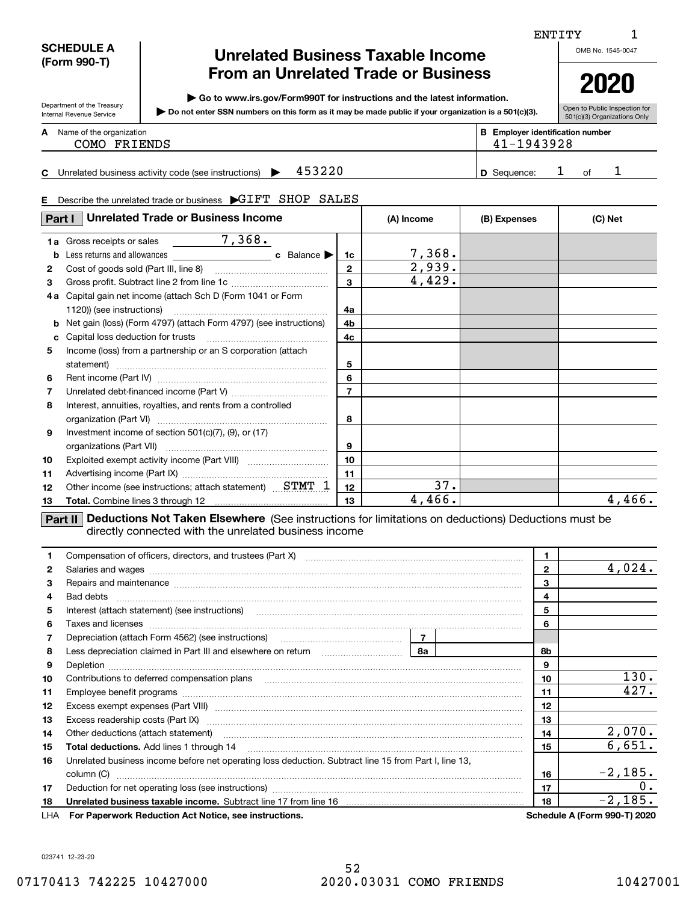### **SCHEDULE A (Form 990-T)**

Department of the Treasury Internal Revenue Service

### **Unrelated Business Taxable Income From an Unrelated Trade or Business**

**| Go to www.irs.gov/Form990T for instructions and the latest information.**

**Do not enter SSN numbers on this form as it may be made public if your organization is a 501(c)(3). |** 

Open to Public Inspection for 501(c)(3) Organizations Only

**2020**

| А | Name of the organization<br>COMO FRIENDS | Employer identification number<br>41-1943928 |  |
|---|------------------------------------------|----------------------------------------------|--|
|   |                                          |                                              |  |

**CD**453220 1 1 Unrelated business activity code (see instructions)  $\blacktriangleright$  453220  $\blacktriangleright$   $\blacktriangleleft$  582

#### **E**Describe the unrelated trade or business  $\;$   $\blacktriangleright$  GIFT  $\;$  SHOP  $\;$  SALES

| Part I  | <b>Unrelated Trade or Business Income</b>                            |                   | (A) Income       | (B) Expenses | (C) Net |
|---------|----------------------------------------------------------------------|-------------------|------------------|--------------|---------|
| 1a<br>b | 7,368.<br>Gross receipts or sales<br>c Balance $\blacktriangleright$ | 1c                | 7,368.<br>2,939. |              |         |
| 2<br>3  |                                                                      | $\mathbf{2}$<br>3 | 4,429.           |              |         |
| 4а      | Capital gain net income (attach Sch D (Form 1041 or Form             | 4a                |                  |              |         |
| c       | Net gain (loss) (Form 4797) (attach Form 4797) (see instructions)    | 4b<br>4c          |                  |              |         |
| 5       | Income (loss) from a partnership or an S corporation (attach         | 5                 |                  |              |         |
| 6       |                                                                      | 6                 |                  |              |         |
| 7       |                                                                      | $\overline{ }$    |                  |              |         |
| 8       | Interest, annuities, royalties, and rents from a controlled          | 8                 |                  |              |         |
| 9       | Investment income of section $501(c)(7)$ , (9), or (17)              | 9                 |                  |              |         |
| 10      |                                                                      | 10                |                  |              |         |
| 11      |                                                                      | 11                |                  |              |         |
| 12      | Other income (see instructions; attach statement) STMT 1             | 12 <sub>2</sub>   | 37.              |              |         |
| 13      |                                                                      | 13                | 4,466.           |              | 4,466.  |

**Part II Deductions Not Taken Elsewhere** (See instructions for limitations on deductions) Deductions must be directly connected with the unrelated business income

|     | Compensation of officers, directors, and trustees (Part X) [11] [2010] [2010] [2010] [2010] [2010] [2010] [2010] [3010] [2010] [2010] [3010] [2010] [3010] [3010] [3010] [3010] [3010] [3010] [3010] [3010] [3010] [3010] [301       | $\mathbf{1}$ |  |              |                                     |
|-----|--------------------------------------------------------------------------------------------------------------------------------------------------------------------------------------------------------------------------------------|--------------|--|--------------|-------------------------------------|
| 2   | Salaries and wages with the continuum contract of the contract of the contract of the contract of the contract of the contract of the contract of the contract of the contract of the contract of the contract of the contract       |              |  | $\mathbf{2}$ | $4,024$ .                           |
| 3   | Repairs and maintenance material continuum contract and maintenance material contract and maintenance material                                                                                                                       |              |  | 3            |                                     |
| 4   |                                                                                                                                                                                                                                      |              |  | 4            |                                     |
| 5   |                                                                                                                                                                                                                                      |              |  | 5            |                                     |
| 6   |                                                                                                                                                                                                                                      |              |  | 6            |                                     |
| 7   |                                                                                                                                                                                                                                      |              |  |              |                                     |
| 8   | Less depreciation claimed in Part III and elsewhere on return [1, 1, 1, 1, 1, 1, 1, 1, 1, 1, 1, 1, 1                                                                                                                                 | 8а           |  | 8b.          |                                     |
| 9   | Depletion <b>construction and construction of the construction of the construction of the construction of the construction of the construction of the construction of the construction of the construction of the construction o</b> |              |  | 9            |                                     |
| 10  | Contributions to deferred compensation plans                                                                                                                                                                                         |              |  | 10           | 130.                                |
| 11  |                                                                                                                                                                                                                                      |              |  | 11           | 427.                                |
| 12  |                                                                                                                                                                                                                                      |              |  | 12           |                                     |
| 13  |                                                                                                                                                                                                                                      |              |  | 13           |                                     |
| 14  | Other deductions (attach statement) manufactured and content of the deductions (attach statement) distribution                                                                                                                       |              |  | 14           | 2,070.                              |
| 15  |                                                                                                                                                                                                                                      |              |  | 15           | 6,651.                              |
| 16  | Unrelated business income before net operating loss deduction. Subtract line 15 from Part I, line 13,                                                                                                                                |              |  |              |                                     |
|     |                                                                                                                                                                                                                                      |              |  | 16           | $-2,185.$                           |
| 17  |                                                                                                                                                                                                                                      |              |  | 17           | 0.                                  |
| 18  |                                                                                                                                                                                                                                      |              |  |              | $-2,185.$                           |
| LHA | For Paperwork Reduction Act Notice, see instructions.                                                                                                                                                                                |              |  |              | <b>Schedule A (Form 990-T) 2020</b> |

ENTITY